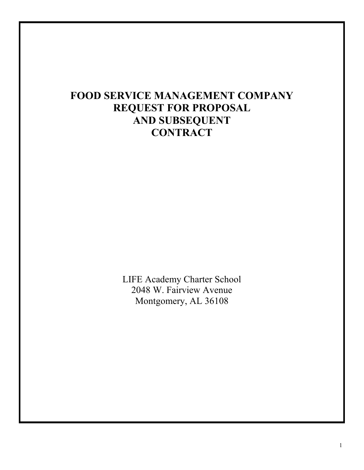# **FOOD SERVICE MANAGEMENT COMPANY REQUEST FOR PROPOSAL AND SUBSEQUENT CONTRACT**

LIFE Academy Charter School 2048 W. Fairview Avenue Montgomery, AL 36108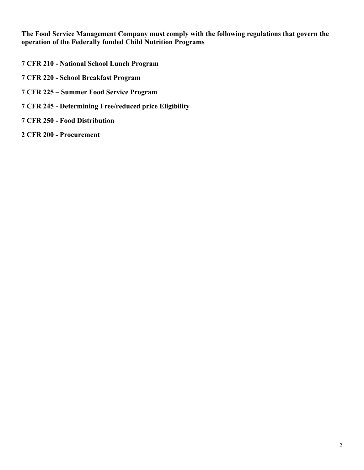**The Food Service Management Company must comply with the following regulations that govern the operation of the Federally funded Child Nutrition Programs**

- **7 CFR 210 - National School Lunch Program**
- **7 CFR 220 - School Breakfast Program**
- **7 CFR 225 – Summer Food Service Program**
- **7 CFR 245 - Determining Free/reduced price Eligibility**
- **7 CFR 250 - Food Distribution**
- **2 CFR 200 - Procurement**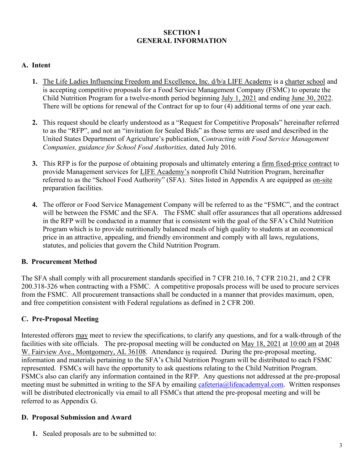### **SECTION I GENERAL INFORMATION**

### **A. Intent**

- **1.** The Life Ladies Influencing Freedom and Excellence, Inc. d/b/a LIFE Academy is a charter school and is accepting competitive proposals for a Food Service Management Company (FSMC) to operate the Child Nutrition Program for a twelve-month period beginning July 1, 2021 and ending June 30, 2022. There will be options for renewal of the Contract for up to four (4) additional terms of one year each.
- **2.** This request should be clearly understood as a "Request for Competitive Proposals" hereinafter referred to as the "RFP", and not an "invitation for Sealed Bids" as those terms are used and described in the United States Department of Agriculture's publication, *Contracting with Food Service Management Companies, guidance for School Food Authorities,* dated July 2016.
- **3.** This RFP is for the purpose of obtaining proposals and ultimately entering a firm fixed-price contract to provide Management services for LIFE Academy's nonprofit Child Nutrition Program, hereinafter referred to as the "School Food Authority" (SFA). Sites listed in Appendix A are equipped as on-site preparation facilities.
- **4.** The offeror or Food Service Management Company will be referred to as the "FSMC", and the contract will be between the FSMC and the SFA. The FSMC shall offer assurances that all operations addressed in the RFP will be conducted in a manner that is consistent with the goal of the SFA's Child Nutrition Program which is to provide nutritionally balanced meals of high quality to students at an economical price in an attractive, appealing, and friendly environment and comply with all laws, regulations, statutes, and policies that govern the Child Nutrition Program.

### **B. Procurement Method**

The SFA shall comply with all procurement standards specified in 7 CFR 210.16, 7 CFR 210.21, and 2 CFR 200.318-326 when contracting with a FSMC. A competitive proposals process will be used to procure services from the FSMC. All procurement transactions shall be conducted in a manner that provides maximum, open, and free competition consistent with Federal regulations as defined in 2 CFR 200.

### **C. Pre-Proposal Meeting**

Interested offerors may meet to review the specifications, to clarify any questions, and for a walk-through of the facilities with site officials. The pre-proposal meeting will be conducted on May 18, 2021 at 10:00 am at 2048 W. Fairview Ave., Montgomery, AL 36108. Attendance is required. During the pre-proposal meeting, information and materials pertaining to the SFA's Child Nutrition Program will be distributed to each FSMC represented. FSMCs will have the opportunity to ask questions relating to the Child Nutrition Program. FSMCs also can clarify any information contained in the RFP. Any questions not addressed at the pre-proposal meeting must be submitted in writing to the SFA by emailing [cafeteria@lifeacademyal.com.](mailto:cafeteria@lifeacademyal.com) Written responses will be distributed electronically via email to all FSMCs that attend the pre-proposal meeting and will be referred to as Appendix G.

### **D. Proposal Submission and Award**

**1.** Sealed proposals are to be submitted to: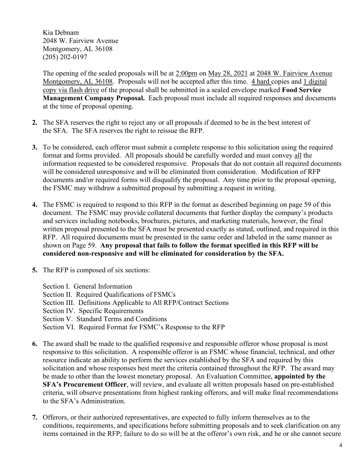Kia Debnam 2048 W. Fairview Avenue Montgomery, AL 36108 (205) 202-0197

The opening of the sealed proposals will be at 2:00pm on May 28, 2021 at 2048 W. Fairview Avenue Montgomery, AL 36108. Proposals will not be accepted after this time. 4 hard copies and 1 digital copy via flash drive of the proposal shall be submitted in a sealed envelope marked **Food Service Management Company Proposal.** Each proposal must include all required responses and documents at the time of proposal opening.

- **2.** The SFA reserves the right to reject any or all proposals if deemed to be in the best interest of the SFA. The SFA reserves the right to reissue the RFP.
- **3.** To be considered, each offeror must submit a complete response to this solicitation using the required format and forms provided. All proposals should be carefully worded and must convey all the information requested to be considered responsive. Proposals that do not contain all required documents will be considered unresponsive and will be eliminated from consideration. Modification of RFP documents and/or required forms will disqualify the proposal. Any time prior to the proposal opening, the FSMC may withdraw a submitted proposal by submitting a request in writing.
- **4.** The FSMC is required to respond to this RFP in the format as described beginning on page 59 of this document. The FSMC may provide collateral documents that further display the company's products and services including notebooks, brochures, pictures, and marketing materials, however, the final written proposal presented to the SFA must be presented exactly as stated, outlined, and required in this RFP. All required documents must be presented in the same order and labeled in the same manner as shown on Page 59. **Any proposal that fails to follow the format specified in this RFP will be considered non-responsive and will be eliminated for consideration by the SFA.**
- **5.** The RFP is composed of six sections:
	- Section I. General Information
	- Section II. Required Qualifications of FSMCs
	- Section III. Definitions Applicable to All RFP/Contract Sections
	- Section IV. Specific Requirements
	- Section V. Standard Terms and Conditions
	- Section VI. Required Format for FSMC's Response to the RFP
- **6.** The award shall be made to the qualified responsive and responsible offeror whose proposal is most responsive to this solicitation. A responsible offeror is an FSMC whose financial, technical, and other resource indicate an ability to perform the services established by the SFA and required by this solicitation and whose responses best meet the criteria contained throughout the RFP. The award may be made to other than the lowest monetary proposal. An Evaluation Committee, **appointed by the SFA's Procurement Officer**, will review, and evaluate all written proposals based on pre-established criteria, will observe presentations from highest ranking offerors, and will make final recommendations to the SFA's Administration.
- **7.** Offerors, or their authorized representatives, are expected to fully inform themselves as to the conditions, requirements, and specifications before submitting proposals and to seek clarification on any items contained in the RFP; failure to do so will be at the offeror's own risk, and he or she cannot secure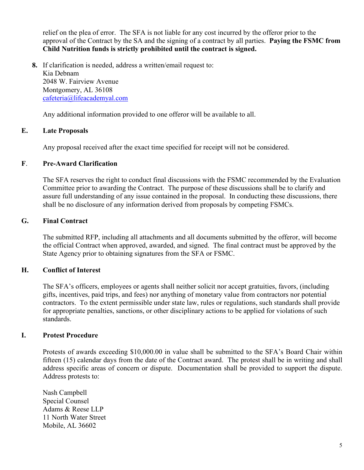relief on the plea of error. The SFA is not liable for any cost incurred by the offeror prior to the approval of the Contract by the SA and the signing of a contract by all parties. **Paying the FSMC from Child Nutrition funds is strictly prohibited until the contract is signed.**

**8.** If clarification is needed, address a written/email request to: Kia Debnam 2048 W. Fairview Avenue Montgomery, AL 36108 [cafeteria@lifeacademyal.com](mailto:cafeteria@lifeacademyal.com)

Any additional information provided to one offeror will be available to all.

### **E. Late Proposals**

Any proposal received after the exact time specified for receipt will not be considered.

### **F**. **Pre-Award Clarification**

The SFA reserves the right to conduct final discussions with the FSMC recommended by the Evaluation Committee prior to awarding the Contract. The purpose of these discussions shall be to clarify and assure full understanding of any issue contained in the proposal. In conducting these discussions, there shall be no disclosure of any information derived from proposals by competing FSMCs.

### **G. Final Contract**

The submitted RFP, including all attachments and all documents submitted by the offeror, will become the official Contract when approved, awarded, and signed. The final contract must be approved by the State Agency prior to obtaining signatures from the SFA or FSMC.

### **H. Conflict of Interest**

The SFA's officers, employees or agents shall neither solicit nor accept gratuities, favors, (including gifts, incentives, paid trips, and fees) nor anything of monetary value from contractors nor potential contractors. To the extent permissible under state law, rules or regulations, such standards shall provide for appropriate penalties, sanctions, or other disciplinary actions to be applied for violations of such standards.

### **I. Protest Procedure**

Protests of awards exceeding \$10,000.00 in value shall be submitted to the SFA's Board Chair within fifteen (15) calendar days from the date of the Contract award. The protest shall be in writing and shall address specific areas of concern or dispute. Documentation shall be provided to support the dispute. Address protests to:

Nash Campbell Special Counsel Adams & Reese LLP 11 North Water Street Mobile, AL 36602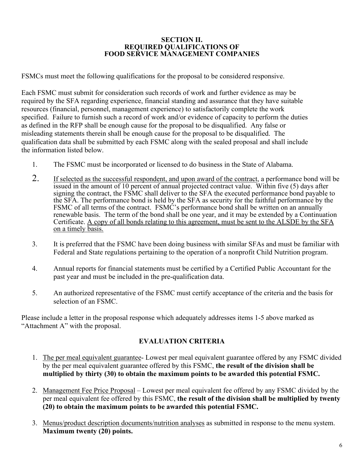## **SECTION II. REQUIRED QUALIFICATIONS OF FOOD SERVICE MANAGEMENT COMPANIES**

FSMCs must meet the following qualifications for the proposal to be considered responsive.

Each FSMC must submit for consideration such records of work and further evidence as may be required by the SFA regarding experience, financial standing and assurance that they have suitable resources (financial, personnel, management experience) to satisfactorily complete the work specified. Failure to furnish such a record of work and/or evidence of capacity to perform the duties as defined in the RFP shall be enough cause for the proposal to be disqualified. Any false or misleading statements therein shall be enough cause for the proposal to be disqualified. The qualification data shall be submitted by each FSMC along with the sealed proposal and shall include the information listed below.

- 1. The FSMC must be incorporated or licensed to do business in the State of Alabama.
- 2. If selected as the successful respondent, and upon award of the contract, a performance bond will be issued in the amount of 10 percent of annual projected contract value. Within five (5) days after signing the contract, the FSMC shall deliver to the SFA the executed performance bond payable to the SFA. The performance bond is held by the SFA as security for the faithful performance by the FSMC of all terms of the contract. FSMC's performance bond shall be written on an annually renewable basis. The term of the bond shall be one year, and it may be extended by a Continuation Certificate. A copy of all bonds relating to this agreement, must be sent to the ALSDE by the SFA on a timely basis.
- 3. It is preferred that the FSMC have been doing business with similar SFAs and must be familiar with Federal and State regulations pertaining to the operation of a nonprofit Child Nutrition program.
- 4. Annual reports for financial statements must be certified by a Certified Public Accountant for the past year and must be included in the pre-qualification data.
- 5. An authorized representative of the FSMC must certify acceptance of the criteria and the basis for selection of an FSMC.

Please include a letter in the proposal response which adequately addresses items 1-5 above marked as "Attachment A" with the proposal.

### **EVALUATION CRITERIA**

- 1. The per meal equivalent guarantee- Lowest per meal equivalent guarantee offered by any FSMC divided by the per meal equivalent guarantee offered by this FSMC, **the result of the division shall be multiplied by thirty (30) to obtain the maximum points to be awarded this potential FSMC.**
- 2. Management Fee Price Proposal Lowest per meal equivalent fee offered by any FSMC divided by the per meal equivalent fee offered by this FSMC, **the result of the division shall be multiplied by twenty (20) to obtain the maximum points to be awarded this potential FSMC.**
- 3. Menus/product description documents/nutrition analyses as submitted in response to the menu system. **Maximum twenty (20) points.**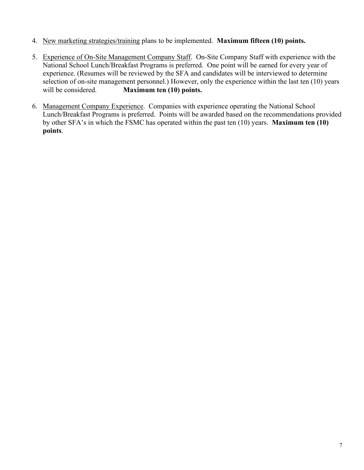- 4. New marketing strategies/training plans to be implemented. **Maximum fifteen (10) points.**
- 5. Experience of On-Site Management Company Staff. On-Site Company Staff with experience with the National School Lunch/Breakfast Programs is preferred. One point will be earned for every year of experience. (Resumes will be reviewed by the SFA and candidates will be interviewed to determine selection of on-site management personnel.) However, only the experience within the last ten (10) years will be considered. **Maximum ten (10) points.**
- 6. Management Company Experience. Companies with experience operating the National School Lunch/Breakfast Programs is preferred. Points will be awarded based on the recommendations provided by other SFA's in which the FSMC has operated within the past ten (10) years. **Maximum ten (10) points**.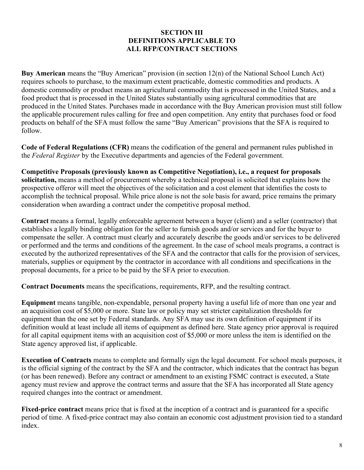### **SECTION III DEFINITIONS APPLICABLE TO ALL RFP/CONTRACT SECTIONS**

**Buy American** means the "Buy American" provision (in section 12(n) of the National School Lunch Act) requires schools to purchase, to the maximum extent practicable, domestic commodities and products. A domestic commodity or product means an agricultural commodity that is processed in the United States, and a food product that is processed in the United States substantially using agricultural commodities that are produced in the United States. Purchases made in accordance with the Buy American provision must still follow the applicable procurement rules calling for free and open competition. Any entity that purchases food or food products on behalf of the SFA must follow the same "Buy American" provisions that the SFA is required to follow.

**Code of Federal Regulations (CFR)** means the codification of the general and permanent rules published in the *Federal Register* by the Executive departments and agencies of the Federal government.

**Competitive Proposals (previously known as Competitive Negotiation), i.e., a request for proposals solicitation,** means a method of procurement whereby a technical proposal is solicited that explains how the prospective offeror will meet the objectives of the solicitation and a cost element that identifies the costs to accomplish the technical proposal. While price alone is not the sole basis for award, price remains the primary consideration when awarding a contract under the competitive proposal method.

**Contract** means a formal, legally enforceable agreement between a buyer (client) and a seller (contractor) that establishes a legally binding obligation for the seller to furnish goods and/or services and for the buyer to compensate the seller. A contract must clearly and accurately describe the goods and/or services to be delivered or performed and the terms and conditions of the agreement. In the case of school meals programs, a contract is executed by the authorized representatives of the SFA and the contractor that calls for the provision of services, materials, supplies or equipment by the contractor in accordance with all conditions and specifications in the proposal documents, for a price to be paid by the SFA prior to execution.

**Contract Documents** means the specifications, requirements, RFP, and the resulting contract.

**Equipment** means tangible, non-expendable, personal property having a useful life of more than one year and an acquisition cost of \$5,000 or more. State law or policy may set stricter capitalization thresholds for equipment than the one set by Federal standards. Any SFA may use its own definition of equipment if its definition would at least include all items of equipment as defined here. State agency prior approval is required for all capital equipment items with an acquisition cost of \$5,000 or more unless the item is identified on the State agency approved list, if applicable.

**Execution of Contracts** means to complete and formally sign the legal document. For school meals purposes, it is the official signing of the contract by the SFA and the contractor, which indicates that the contract has begun (or has been renewed). Before any contract or amendment to an existing FSMC contract is executed, a State agency must review and approve the contract terms and assure that the SFA has incorporated all State agency required changes into the contract or amendment.

**Fixed-price contract** means price that is fixed at the inception of a contract and is guaranteed for a specific period of time. A fixed-price contract may also contain an economic cost adjustment provision tied to a standard index.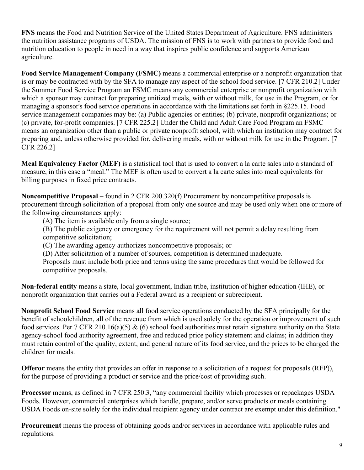**FNS** means the Food and Nutrition Service of the United States Department of Agriculture. FNS administers the nutrition assistance programs of USDA. The mission of FNS is to work with partners to provide food and nutrition education to people in need in a way that inspires public confidence and supports American agriculture.

**Food Service Management Company (FSMC)** means a commercial enterprise or a nonprofit organization that is or may be contracted with by the SFA to manage any aspect of the school food service. [7 CFR 210.2] Under the Summer Food Service Program an FSMC means any commercial enterprise or nonprofit organization with which a sponsor may contract for preparing unitized meals, with or without milk, for use in the Program, or for managing a sponsor's food service operations in accordance with the limitations set forth in §225.15. Food service management companies may be: (a) Public agencies or entities; (b) private, nonprofit organizations; or (c) private, for-profit companies. [7 CFR 225.2] Under the Child and Adult Care Food Program an FSMC means an organization other than a public or private nonprofit school, with which an institution may contract for preparing and, unless otherwise provided for, delivering meals, with or without milk for use in the Program. [7 CFR 226.2]

**Meal Equivalency Factor (MEF)** is a statistical tool that is used to convert a la carte sales into a standard of measure, in this case a "meal." The MEF is often used to convert a la carte sales into meal equivalents for billing purposes in fixed price contracts.

**Noncompetitive Proposal –** found in 2 CFR 200.320(f) Procurement by noncompetitive proposals is procurement through solicitation of a proposal from only one source and may be used only when one or more of the following circumstances apply:

(A) The item is available only from a single source;

(B) The public exigency or emergency for the requirement will not permit a delay resulting from competitive solicitation;

(C) The awarding agency authorizes noncompetitive proposals; or

(D) After solicitation of a number of sources, competition is determined inadequate.

Proposals must include both price and terms using the same procedures that would be followed for competitive proposals.

**Non-federal entity** means a state, local government, Indian tribe, institution of higher education (IHE), or nonprofit organization that carries out a Federal award as a recipient or subrecipient.

**Nonprofit School Food Service** means all food service operations conducted by the SFA principally for the benefit of schoolchildren, all of the revenue from which is used solely for the operation or improvement of such food services. Per 7 CFR 210.16(a)(5) & (6) school food authorities must retain signature authority on the State agency-school food authority agreement, free and reduced price policy statement and claims; in addition they must retain control of the quality, extent, and general nature of its food service, and the prices to be charged the children for meals.

**Offeror** means the entity that provides an offer in response to a solicitation of a request for proposals (RFP)), for the purpose of providing a product or service and the price/cost of providing such.

**Processor** means, as defined in 7 CFR 250.3, "any commercial facility which processes or repackages USDA Foods. However, commercial enterprises which handle, prepare, and/or serve products or meals containing USDA Foods on-site solely for the individual recipient agency under contract are exempt under this definition."

**Procurement** means the process of obtaining goods and/or services in accordance with applicable rules and regulations.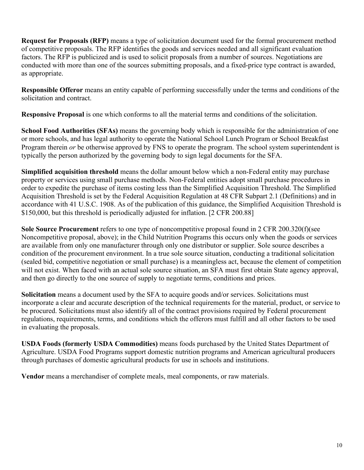**Request for Proposals (RFP)** means a type of solicitation document used for the formal procurement method of competitive proposals. The RFP identifies the goods and services needed and all significant evaluation factors. The RFP is publicized and is used to solicit proposals from a number of sources. Negotiations are conducted with more than one of the sources submitting proposals, and a fixed-price type contract is awarded, as appropriate.

**Responsible Offeror** means an entity capable of performing successfully under the terms and conditions of the solicitation and contract.

**Responsive Proposal** is one which conforms to all the material terms and conditions of the solicitation.

**School Food Authorities (SFAs)** means the governing body which is responsible for the administration of one or more schools, and has legal authority to operate the National School Lunch Program or School Breakfast Program therein *or* be otherwise approved by FNS to operate the program. The school system superintendent is typically the person authorized by the governing body to sign legal documents for the SFA.

**Simplified acquisition threshold** means the dollar amount below which a non-Federal entity may purchase property or services using small purchase methods. Non-Federal entities adopt small purchase procedures in order to expedite the purchase of items costing less than the Simplified Acquisition Threshold. The Simplified Acquisition Threshold is set by the Federal Acquisition Regulation at 48 CFR Subpart 2.1 (Definitions) and in accordance with 41 U.S.C. 1908. As of the publication of this guidance, the Simplified Acquisition Threshold is \$150,000, but this threshold is periodically adjusted for inflation. [2 CFR 200.88]

**Sole Source Procurement** refers to one type of noncompetitive proposal found in 2 CFR 200.320(f)(see Noncompetitive proposal, above); in the Child Nutrition Programs this occurs only when the goods or services are available from only one manufacturer through only one distributor or supplier. Sole source describes a condition of the procurement environment. In a true sole source situation, conducting a traditional solicitation (sealed bid, competitive negotiation or small purchase) is a meaningless act, because the element of competition will not exist. When faced with an actual sole source situation, an SFA must first obtain State agency approval, and then go directly to the one source of supply to negotiate terms, conditions and prices.

**Solicitation** means a document used by the SFA to acquire goods and/or services. Solicitations must incorporate a clear and accurate description of the technical requirements for the material, product, or service to be procured. Solicitations must also identify all of the contract provisions required by Federal procurement regulations, requirements, terms, and conditions which the offerors must fulfill and all other factors to be used in evaluating the proposals.

**USDA Foods (formerly USDA Commodities)** means foods purchased by the United States Department of Agriculture. USDA Food Programs support domestic nutrition programs and American agricultural producers through purchases of domestic agricultural products for use in schools and institutions.

**Vendor** means a merchandiser of complete meals, meal components, or raw materials.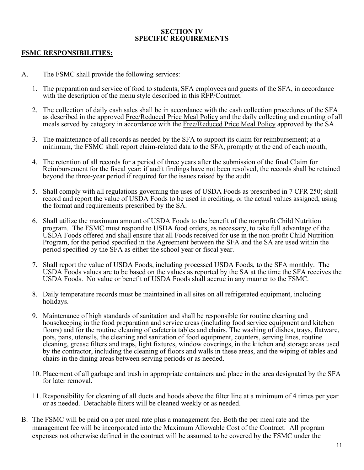#### **SECTION IV SPECIFIC REQUIREMENTS**

#### **FSMC RESPONSIBILITIES:**

- A. The FSMC shall provide the following services:
	- 1. The preparation and service of food to students, SFA employees and guests of the SFA, in accordance with the description of the menu style described in this RFP/Contract.
	- 2. The collection of daily cash sales shall be in accordance with the cash collection procedures of the SFA as described in the approved Free/Reduced Price Meal Policy and the daily collecting and counting of all meals served by category in accordance with the Free/Reduced Price Meal Policy approved by the SA.
	- 3. The maintenance of all records as needed by the SFA to support its claim for reimbursement; at a minimum, the FSMC shall report claim-related data to the SFA, promptly at the end of each month,
	- 4. The retention of all records for a period of three years after the submission of the final Claim for Reimbursement for the fiscal year; if audit findings have not been resolved, the records shall be retained beyond the three-year period if required for the issues raised by the audit.
	- 5. Shall comply with all regulations governing the uses of USDA Foods as prescribed in 7 CFR 250; shall record and report the value of USDA Foods to be used in crediting, or the actual values assigned, using the format and requirements prescribed by the SA.
	- 6. Shall utilize the maximum amount of USDA Foods to the benefit of the nonprofit Child Nutrition program. The FSMC must respond to USDA food orders, as necessary, to take full advantage of the USDA Foods offered and shall ensure that all Foods received for use in the non-profit Child Nutrition Program, for the period specified in the Agreement between the SFA and the SA are used within the period specified by the SFA as either the school year or fiscal year.
	- 7. Shall report the value of USDA Foods, including processed USDA Foods, to the SFA monthly. The USDA Foods values are to be based on the values as reported by the SA at the time the SFA receives the USDA Foods. No value or benefit of USDA Foods shall accrue in any manner to the FSMC.
	- 8. Daily temperature records must be maintained in all sites on all refrigerated equipment, including holidays.
	- 9. Maintenance of high standards of sanitation and shall be responsible for routine cleaning and housekeeping in the food preparation and service areas (including food service equipment and kitchen floors) and for the routine cleaning of cafeteria tables and chairs. The washing of dishes, trays, flatware, pots, pans, utensils, the cleaning and sanitation of food equipment, counters, serving lines, routine cleaning, grease filters and traps, light fixtures, window coverings, in the kitchen and storage areas used by the contractor, including the cleaning of floors and walls in these areas, and the wiping of tables and chairs in the dining areas between serving periods or as needed.
	- 10. Placement of all garbage and trash in appropriate containers and place in the area designated by the SFA for later removal.
	- 11. Responsibility for cleaning of all ducts and hoods above the filter line at a minimum of 4 times per year or as needed. Detachable filters will be cleaned weekly or as needed.
- B. The FSMC will be paid on a per meal rate plus a management fee. Both the per meal rate and the management fee will be incorporated into the Maximum Allowable Cost of the Contract. All program expenses not otherwise defined in the contract will be assumed to be covered by the FSMC under the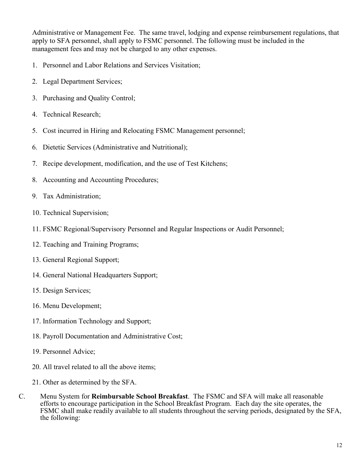Administrative or Management Fee. The same travel, lodging and expense reimbursement regulations, that apply to SFA personnel, shall apply to FSMC personnel. The following must be included in the management fees and may not be charged to any other expenses.

- 1. Personnel and Labor Relations and Services Visitation;
- 2. Legal Department Services;
- 3. Purchasing and Quality Control;
- 4. Technical Research;
- 5. Cost incurred in Hiring and Relocating FSMC Management personnel;
- 6. Dietetic Services (Administrative and Nutritional);
- 7. Recipe development, modification, and the use of Test Kitchens;
- 8. Accounting and Accounting Procedures;
- 9. Tax Administration;
- 10. Technical Supervision;
- 11. FSMC Regional/Supervisory Personnel and Regular Inspections or Audit Personnel;
- 12. Teaching and Training Programs;
- 13. General Regional Support;
- 14. General National Headquarters Support;
- 15. Design Services;
- 16. Menu Development;
- 17. Information Technology and Support;
- 18. Payroll Documentation and Administrative Cost;
- 19. Personnel Advice;
- 20. All travel related to all the above items;
- 21. Other as determined by the SFA.
- C. Menu System for **Reimbursable School Breakfast**. The FSMC and SFA will make all reasonable efforts to encourage participation in the School Breakfast Program. Each day the site operates, the FSMC shall make readily available to all students throughout the serving periods, designated by the SFA, the following: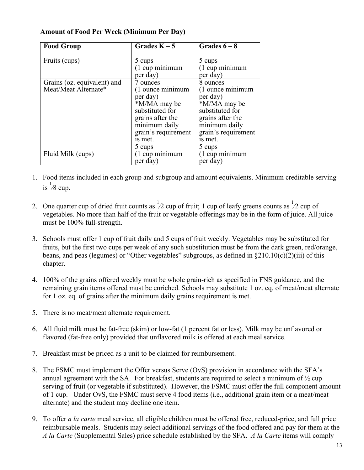| <b>Food Group</b>                                   | Grades $K-5$                                                                                                                                       | Grades $6-8$                                                                                                                                       |
|-----------------------------------------------------|----------------------------------------------------------------------------------------------------------------------------------------------------|----------------------------------------------------------------------------------------------------------------------------------------------------|
| Fruits (cups)                                       | 5 cups<br>$(1$ cup minimum<br>per day)                                                                                                             | 5 cups<br>(1 cup minimum<br>per day)                                                                                                               |
| Grains (oz. equivalent) and<br>Meat/Meat Alternate* | 7 ounces<br>(1 ounce minimum<br>per day)<br>*M/MA may be<br>substituted for<br>grains after the<br>minimum daily<br>grain's requirement<br>is met. | 8 ounces<br>(1 ounce minimum<br>per day)<br>*M/MA may be<br>substituted for<br>grains after the<br>minimum daily<br>grain's requirement<br>is met. |
| Fluid Milk (cups)                                   | 5 cups<br>$(1$ cup minimum<br>per day)                                                                                                             | 5 cups<br>$(1$ cup minimum<br>per day)                                                                                                             |

### **Amount of Food Per Week (Minimum Per Day)**

- 1. Food items included in each group and subgroup and amount equivalents. Minimum creditable serving is  ${}^{1}\!{\rm 8}$  cup.
- 2. One quarter cup of dried fruit counts as  $\frac{1}{2}$  cup of fruit; 1 cup of leafy greens counts as  $\frac{1}{2}$  cup of vegetables. No more than half of the fruit or vegetable offerings may be in the form of juice. All juice must be 100% full-strength.
- 3. Schools must offer 1 cup of fruit daily and 5 cups of fruit weekly. Vegetables may be substituted for fruits, but the first two cups per week of any such substitution must be from the dark green, red/orange, beans, and peas (legumes) or "Other vegetables" subgroups, as defined in §210.10(c)(2)(iii) of this chapter.
- 4. 100% of the grains offered weekly must be whole grain-rich as specified in FNS guidance, and the remaining grain items offered must be enriched. Schools may substitute 1 oz. eq. of meat/meat alternate for 1 oz. eq. of grains after the minimum daily grains requirement is met.
- 5. There is no meat/meat alternate requirement.
- 6. All fluid milk must be fat-free (skim) or low-fat (1 percent fat or less). Milk may be unflavored or flavored (fat-free only) provided that unflavored milk is offered at each meal service.
- 7. Breakfast must be priced as a unit to be claimed for reimbursement.
- 8. The FSMC must implement the Offer versus Serve (OvS) provision in accordance with the SFA's annual agreement with the SA. For breakfast, students are required to select a minimum of  $\frac{1}{2}$  cup serving of fruit (or vegetable if substituted). However, the FSMC must offer the full component amount of 1 cup. Under OvS, the FSMC must serve 4 food items (i.e., additional grain item or a meat/meat alternate) and the student may decline one item.
- 9. To offer *a la carte* meal service, all eligible children must be offered free, reduced-price, and full price reimbursable meals. Students may select additional servings of the food offered and pay for them at the *A la Carte* (Supplemental Sales) price schedule established by the SFA. *A la Carte* items will comply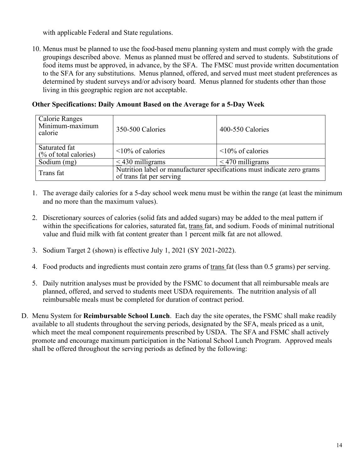with applicable Federal and State regulations.

10. Menus must be planned to use the food-based menu planning system and must comply with the grade groupings described above. Menus as planned must be offered and served to students. Substitutions of food items must be approved, in advance, by the SFA. The FMSC must provide written documentation to the SFA for any substitutions. Menus planned, offered, and served must meet student preferences as determined by student surveys and/or advisory board. Menus planned for students other than those living in this geographic region are not acceptable.

 **Other Specifications: Daily Amount Based on the Average for a 5-Day Week**

| Calorie Ranges<br>Minimum-maximum<br>calorie | 350-500 Calories                                                                                    | 400-550 Calories        |  |  |  |
|----------------------------------------------|-----------------------------------------------------------------------------------------------------|-------------------------|--|--|--|
| Saturated fat<br>$(\%$ of total calories)    | $\leq$ 10% of calories                                                                              | $\leq 10\%$ of calories |  |  |  |
| Sodium (mg)                                  | $<$ 430 milligrams                                                                                  | $<$ 470 milligrams      |  |  |  |
| Trans fat                                    | Nutrition label or manufacturer specifications must indicate zero grams<br>of trans fat per serving |                         |  |  |  |

- 1. The average daily calories for a 5-day school week menu must be within the range (at least the minimum and no more than the maximum values).
- 2. Discretionary sources of calories (solid fats and added sugars) may be added to the meal pattern if within the specifications for calories, saturated fat, trans fat, and sodium. Foods of minimal nutritional value and fluid milk with fat content greater than 1 percent milk fat are not allowed.
- 3. Sodium Target 2 (shown) is effective July 1, 2021 (SY 2021-2022).
- 4. Food products and ingredients must contain zero grams of trans fat (less than 0.5 grams) per serving.
- 5. Daily nutrition analyses must be provided by the FSMC to document that all reimbursable meals are planned, offered, and served to students meet USDA requirements. The nutrition analysis of all reimbursable meals must be completed for duration of contract period.
- D. Menu System for **Reimbursable School Lunch**. Each day the site operates, the FSMC shall make readily available to all students throughout the serving periods, designated by the SFA, meals priced as a unit, which meet the meal component requirements prescribed by USDA. The SFA and FSMC shall actively promote and encourage maximum participation in the National School Lunch Program. Approved meals shall be offered throughout the serving periods as defined by the following: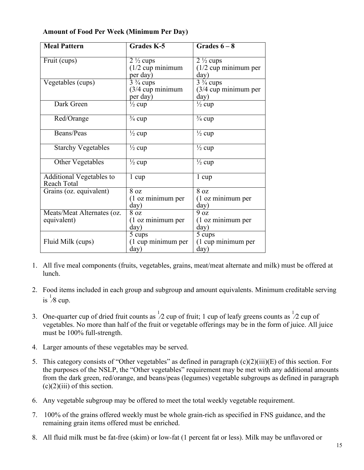| <b>Meal Pattern</b>        | <b>Grades K-5</b>                 | Grades $6-8$                      |  |  |
|----------------------------|-----------------------------------|-----------------------------------|--|--|
| Fruit (cups)               | $2\frac{1}{2}$ cups               | $2\frac{1}{2}$ cups               |  |  |
|                            | $(1/2$ cup minimum                | $(1/2$ cup minimum per            |  |  |
|                            | per day)                          | day)                              |  |  |
| Vegetables (cups)          | $\overline{3}$ $\frac{3}{4}$ cups | $\overline{3}$ $\frac{3}{4}$ cups |  |  |
|                            | $(3/4$ cup minimum                | $(3/4$ cup minimum per            |  |  |
|                            | per day)                          | day)                              |  |  |
| Dark Green                 | $\frac{1}{2}$ cup                 | $\frac{1}{2}$ cup                 |  |  |
|                            |                                   |                                   |  |  |
| Red/Orange                 | $\frac{3}{4}$ cup                 | $\frac{3}{4}$ cup                 |  |  |
| Beans/Peas                 |                                   |                                   |  |  |
|                            | $\frac{1}{2}$ cup                 | $\frac{1}{2}$ cup                 |  |  |
| <b>Starchy Vegetables</b>  | $\frac{1}{2}$ cup                 | $\frac{1}{2}$ cup                 |  |  |
|                            |                                   |                                   |  |  |
| Other Vegetables           | $\frac{1}{2}$ cup                 | $\frac{1}{2}$ cup                 |  |  |
|                            |                                   |                                   |  |  |
| Additional Vegetables to   | 1 cup                             | $1 \text{ cup}$                   |  |  |
| Reach Total                |                                   |                                   |  |  |
| Grains (oz. equivalent)    | $\overline{8}$ oz                 | $\overline{8}$ oz                 |  |  |
|                            | (1 oz minimum per                 | (1 oz minimum per                 |  |  |
|                            | day)                              | day)                              |  |  |
| Meats/Meat Alternates (oz. | 8 <sub>oz</sub>                   | 9 oz                              |  |  |
| equivalent)                | (1 oz minimum per                 | (1 oz minimum per                 |  |  |
|                            | day)                              | day)                              |  |  |
|                            | 5 cups                            | 5 cups                            |  |  |
| Fluid Milk (cups)          | (1 cup minimum per                | (1 cup minimum per                |  |  |
|                            | day)                              | day)                              |  |  |

### **Amount of Food Per Week (Minimum Per Day)**

- 1. All five meal components (fruits, vegetables, grains, meat/meat alternate and milk) must be offered at lunch.
- 2. Food items included in each group and subgroup and amount equivalents. Minimum creditable serving is  $\frac{1}{8}$  cup.
- 3. One-quarter cup of dried fruit counts as  $\frac{1}{2}$  cup of fruit; 1 cup of leafy greens counts as  $\frac{1}{2}$  cup of vegetables. No more than half of the fruit or vegetable offerings may be in the form of juice. All juice must be 100% full-strength.
- 4. Larger amounts of these vegetables may be served.
- 5. This category consists of "Other vegetables" as defined in paragraph (c)(2)(iii)(E) of this section. For the purposes of the NSLP, the "Other vegetables" requirement may be met with any additional amounts from the dark green, red/orange, and beans/peas (legumes) vegetable subgroups as defined in paragraph  $(c)(2)(iii)$  of this section.
- 6. Any vegetable subgroup may be offered to meet the total weekly vegetable requirement.
- 7. 100% of the grains offered weekly must be whole grain-rich as specified in FNS guidance, and the remaining grain items offered must be enriched.
- 8. All fluid milk must be fat-free (skim) or low-fat (1 percent fat or less). Milk may be unflavored or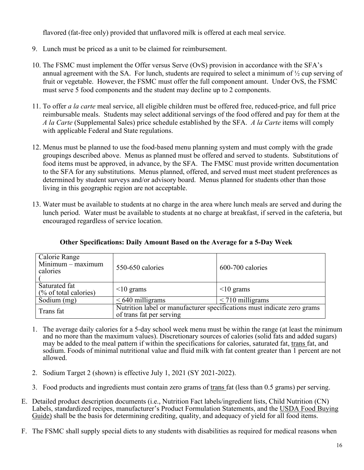flavored (fat-free only) provided that unflavored milk is offered at each meal service.

- 9. Lunch must be priced as a unit to be claimed for reimbursement.
- 10. The FSMC must implement the Offer versus Serve (OvS) provision in accordance with the SFA's annual agreement with the SA. For lunch, students are required to select a minimum of ½ cup serving of fruit or vegetable. However, the FSMC must offer the full component amount. Under OvS, the FSMC must serve 5 food components and the student may decline up to 2 components.
- 11. To offer *a la carte* meal service, all eligible children must be offered free, reduced-price, and full price reimbursable meals. Students may select additional servings of the food offered and pay for them at the *A la Carte* (Supplemental Sales) price schedule established by the SFA. *A la Carte* items will comply with applicable Federal and State regulations.
- 12. Menus must be planned to use the food-based menu planning system and must comply with the grade groupings described above. Menus as planned must be offered and served to students. Substitutions of food items must be approved, in advance, by the SFA. The FMSC must provide written documentation to the SFA for any substitutions. Menus planned, offered, and served must meet student preferences as determined by student surveys and/or advisory board. Menus planned for students other than those living in this geographic region are not acceptable.
- 13. Water must be available to students at no charge in the area where lunch meals are served and during the lunch period. Water must be available to students at no charge at breakfast, if served in the cafeteria, but encouraged regardless of service location.

| Calorie Range<br>$Minimum - maximum$<br>calories | 550-650 calories                                                                                    | 600-700 calories   |  |  |  |
|--------------------------------------------------|-----------------------------------------------------------------------------------------------------|--------------------|--|--|--|
| Saturated fat<br>(% of total calories)           | $\leq 10$ grams                                                                                     | $\leq 10$ grams    |  |  |  |
| Sodium (mg)                                      | $< 640$ milligrams                                                                                  | $<$ 710 milligrams |  |  |  |
| Trans fat                                        | Nutrition label or manufacturer specifications must indicate zero grams<br>of trans fat per serving |                    |  |  |  |

**Other Specifications: Daily Amount Based on the Average for a 5-Day Week**

- 1. The average daily calories for a 5-day school week menu must be within the range (at least the minimum and no more than the maximum values). Discretionary sources of calories (solid fats and added sugars) may be added to the meal pattern if within the specifications for calories, saturated fat, trans fat, and sodium. Foods of minimal nutritional value and fluid milk with fat content greater than 1 percent are not allowed.
- 2. Sodium Target 2 (shown) is effective July 1, 2021 (SY 2021-2022).
- 3. Food products and ingredients must contain zero grams of trans fat (less than 0.5 grams) per serving.
- E. Detailed product description documents (i.e., Nutrition Fact labels/ingredient lists, Child Nutrition (CN) Labels, standardized recipes, manufacturer's Product Formulation Statements, and the USDA Food Buying Guide) shall be the basis for determining crediting, quality, and adequacy of yield for all food items.
- F. The FSMC shall supply special diets to any students with disabilities as required for medical reasons when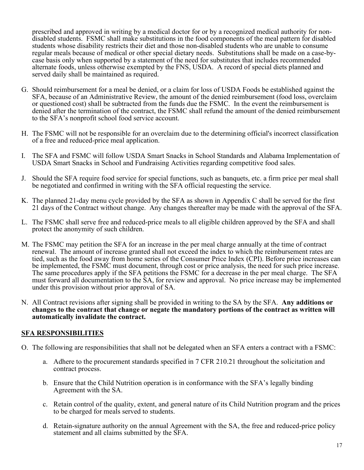prescribed and approved in writing by a medical doctor for or by a recognized medical authority for nondisabled students. FSMC shall make substitutions in the food components of the meal pattern for disabled students whose disability restricts their diet and those non-disabled students who are unable to consume regular meals because of medical or other special dietary needs. Substitutions shall be made on a case-bycase basis only when supported by a statement of the need for substitutes that includes recommended alternate foods, unless otherwise exempted by the FNS, USDA. A record of special diets planned and served daily shall be maintained as required.

- G. Should reimbursement for a meal be denied, or a claim for loss of USDA Foods be established against the SFA, because of an Administrative Review, the amount of the denied reimbursement (food loss, overclaim or questioned cost) shall be subtracted from the funds due the FSMC. In the event the reimbursement is denied after the termination of the contract, the FSMC shall refund the amount of the denied reimbursement to the SFA's nonprofit school food service account.
- H. The FSMC will not be responsible for an overclaim due to the determining official's incorrect classification of a free and reduced-price meal application.
- I. The SFA and FSMC will follow USDA Smart Snacks in School Standards and Alabama Implementation of USDA Smart Snacks in School and Fundraising Activities regarding competitive food sales.
- J. Should the SFA require food service for special functions, such as banquets, etc. a firm price per meal shall be negotiated and confirmed in writing with the SFA official requesting the service.
- K. The planned 21-day menu cycle provided by the SFA as shown in Appendix C shall be served for the first 21 days of the Contract without change. Any changes thereafter may be made with the approval of the SFA.
- L. The FSMC shall serve free and reduced-price meals to all eligible children approved by the SFA and shall protect the anonymity of such children.
- M. The FSMC may petition the SFA for an increase in the per meal charge annually at the time of contract renewal. The amount of increase granted shall not exceed the index to which the reimbursement rates are tied, such as the food away from home series of the Consumer Price Index (CPI). Before price increases can be implemented, the FSMC must document, through cost or price analysis, the need for such price increase. The same procedures apply if the SFA petitions the FSMC for a decrease in the per meal charge. The SFA must forward all documentation to the SA, for review and approval. No price increase may be implemented under this provision without prior approval of SA.
- N. All Contract revisions after signing shall be provided in writing to the SA by the SFA. **Any additions or changes to the contract that change or negate the mandatory portions of the contract as written will automatically invalidate the contract.**

### **SFA RESPONSIBILITIES**

- O. The following are responsibilities that shall not be delegated when an SFA enters a contract with a FSMC:
	- a. Adhere to the procurement standards specified in 7 CFR 210.21 throughout the solicitation and contract process.
	- b. Ensure that the Child Nutrition operation is in conformance with the SFA's legally binding Agreement with the SA.
	- c. Retain control of the quality, extent, and general nature of its Child Nutrition program and the prices to be charged for meals served to students.
	- d. Retain-signature authority on the annual Agreement with the SA, the free and reduced-price policy statement and all claims submitted by the SFA.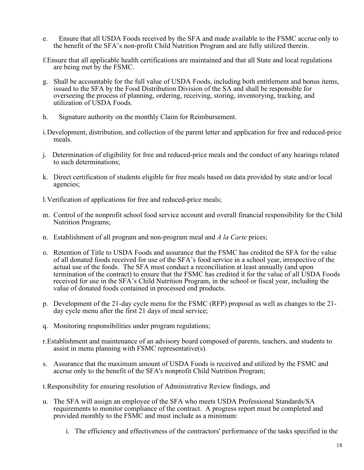- e. Ensure that all USDA Foods received by the SFA and made available to the FSMC accrue only to the benefit of the SFA's non-profit Child Nutrition Program and are fully utilized therein.
- f.Ensure that all applicable health certifications are maintained and that all State and local regulations are being met by the FSMC.
- g. Shall be accountable for the full value of USDA Foods, including both entitlement and bonus items, issued to the SFA by the Food Distribution Division of the SA and shall be responsible for overseeing the process of planning, ordering, receiving, storing, inventorying, tracking, and utilization of USDA Foods.
- h. Signature authority on the monthly Claim for Reimbursement.
- i.Development, distribution, and collection of the parent letter and application for free and reduced-price meals.
- j. Determination of eligibility for free and reduced-price meals and the conduct of any hearings related to such determinations;
- k. Direct certification of students eligible for free meals based on data provided by state and/or local agencies;
- l.Verification of applications for free and reduced-price meals;
- m. Control of the nonprofit school food service account and overall financial responsibility for the Child Nutrition Programs;
- n. Establishment of all program and non-program meal and *A la Carte* prices;
- o. Retention of Title to USDA Foods and assurance that the FSMC has credited the SFA for the value of all donated foods received for use of the SFA's food service in a school year, irrespective of the actual use of the foods. The SFA must conduct a reconciliation at least annually (and upon termination of the contract) to ensure that the FSMC has credited it for the value of all USDA Foods received for use in the SFA's Child Nutrition Program, in the school or fiscal year, including the value of donated foods contained in processed end products.
- p. Development of the 21-day cycle menu for the FSMC (RFP) proposal as well as changes to the 21- day cycle menu after the first 21 days of meal service;
- q. Monitoring responsibilities under program regulations;
- r.Establishment and maintenance of an advisory board composed of parents, teachers, and students to assist in menu planning with FSMC representative(s).
- s. Assurance that the maximum amount of USDA Foods is received and utilized by the FSMC and accrue only to the benefit of the SFA's nonprofit Child Nutrition Program;

t.Responsibility for ensuring resolution of Administrative Review findings, and

- u. The SFA will assign an employee of the SFA who meets USDA Professional Standards/SA requirements to monitor compliance of the contract. A progress report must be completed and provided monthly to the FSMC and must include as a minimum:
	- i. The efficiency and effectiveness of the contractors' performance of the tasks specified in the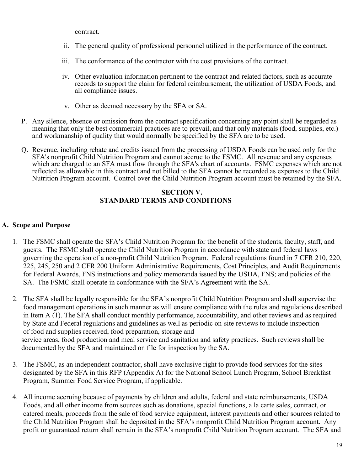contract.

- ii. The general quality of professional personnel utilized in the performance of the contract.
- iii. The conformance of the contractor with the cost provisions of the contract.
- iv. Other evaluation information pertinent to the contract and related factors, such as accurate records to support the claim for federal reimbursement, the utilization of USDA Foods, and all compliance issues.
- v. Other as deemed necessary by the SFA or SA.
- P. Any silence, absence or omission from the contract specification concerning any point shall be regarded as meaning that only the best commercial practices are to prevail, and that only materials (food, supplies, etc.) and workmanship of quality that would normally be specified by the SFA are to be used.
- Q. Revenue, including rebate and credits issued from the processing of USDA Foods can be used only for the SFA's nonprofit Child Nutrition Program and cannot accrue to the FSMC. All revenue and any expenses which are charged to an SFA must flow through the SFA's chart of accounts. FSMC expenses which are not reflected as allowable in this contract and not billed to the SFA cannot be recorded as expenses to the Child Nutrition Program account. Control over the Child Nutrition Program account must be retained by the SFA.

### **SECTION V. STANDARD TERMS AND CONDITIONS**

### **A. Scope and Purpose**

- 1. The FSMC shall operate the SFA's Child Nutrition Program for the benefit of the students, faculty, staff, and guests. The FSMC shall operate the Child Nutrition Program in accordance with state and federal laws governing the operation of a non-profit Child Nutrition Program. Federal regulations found in 7 CFR 210, 220, 225, 245, 250 and 2 CFR 200 Uniform Administrative Requirements, Cost Principles, and Audit Requirements for Federal Awards, FNS instructions and policy memoranda issued by the USDA, FNS; and policies of the SA. The FSMC shall operate in conformance with the SFA's Agreement with the SA.
- 2. The SFA shall be legally responsible for the SFA's nonprofit Child Nutrition Program and shall supervise the food management operations in such manner as will ensure compliance with the rules and regulations described in Item A (1). The SFA shall conduct monthly performance, accountability, and other reviews and as required by State and Federal regulations and guidelines as well as periodic on-site reviews to include inspection of food and supplies received, food preparation, storage and service areas, food production and meal service and sanitation and safety practices. Such reviews shall be documented by the SFA and maintained on file for inspection by the SA.
- 3. The FSMC, as an independent contractor, shall have exclusive right to provide food services for the sites designated by the SFA in this RFP (Appendix A) for the National School Lunch Program, School Breakfast Program, Summer Food Service Program, if applicable.
- 4. All income accruing because of payments by children and adults, federal and state reimbursements, USDA Foods, and all other income from sources such as donations, special functions, a la carte sales, contract, or catered meals, proceeds from the sale of food service equipment, interest payments and other sources related to the Child Nutrition Program shall be deposited in the SFA's nonprofit Child Nutrition Program account. Any profit or guaranteed return shall remain in the SFA's nonprofit Child Nutrition Program account. The SFA and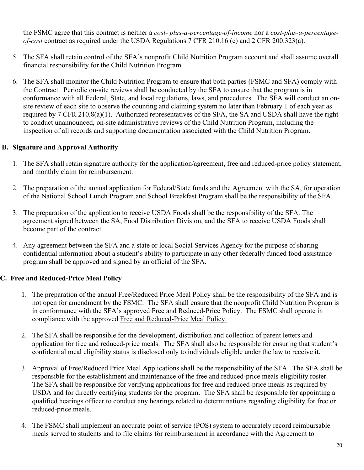the FSMC agree that this contract is neither a *cost- plus-a-percentage-of-income* nor a *cost-plus-a-percentageof-cost* contract as required under the USDA Regulations 7 CFR 210.16 (c) and 2 CFR 200.323(a).

- 5. The SFA shall retain control of the SFA's nonprofit Child Nutrition Program account and shall assume overall financial responsibility for the Child Nutrition Program.
- 6. The SFA shall monitor the Child Nutrition Program to ensure that both parties (FSMC and SFA) comply with the Contract. Periodic on-site reviews shall be conducted by the SFA to ensure that the program is in conformance with all Federal, State, and local regulations, laws, and procedures. The SFA will conduct an onsite review of each site to observe the counting and claiming system no later than February 1 of each year as required by 7 CFR 210.8(a)(1). Authorized representatives of the SFA, the SA and USDA shall have the right to conduct unannounced, on-site administrative reviews of the Child Nutrition Program, including the inspection of all records and supporting documentation associated with the Child Nutrition Program.

### **B. Signature and Approval Authority**

- 1. The SFA shall retain signature authority for the application/agreement, free and reduced-price policy statement, and monthly claim for reimbursement.
- 2. The preparation of the annual application for Federal/State funds and the Agreement with the SA, for operation of the National School Lunch Program and School Breakfast Program shall be the responsibility of the SFA.
- 3. The preparation of the application to receive USDA Foods shall be the responsibility of the SFA. The agreement signed between the SA, Food Distribution Division, and the SFA to receive USDA Foods shall become part of the contract.
- 4. Any agreement between the SFA and a state or local Social Services Agency for the purpose of sharing confidential information about a student's ability to participate in any other federally funded food assistance program shall be approved and signed by an official of the SFA.

### **C. Free and Reduced-Price Meal Policy**

- 1. The preparation of the annual Free/Reduced Price Meal Policy shall be the responsibility of the SFA and is not open for amendment by the FSMC. The SFA shall ensure that the nonprofit Child Nutrition Program is in conformance with the SFA's approved Free and Reduced-Price Policy. The FSMC shall operate in compliance with the approved Free and Reduced-Price Meal Policy.
- 2. The SFA shall be responsible for the development, distribution and collection of parent letters and application for free and reduced-price meals. The SFA shall also be responsible for ensuring that student's confidential meal eligibility status is disclosed only to individuals eligible under the law to receive it.
- 3. Approval of Free/Reduced Price Meal Applications shall be the responsibility of the SFA. The SFA shall be responsible for the establishment and maintenance of the free and reduced-price meals eligibility roster. The SFA shall be responsible for verifying applications for free and reduced-price meals as required by USDA and for directly certifying students for the program. The SFA shall be responsible for appointing a qualified hearings officer to conduct any hearings related to determinations regarding eligibility for free or reduced-price meals.
- 4. The FSMC shall implement an accurate point of service (POS) system to accurately record reimbursable meals served to students and to file claims for reimbursement in accordance with the Agreement to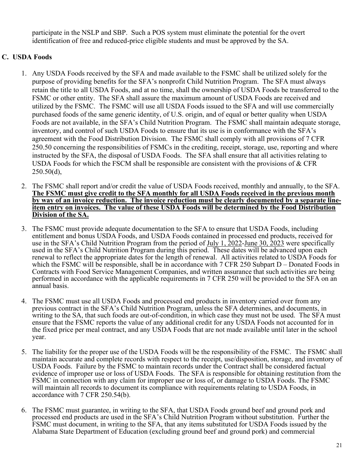participate in the NSLP and SBP. Such a POS system must eliminate the potential for the overt identification of free and reduced-price eligible students and must be approved by the SA.

### **C. USDA Foods**

- 1. Any USDA Foods received by the SFA and made available to the FSMC shall be utilized solely for the purpose of providing benefits for the SFA's nonprofit Child Nutrition Program. The SFA must always retain the title to all USDA Foods, and at no time, shall the ownership of USDA Foods be transferred to the FSMC or other entity. The SFA shall assure the maximum amount of USDA Foods are received and utilized by the FSMC. The FSMC will use all USDA Foods issued to the SFA and will use commercially purchased foods of the same generic identity, of U.S. origin, and of equal or better quality when USDA Foods are not available, in the SFA's Child Nutrition Program. The FSMC shall maintain adequate storage, inventory, and control of such USDA Foods to ensure that its use is in conformance with the SFA's agreement with the Food Distribution Division. The FSMC shall comply with all provisions of 7 CFR 250.50 concerning the responsibilities of FSMCs in the crediting, receipt, storage, use, reporting and where instructed by the SFA, the disposal of USDA Foods. The SFA shall ensure that all activities relating to USDA Foods for which the FSCM shall be responsible are consistent with the provisions of  $& CFR$  $250.50(d)$ ,
- 2. The FSMC shall report and/or credit the value of USDA Foods received, monthly and annually, to the SFA. **The FSMC must give credit to the SFA monthly for all USDA Foods received in the previous month by way of an invoice reduction. The invoice reduction must be clearly documented by a separate line- item entry on invoices. The value of these USDA Foods will be determined by the Food Distribution Division of the SA.**
- 3. The FSMC must provide adequate documentation to the SFA to ensure that USDA Foods, including entitlement and bonus USDA Foods, and USDA Foods contained in processed end products, received for use in the SFA's Child Nutrition Program from the period of July 1, 2022-June 30, 2023 were specifically used in the SFA's Child Nutrition Program during this period. These dates will be advanced upon each renewal to reflect the appropriate dates for the length of renewal. All activities related to USDA Foods for which the FSMC will be responsible, shall be in accordance with 7 CFR 250 Subpart D – Donated Foods in Contracts with Food Service Management Companies, and written assurance that such activities are being performed in accordance with the applicable requirements in 7 CFR 250 will be provided to the SFA on an annual basis.
- 4. The FSMC must use all USDA Foods and processed end products in inventory carried over from any previous contract in the SFA's Child Nutrition Program, unless the SFA determines, and documents, in writing to the SA, that such foods are out-of-condition, in which case they must not be used. The SFA must ensure that the FSMC reports the value of any additional credit for any USDA Foods not accounted for in the fixed price per meal contract, and any USDA Foods that are not made available until later in the school year.
- 5. The liability for the proper use of the USDA Foods will be the responsibility of the FSMC. The FSMC shall maintain accurate and complete records with respect to the receipt, use/disposition, storage, and inventory of USDA Foods. Failure by the FSMC to maintain records under the Contract shall be considered factual evidence of improper use or loss of USDA Foods. The SFA is responsible for obtaining restitution from the FSMC in connection with any claim for improper use or loss of, or damage to USDA Foods. The FSMC will maintain all records to document its compliance with requirements relating to USDA Foods, in accordance with 7 CFR 250.54(b).
- 6. The FSMC must guarantee, in writing to the SFA, that USDA Foods ground beef and ground pork and processed end products are used in the SFA's Child Nutrition Program without substitution. Further the FSMC must document, in writing to the SFA, that any items substituted for USDA Foods issued by the Alabama State Department of Education (excluding ground beef and ground pork) and commercial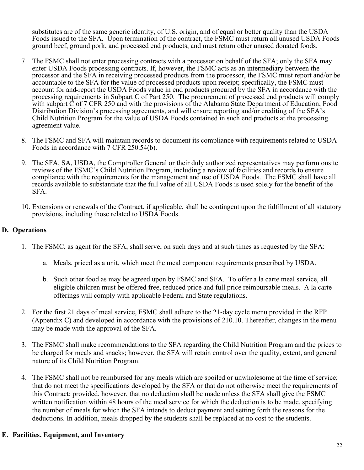substitutes are of the same generic identity, of U.S. origin, and of equal or better quality than the USDA Foods issued to the SFA. Upon termination of the contract, the FSMC must return all unused USDA Foods ground beef, ground pork, and processed end products, and must return other unused donated foods.

- 7. The FSMC shall not enter processing contracts with a processor on behalf of the SFA; only the SFA may enter USDA Foods processing contracts. If, however, the FSMC acts as an intermediary between the processor and the SFA in receiving processed products from the processor, the FSMC must report and/or be accountable to the SFA for the value of processed products upon receipt; specifically, the FSMC must account for and report the USDA Foods value in end products procured by the SFA in accordance with the processing requirements in Subpart C of Part 250. The procurement of processed end products will comply with subpart C of 7 CFR 250 and with the provisions of the Alabama State Department of Education, Food Distribution Division's processing agreements, and will ensure reporting and/or crediting of the SFA's Child Nutrition Program for the value of USDA Foods contained in such end products at the processing agreement value.
- 8. The FSMC and SFA will maintain records to document its compliance with requirements related to USDA Foods in accordance with 7 CFR 250.54(b).
- 9. The SFA, SA, USDA, the Comptroller General or their duly authorized representatives may perform onsite reviews of the FSMC's Child Nutrition Program, including a review of facilities and records to ensure compliance with the requirements for the management and use of USDA Foods. The FSMC shall have all records available to substantiate that the full value of all USDA Foods is used solely for the benefit of the SFA.
- 10. Extensions or renewals of the Contract, if applicable, shall be contingent upon the fulfillment of all statutory provisions, including those related to USDA Foods.

### **D. Operations**

- 1. The FSMC, as agent for the SFA, shall serve, on such days and at such times as requested by the SFA:
	- a. Meals, priced as a unit, which meet the meal component requirements prescribed by USDA.
	- b. Such other food as may be agreed upon by FSMC and SFA. To offer a la carte meal service, all eligible children must be offered free, reduced price and full price reimbursable meals. A la carte offerings will comply with applicable Federal and State regulations.
- 2. For the first 21 days of meal service, FSMC shall adhere to the 21-day cycle menu provided in the RFP (Appendix C) and developed in accordance with the provisions of 210.10. Thereafter, changes in the menu may be made with the approval of the SFA.
- 3. The FSMC shall make recommendations to the SFA regarding the Child Nutrition Program and the prices to be charged for meals and snacks; however, the SFA will retain control over the quality, extent, and general nature of its Child Nutrition Program.
- 4. The FSMC shall not be reimbursed for any meals which are spoiled or unwholesome at the time of service; that do not meet the specifications developed by the SFA or that do not otherwise meet the requirements of this Contract; provided, however, that no deduction shall be made unless the SFA shall give the FSMC written notification within 48 hours of the meal service for which the deduction is to be made, specifying the number of meals for which the SFA intends to deduct payment and setting forth the reasons for the deductions. In addition, meals dropped by the students shall be replaced at no cost to the students.

### **E. Facilities, Equipment, and Inventory**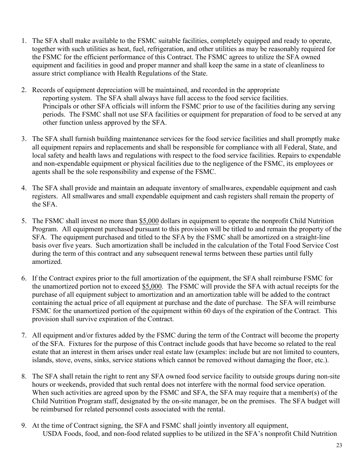- 1. The SFA shall make available to the FSMC suitable facilities, completely equipped and ready to operate, together with such utilities as heat, fuel, refrigeration, and other utilities as may be reasonably required for the FSMC for the efficient performance of this Contract. The FSMC agrees to utilize the SFA owned equipment and facilities in good and proper manner and shall keep the same in a state of cleanliness to assure strict compliance with Health Regulations of the State.
- 2. Records of equipment depreciation will be maintained, and recorded in the appropriate reporting system. The SFA shall always have full access to the food service facilities. Principals or other SFA officials will inform the FSMC prior to use of the facilities during any serving periods. The FSMC shall not use SFA facilities or equipment for preparation of food to be served at any other function unless approved by the SFA.
- 3. The SFA shall furnish building maintenance services for the food service facilities and shall promptly make all equipment repairs and replacements and shall be responsible for compliance with all Federal, State, and local safety and health laws and regulations with respect to the food service facilities. Repairs to expendable and non-expendable equipment or physical facilities due to the negligence of the FSMC, its employees or agents shall be the sole responsibility and expense of the FSMC.
- 4. The SFA shall provide and maintain an adequate inventory of smallwares, expendable equipment and cash registers. All smallwares and small expendable equipment and cash registers shall remain the property of the SFA.
- 5. The FSMC shall invest no more than \$5,000 dollars in equipment to operate the nonprofit Child Nutrition Program. All equipment purchased pursuant to this provision will be titled to and remain the property of the SFA. The equipment purchased and titled to the SFA by the FSMC shall be amortized on a straight-line basis over five years. Such amortization shall be included in the calculation of the Total Food Service Cost during the term of this contract and any subsequent renewal terms between these parties until fully amortized.
- 6. If the Contract expires prior to the full amortization of the equipment, the SFA shall reimburse FSMC for the unamortized portion not to exceed \$5,000. The FSMC will provide the SFA with actual receipts for the purchase of all equipment subject to amortization and an amortization table will be added to the contract containing the actual price of all equipment at purchase and the date of purchase. The SFA will reimburse FSMC for the unamortized portion of the equipment within 60 days of the expiration of the Contract. This provision shall survive expiration of the Contract.
- 7. All equipment and/or fixtures added by the FSMC during the term of the Contract will become the property of the SFA. Fixtures for the purpose of this Contract include goods that have become so related to the real estate that an interest in them arises under real estate law (examples: include but are not limited to counters, islands, stove, ovens, sinks, service stations which cannot be removed without damaging the floor, etc.).
- 8. The SFA shall retain the right to rent any SFA owned food service facility to outside groups during non-site hours or weekends, provided that such rental does not interfere with the normal food service operation. When such activities are agreed upon by the FSMC and SFA, the SFA may require that a member(s) of the Child Nutrition Program staff, designated by the on-site manager, be on the premises. The SFA budget will be reimbursed for related personnel costs associated with the rental.
- 9. At the time of Contract signing, the SFA and FSMC shall jointly inventory all equipment, USDA Foods, food, and non-food related supplies to be utilized in the SFA's nonprofit Child Nutrition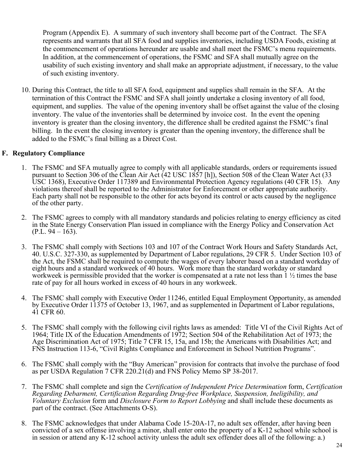Program (Appendix E). A summary of such inventory shall become part of the Contract. The SFA represents and warrants that all SFA food and supplies inventories, including USDA Foods, existing at the commencement of operations hereunder are usable and shall meet the FSMC's menu requirements. In addition, at the commencement of operations, the FSMC and SFA shall mutually agree on the usability of such existing inventory and shall make an appropriate adjustment, if necessary, to the value of such existing inventory.

10. During this Contract, the title to all SFA food, equipment and supplies shall remain in the SFA. At the termination of this Contract the FSMC and SFA shall jointly undertake a closing inventory of all food, equipment, and supplies. The value of the opening inventory shall be offset against the value of the closing inventory. The value of the inventories shall be determined by invoice cost. In the event the opening inventory is greater than the closing inventory, the difference shall be credited against the FSMC's final billing. In the event the closing inventory is greater than the opening inventory, the difference shall be added to the FSMC's final billing as a Direct Cost.

### **F. Regulatory Compliance**

- 1. The FSMC and SFA mutually agree to comply with all applicable standards, orders or requirements issued pursuant to Section 306 of the Clean Air Act (42 USC 1857 [h]), Section 508 of the Clean Water Act (33 USC 1368), Executive Order 117389 and Environmental Protection Agency regulations (40 CFR 15). Any violations thereof shall be reported to the Administrator for Enforcement or other appropriate authority. Each party shall not be responsible to the other for acts beyond its control or acts caused by the negligence of the other party.
- 2. The FSMC agrees to comply with all mandatory standards and policies relating to energy efficiency as cited in the State Energy Conservation Plan issued in compliance with the Energy Policy and Conservation Act  $(P.L. 94 - 163).$
- 3. The FSMC shall comply with Sections 103 and 107 of the Contract Work Hours and Safety Standards Act, 40. U.S.C. 327-330, as supplemented by Department of Labor regulations, 29 CFR 5. Under Section 103 of the Act, the FSMC shall be required to compute the wages of every laborer based on a standard workday of eight hours and a standard workweek of 40 hours. Work more than the standard workday or standard workweek is permissible provided that the worker is compensated at a rate not less than 1  $\frac{1}{2}$  times the base rate of pay for all hours worked in excess of 40 hours in any workweek.
- 4. The FSMC shall comply with Executive Order 11246, entitled Equal Employment Opportunity, as amended by Executive Order 11375 of October 13, 1967, and as supplemented in Department of Labor regulations, 41 CFR 60.
- 5. The FSMC shall comply with the following civil rights laws as amended: Title VI of the Civil Rights Act of 1964; Title IX of the Education Amendments of 1972; Section 504 of the Rehabilitation Act of 1973; the Age Discrimination Act of 1975; Title 7 CFR 15, 15a, and 15b; the Americans with Disabilities Act; and FNS Instruction 113-6, "Civil Rights Compliance and Enforcement in School Nutrition Programs".
- 6. The FSMC shall comply with the "Buy American" provision for contracts that involve the purchase of food as per USDA Regulation 7 CFR 220.21(d) and FNS Policy Memo SP 38-2017.
- 7. The FSMC shall complete and sign the *Certification of Independent Price Determination* form, *Certification Regarding Debarment, Certification Regarding Drug-free Workplace, Suspension, Ineligibility, and Voluntary Exclusion* form and *Disclosure Form to Report Lobbying* and shall include these documents as part of the contract. (See Attachments O-S).
- 8. The FSMC acknowledges that under Alabama Code 15-20A-17, no adult sex offender, after having been convicted of a sex offense involving a minor, shall enter onto the property of a K-12 school while school is in session or attend any K-12 school activity unless the adult sex offender does all of the following: a.)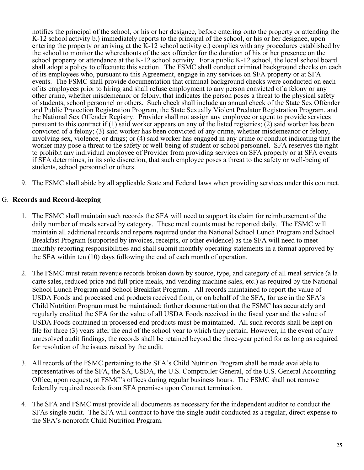notifies the principal of the school, or his or her designee, before entering onto the property or attending the K-12 school activity b.) immediately reports to the principal of the school, or his or her designee, upon entering the property or arriving at the  $\bar{K}$ -12 school activity c.) complies with any procedures established by the school to monitor the whereabouts of the sex offender for the duration of his or her presence on the school property or attendance at the K-12 school activity. For a public K-12 school, the local school board shall adopt a policy to effectuate this section. The FSMC shall conduct criminal background checks on each of its employees who, pursuant to this Agreement, engage in any services on SFA property or at SFA events. The FSMC shall provide documentation that criminal background checks were conducted on each of its employees prior to hiring and shall refuse employment to any person convicted of a felony or any other crime, whether misdemeanor or felony, that indicates the person poses a threat to the physical safety of students, school personnel or others. Such check shall include an annual check of the State Sex Offender and Public Protection Registration Program, the State Sexually Violent Predator Registration Program, and the National Sex Offender Registry. Provider shall not assign any employee or agent to provide services pursuant to this contract if  $(1)$  said worker appears on any of the listed registries;  $(2)$  said worker has been convicted of a felony; (3) said worker has been convicted of any crime, whether misdemeanor or felony, involving sex, violence, or drugs; or (4) said worker has engaged in any crime or conduct indicating that the worker may pose a threat to the safety or well-being of student or school personnel. SFA reserves the right to prohibit any individual employee of Provider from providing services on SFA property or at SFA events if SFA determines, in its sole discretion, that such employee poses a threat to the safety or well-being of students, school personnel or others.

9. The FSMC shall abide by all applicable State and Federal laws when providing services under this contract.

### G. **Records and Record-keeping**

- 1. The FSMC shall maintain such records the SFA will need to support its claim for reimbursement of the daily number of meals served by category. These meal counts must be reported daily. The FSMC will maintain all additional records and reports required under the National School Lunch Program and School Breakfast Program (supported by invoices, receipts, or other evidence) as the SFA will need to meet monthly reporting responsibilities and shall submit monthly operating statements in a format approved by the SFA within ten (10) days following the end of each month of operation.
- 2. The FSMC must retain revenue records broken down by source, type, and category of all meal service (a la carte sales, reduced price and full price meals, and vending machine sales, etc.) as required by the National School Lunch Program and School Breakfast Program. All records maintained to report the value of USDA Foods and processed end products received from, or on behalf of the SFA, for use in the SFA's Child Nutrition Program must be maintained; further documentation that the FSMC has accurately and regularly credited the SFA for the value of all USDA Foods received in the fiscal year and the value of USDA Foods contained in processed end products must be maintained. All such records shall be kept on file for three (3) years after the end of the school year to which they pertain. However, in the event of any unresolved audit findings, the records shall be retained beyond the three-year period for as long as required for resolution of the issues raised by the audit.
- 3. All records of the FSMC pertaining to the SFA's Child Nutrition Program shall be made available to representatives of the SFA, the SA, USDA, the U.S. Comptroller General, of the U.S. General Accounting Office, upon request, at FSMC's offices during regular business hours. The FSMC shall not remove federally required records from SFA premises upon Contract termination.
- 4. The SFA and FSMC must provide all documents as necessary for the independent auditor to conduct the SFAs single audit. The SFA will contract to have the single audit conducted as a regular, direct expense to the SFA's nonprofit Child Nutrition Program.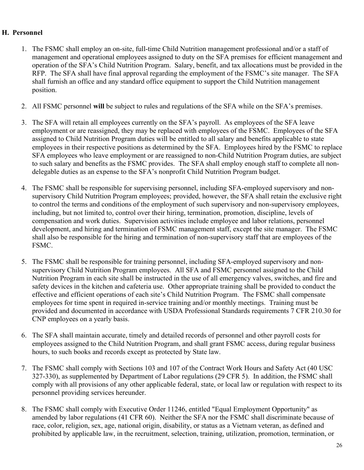#### **H. Personnel**

- 1. The FSMC shall employ an on-site, full-time Child Nutrition management professional and/or a staff of management and operational employees assigned to duty on the SFA premises for efficient management and operation of the SFA's Child Nutrition Program. Salary, benefit, and tax allocations must be provided in the RFP. The SFA shall have final approval regarding the employment of the FSMC's site manager. The SFA shall furnish an office and any standard office equipment to support the Child Nutrition management position.
- 2. All FSMC personnel **will** be subject to rules and regulations of the SFA while on the SFA's premises.
- 3. The SFA will retain all employees currently on the SFA's payroll. As employees of the SFA leave employment or are reassigned, they may be replaced with employees of the FSMC. Employees of the SFA assigned to Child Nutrition Program duties will be entitled to all salary and benefits applicable to state employees in their respective positions as determined by the SFA. Employees hired by the FSMC to replace SFA employees who leave employment or are reassigned to non-Child Nutrition Program duties, are subject to such salary and benefits as the FSMC provides. The SFA shall employ enough staff to complete all nondelegable duties as an expense to the SFA's nonprofit Child Nutrition Program budget.
- 4. The FSMC shall be responsible for supervising personnel, including SFA-employed supervisory and nonsupervisory Child Nutrition Program employees; provided, however, the SFA shall retain the exclusive right to control the terms and conditions of the employment of such supervisory and non-supervisory employees, including, but not limited to, control over their hiring, termination, promotion, discipline, levels of compensation and work duties. Supervision activities include employee and labor relations, personnel development, and hiring and termination of FSMC management staff, except the site manager. The FSMC shall also be responsible for the hiring and termination of non-supervisory staff that are employees of the FSMC.
- 5. The FSMC shall be responsible for training personnel, including SFA-employed supervisory and nonsupervisory Child Nutrition Program employees. All SFA and FSMC personnel assigned to the Child Nutrition Program in each site shall be instructed in the use of all emergency valves, switches, and fire and safety devices in the kitchen and cafeteria use. Other appropriate training shall be provided to conduct the effective and efficient operations of each site's Child Nutrition Program. The FSMC shall compensate employees for time spent in required in-service training and/or monthly meetings. Training must be provided and documented in accordance with USDA Professional Standards requirements 7 CFR 210.30 for CNP employees on a yearly basis.
- 6. The SFA shall maintain accurate, timely and detailed records of personnel and other payroll costs for employees assigned to the Child Nutrition Program, and shall grant FSMC access, during regular business hours, to such books and records except as protected by State law.
- 7. The FSMC shall comply with Sections 103 and 107 of the Contract Work Hours and Safety Act (40 USC 327-330), as supplemented by Department of Labor regulations (29 CFR 5). In addition, the FSMC shall comply with all provisions of any other applicable federal, state, or local law or regulation with respect to its personnel providing services hereunder.
- 8. The FSMC shall comply with Executive Order 11246, entitled "Equal Employment Opportunity" as amended by labor regulations (41 CFR 60). Neither the SFA nor the FSMC shall discriminate because of race, color, religion, sex, age, national origin, disability, or status as a Vietnam veteran, as defined and prohibited by applicable law, in the recruitment, selection, training, utilization, promotion, termination, or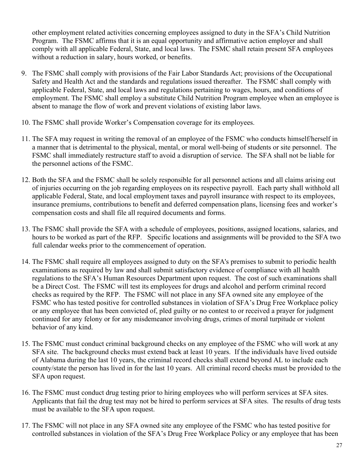other employment related activities concerning employees assigned to duty in the SFA's Child Nutrition Program. The FSMC affirms that it is an equal opportunity and affirmative action employer and shall comply with all applicable Federal, State, and local laws. The FSMC shall retain present SFA employees without a reduction in salary, hours worked, or benefits.

- 9. The FSMC shall comply with provisions of the Fair Labor Standards Act; provisions of the Occupational Safety and Health Act and the standards and regulations issued thereafter. The FSMC shall comply with applicable Federal, State, and local laws and regulations pertaining to wages, hours, and conditions of employment. The FSMC shall employ a substitute Child Nutrition Program employee when an employee is absent to manage the flow of work and prevent violations of existing labor laws.
- 10. The FSMC shall provide Worker's Compensation coverage for its employees.
- 11. The SFA may request in writing the removal of an employee of the FSMC who conducts himself/herself in a manner that is detrimental to the physical, mental, or moral well-being of students or site personnel. The FSMC shall immediately restructure staff to avoid a disruption of service. The SFA shall not be liable for the personnel actions of the FSMC.
- 12. Both the SFA and the FSMC shall be solely responsible for all personnel actions and all claims arising out of injuries occurring on the job regarding employees on its respective payroll. Each party shall withhold all applicable Federal, State, and local employment taxes and payroll insurance with respect to its employees, insurance premiums, contributions to benefit and deferred compensation plans, licensing fees and worker's compensation costs and shall file all required documents and forms.
- 13. The FSMC shall provide the SFA with a schedule of employees, positions, assigned locations, salaries, and hours to be worked as part of the RFP. Specific locations and assignments will be provided to the SFA two full calendar weeks prior to the commencement of operation.
- 14. The FSMC shall require all employees assigned to duty on the SFA's premises to submit to periodic health examinations as required by law and shall submit satisfactory evidence of compliance with all health regulations to the SFA's Human Resources Department upon request. The cost of such examinations shall be a Direct Cost. The FSMC will test its employees for drugs and alcohol and perform criminal record checks as required by the RFP. The FSMC will not place in any SFA owned site any employee of the FSMC who has tested positive for controlled substances in violation of SFA's Drug Free Workplace policy or any employee that has been convicted of, pled guilty or no contest to or received a prayer for judgment continued for any felony or for any misdemeanor involving drugs, crimes of moral turpitude or violent behavior of any kind.
- 15. The FSMC must conduct criminal background checks on any employee of the FSMC who will work at any SFA site. The background checks must extend back at least 10 years. If the individuals have lived outside of Alabama during the last 10 years, the criminal record checks shall extend beyond AL to include each county/state the person has lived in for the last 10 years. All criminal record checks must be provided to the SFA upon request.
- 16. The FSMC must conduct drug testing prior to hiring employees who will perform services at SFA sites. Applicants that fail the drug test may not be hired to perform services at SFA sites. The results of drug tests must be available to the SFA upon request.
- 17. The FSMC will not place in any SFA owned site any employee of the FSMC who has tested positive for controlled substances in violation of the SFA's Drug Free Workplace Policy or any employee that has been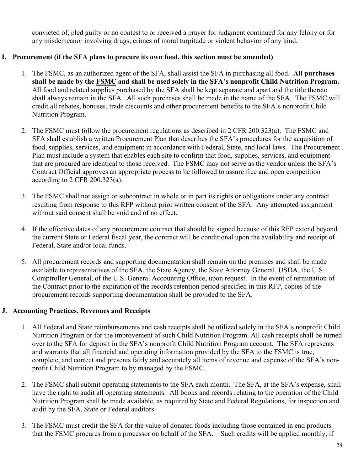convicted of, pled guilty or no contest to or received a prayer for judgment continued for any felony or for any misdemeanor involving drugs, crimes of moral turpitude or violent behavior of any kind.

### **I. Procurement (if the SFA plans to procure its own food, this section must be amended)**

- 1. The FSMC, as an authorized agent of the SFA, shall assist the SFA in purchasing all food. **All purchases shall be made by the FSMC and shall be used solely in the SFA's nonprofit Child Nutrition Program.** All food and related supplies purchased by the SFA shall be kept separate and apart and the title thereto shall always remain in the SFA. All such purchases shall be made in the name of the SFA. The FSMC will credit all rebates, bonuses, trade discounts and other procurement benefits to the SFA's nonprofit Child Nutrition Program.
- 2. The FSMC must follow the procurement regulations as described in 2 CFR 200.323(a). The FSMC and SFA shall establish a written Procurement Plan that describes the SFA's procedures for the acquisition of food, supplies, services, and equipment in accordance with Federal, State, and local laws. The Procurement Plan must include a system that enables each site to confirm that food, supplies, services, and equipment that are procured are identical to those received. The FSMC may not serve as the vendor unless the SFA's Contract Official approves an appropriate process to be followed to assure free and open competition according to 2 CFR 200.323(a).
- 3. The FSMC shall not assign or subcontract in whole or in part its rights or obligations under any contract resulting from response to this RFP without prior written consent of the SFA. Any attempted assignment without said consent shall be void and of no effect.
- 4. If the effective dates of any procurement contract that should be signed because of this RFP extend beyond the current State or Federal fiscal year, the contract will be conditional upon the availability and receipt of Federal, State and/or local funds.
- 5. All procurement records and supporting documentation shall remain on the premises and shall be made available to representatives of the SFA, the State Agency, the State Attorney General, USDA, the U.S. Comptroller General, of the U.S. General Accounting Office, upon request. In the event of termination of the Contract prior to the expiration of the records retention period specified in this RFP, copies of the procurement records supporting documentation shall be provided to the SFA.

### **J. Accounting Practices, Revenues and Receipts**

- 1. All Federal and State reimbursements and cash receipts shall be utilized solely in the SFA's nonprofit Child Nutrition Program or for the improvement of such Child Nutrition Program. All cash receipts shall be turned over to the SFA for deposit in the SFA's nonprofit Child Nutrition Program account. The SFA represents and warrants that all financial and operating information provided by the SFA to the FSMC is true, complete, and correct and presents fairly and accurately all items of revenue and expense of the SFA's nonprofit Child Nutrition Program to by managed by the FSMC.
- 2. The FSMC shall submit operating statements to the SFA each month. The SFA, at the SFA's expense, shall have the right to audit all operating statements. All books and records relating to the operation of the Child Nutrition Program shall be made available, as required by State and Federal Regulations, for inspection and audit by the SFA, State or Federal auditors.
- 3. The FSMC must credit the SFA for the value of donated foods including those contained in end products that the FSMC procures from a processor on behalf of the SFA. Such credits will be applied monthly, if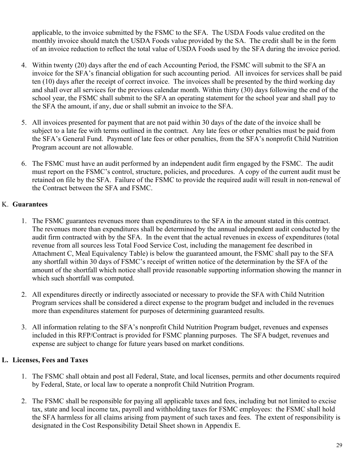applicable, to the invoice submitted by the FSMC to the SFA. The USDA Foods value credited on the monthly invoice should match the USDA Foods value provided by the SA. The credit shall be in the form of an invoice reduction to reflect the total value of USDA Foods used by the SFA during the invoice period.

- 4. Within twenty (20) days after the end of each Accounting Period, the FSMC will submit to the SFA an invoice for the SFA's financial obligation for such accounting period. All invoices for services shall be paid ten (10) days after the receipt of correct invoice. The invoices shall be presented by the third working day and shall over all services for the previous calendar month. Within thirty (30) days following the end of the school year, the FSMC shall submit to the SFA an operating statement for the school year and shall pay to the SFA the amount, if any, due or shall submit an invoice to the SFA.
- 5. All invoices presented for payment that are not paid within 30 days of the date of the invoice shall be subject to a late fee with terms outlined in the contract. Any late fees or other penalties must be paid from the SFA's General Fund. Payment of late fees or other penalties, from the SFA's nonprofit Child Nutrition Program account are not allowable.
- 6. The FSMC must have an audit performed by an independent audit firm engaged by the FSMC. The audit must report on the FSMC's control, structure, policies, and procedures. A copy of the current audit must be retained on file by the SFA. Failure of the FSMC to provide the required audit will result in non-renewal of the Contract between the SFA and FSMC.

### K. **Guarantees**

- 1. The FSMC guarantees revenues more than expenditures to the SFA in the amount stated in this contract. The revenues more than expenditures shall be determined by the annual independent audit conducted by the audit firm contracted with by the SFA. In the event that the actual revenues in excess of expenditures (total revenue from all sources less Total Food Service Cost, including the management fee described in Attachment C, Meal Equivalency Table) is below the guaranteed amount, the FSMC shall pay to the SFA any shortfall within 30 days of FSMC's receipt of written notice of the determination by the SFA of the amount of the shortfall which notice shall provide reasonable supporting information showing the manner in which such shortfall was computed.
- 2. All expenditures directly or indirectly associated or necessary to provide the SFA with Child Nutrition Program services shall be considered a direct expense to the program budget and included in the revenues more than expenditures statement for purposes of determining guaranteed results.
- 3. All information relating to the SFA's nonprofit Child Nutrition Program budget, revenues and expenses included in this RFP/Contract is provided for FSMC planning purposes. The SFA budget, revenues and expense are subject to change for future years based on market conditions.

### **L. Licenses, Fees and Taxes**

- 1. The FSMC shall obtain and post all Federal, State, and local licenses, permits and other documents required by Federal, State, or local law to operate a nonprofit Child Nutrition Program.
- 2. The FSMC shall be responsible for paying all applicable taxes and fees, including but not limited to excise tax, state and local income tax, payroll and withholding taxes for FSMC employees: the FSMC shall hold the SFA harmless for all claims arising from payment of such taxes and fees. The extent of responsibility is designated in the Cost Responsibility Detail Sheet shown in Appendix E.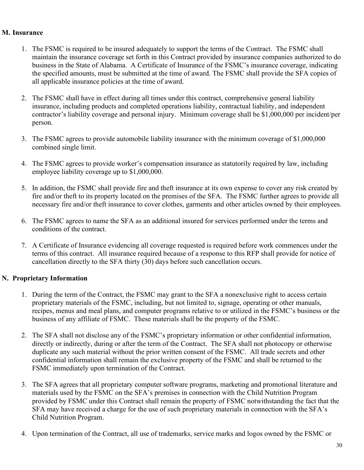#### **M. Insurance**

- 1. The FSMC is required to be insured adequately to support the terms of the Contract. The FSMC shall maintain the insurance coverage set forth in this Contract provided by insurance companies authorized to do business in the State of Alabama. A Certificate of Insurance of the FSMC's insurance coverage, indicating the specified amounts, must be submitted at the time of award. The FSMC shall provide the SFA copies of all applicable insurance policies at the time of award.
- 2. The FSMC shall have in effect during all times under this contract, comprehensive general liability insurance, including products and completed operations liability, contractual liability, and independent contractor's liability coverage and personal injury. Minimum coverage shall be \$1,000,000 per incident/per person.
- 3. The FSMC agrees to provide automobile liability insurance with the minimum coverage of \$1,000,000 combined single limit.
- 4. The FSMC agrees to provide worker's compensation insurance as statutorily required by law, including employee liability coverage up to \$1,000,000.
- 5. In addition, the FSMC shall provide fire and theft insurance at its own expense to cover any risk created by fire and/or theft to its property located on the premises of the SFA. The FSMC further agrees to provide all necessary fire and/or theft insurance to cover clothes, garments and other articles owned by their employees.
- 6. The FSMC agrees to name the SFA as an additional insured for services performed under the terms and conditions of the contract.
- 7. A Certificate of Insurance evidencing all coverage requested is required before work commences under the terms of this contract. All insurance required because of a response to this RFP shall provide for notice of cancellation directly to the SFA thirty (30) days before such cancellation occurs.

### **N. Proprietary Information**

- 1. During the term of the Contract, the FSMC may grant to the SFA a nonexclusive right to access certain proprietary materials of the FSMC, including, but not limited to, signage, operating or other manuals, recipes, menus and meal plans, and computer programs relative to or utilized in the FSMC's business or the business of any affiliate of FSMC. These materials shall be the property of the FSMC.
- 2. The SFA shall not disclose any of the FSMC's proprietary information or other confidential information, directly or indirectly, during or after the term of the Contract. The SFA shall not photocopy or otherwise duplicate any such material without the prior written consent of the FSMC. All trade secrets and other confidential information shall remain the exclusive property of the FSMC and shall be returned to the FSMC immediately upon termination of the Contract.
- 3. The SFA agrees that all proprietary computer software programs, marketing and promotional literature and materials used by the FSMC on the SFA's premises in connection with the Child Nutrition Program provided by FSMC under this Contract shall remain the property of FSMC notwithstanding the fact that the SFA may have received a charge for the use of such proprietary materials in connection with the SFA's Child Nutrition Program.
- 4. Upon termination of the Contract, all use of trademarks, service marks and logos owned by the FSMC or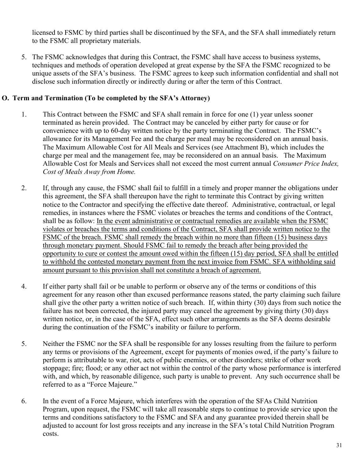licensed to FSMC by third parties shall be discontinued by the SFA, and the SFA shall immediately return to the FSMC all proprietary materials.

5. The FSMC acknowledges that during this Contract, the FSMC shall have access to business systems, techniques and methods of operation developed at great expense by the SFA the FSMC recognized to be unique assets of the SFA's business. The FSMC agrees to keep such information confidential and shall not disclose such information directly or indirectly during or after the term of this Contract.

### **O. Term and Termination (To be completed by the SFA's Attorney)**

- 1. This Contract between the FSMC and SFA shall remain in force for one (1) year unless sooner terminated as herein provided. The Contract may be canceled by either party for cause or for convenience with up to 60-day written notice by the party terminating the Contract. The FSMC's allowance for its Management Fee and the charge per meal may be reconsidered on an annual basis. The Maximum Allowable Cost for All Meals and Services (see Attachment B), which includes the charge per meal and the management fee, may be reconsidered on an annual basis. The Maximum Allowable Cost for Meals and Services shall not exceed the most current annual *Consumer Price Index, Cost of Meals Away from Home.*
- 2. If, through any cause, the FSMC shall fail to fulfill in a timely and proper manner the obligations under this agreement, the SFA shall thereupon have the right to terminate this Contract by giving written notice to the Contractor and specifying the effective date thereof. Administrative, contractual, or legal remedies, in instances where the FSMC violates or breaches the terms and conditions of the Contract, shall be as follow: In the event administrative or contractual remedies are available when the FSMC violates or breaches the terms and conditions of the Contract, SFA shall provide written notice to the FSMC of the breach. FSMC shall remedy the breach within no more than fifteen (15) business days through monetary payment. Should FSMC fail to remedy the breach after being provided the opportunity to cure or contest the amount owed within the fifteen (15) day period, SFA shall be entitled to withhold the contested monetary payment from the next invoice from FSMC. SFA withholding said amount pursuant to this provision shall not constitute a breach of agreement.
- 4. If either party shall fail or be unable to perform or observe any of the terms or conditions of this agreement for any reason other than excused performance reasons stated, the party claiming such failure shall give the other party a written notice of such breach. If, within thirty (30) days from such notice the failure has not been corrected, the injured party may cancel the agreement by giving thirty (30) days written notice, or, in the case of the SFA, effect such other arrangements as the SFA deems desirable during the continuation of the FSMC's inability or failure to perform.
- 5. Neither the FSMC nor the SFA shall be responsible for any losses resulting from the failure to perform any terms or provisions of the Agreement, except for payments of monies owed, if the party's failure to perform is attributable to war, riot, acts of public enemies, or other disorders; strike of other work stoppage; fire; flood; or any other act not within the control of the party whose performance is interfered with, and which, by reasonable diligence, such party is unable to prevent. Any such occurrence shall be referred to as a "Force Majeure."
- 6. In the event of a Force Majeure, which interferes with the operation of the SFAs Child Nutrition Program, upon request, the FSMC will take all reasonable steps to continue to provide service upon the terms and conditions satisfactory to the FSMC and SFA and any guarantee provided therein shall be adjusted to account for lost gross receipts and any increase in the SFA's total Child Nutrition Program costs.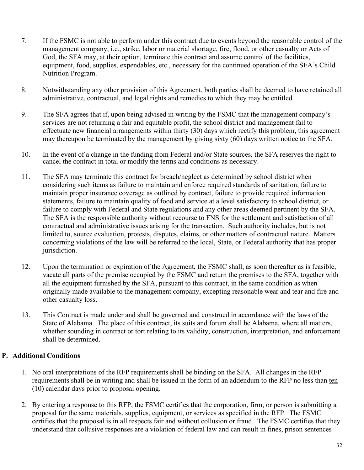- 7. If the FSMC is not able to perform under this contract due to events beyond the reasonable control of the management company, i.e., strike, labor or material shortage, fire, flood, or other casualty or Acts of God, the SFA may, at their option, terminate this contract and assume control of the facilities, equipment, food, supplies, expendables, etc., necessary for the continued operation of the SFA's Child Nutrition Program.
- 8. Notwithstanding any other provision of this Agreement, both parties shall be deemed to have retained all administrative, contractual, and legal rights and remedies to which they may be entitled.
- 9. The SFA agrees that if, upon being advised in writing by the FSMC that the management company's services are not returning a fair and equitable profit, the school district and management fail to effectuate new financial arrangements within thirty (30) days which rectify this problem, this agreement may thereupon be terminated by the management by giving sixty (60) days written notice to the SFA.
- 10. In the event of a change in the funding from Federal and/or State sources, the SFA reserves the right to cancel the contract in total or modify the terms and conditions as necessary.
- 11. The SFA may terminate this contract for breach/neglect as determined by school district when considering such items as failure to maintain and enforce required standards of sanitation, failure to maintain proper insurance coverage as outlined by contract, failure to provide required information statements, failure to maintain quality of food and service at a level satisfactory to school district, or failure to comply with Federal and State regulations and any other areas deemed pertinent by the SFA. The SFA is the responsible authority without recourse to FNS for the settlement and satisfaction of all contractual and administrative issues arising for the transaction. Such authority includes, but is not limited to, source evaluation, protests, disputes, claims, or other matters of contractual nature. Matters concerning violations of the law will be referred to the local, State, or Federal authority that has proper jurisdiction.
- 12. Upon the termination or expiration of the Agreement, the FSMC shall, as soon thereafter as is feasible, vacate all parts of the premise occupied by the FSMC and return the premises to the SFA, together with all the equipment furnished by the SFA, pursuant to this contract, in the same condition as when originally made available to the management company, excepting reasonable wear and tear and fire and other casualty loss.
- 13. This Contract is made under and shall be governed and construed in accordance with the laws of the State of Alabama. The place of this contract, its suits and forum shall be Alabama, where all matters, whether sounding in contract or tort relating to its validity, construction, interpretation, and enforcement shall be determined.

### **P. Additional Conditions**

- 1. No oral interpretations of the RFP requirements shall be binding on the SFA. All changes in the RFP requirements shall be in writing and shall be issued in the form of an addendum to the RFP no less than ten (10) calendar days prior to proposal opening.
- 2. By entering a response to this RFP, the FSMC certifies that the corporation, firm, or person is submitting a proposal for the same materials, supplies, equipment, or services as specified in the RFP. The FSMC certifies that the proposal is in all respects fair and without collusion or fraud. The FSMC certifies that they understand that collusive responses are a violation of federal law and can result in fines, prison sentences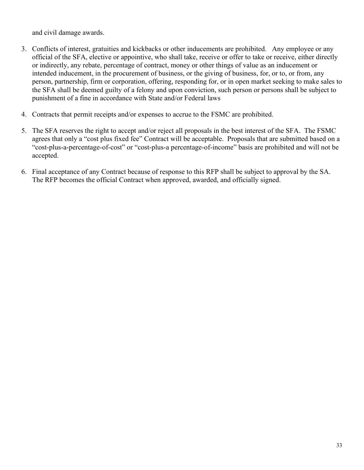and civil damage awards.

- 3. Conflicts of interest, gratuities and kickbacks or other inducements are prohibited. Any employee or any official of the SFA, elective or appointive, who shall take, receive or offer to take or receive, either directly or indirectly, any rebate, percentage of contract, money or other things of value as an inducement or intended inducement, in the procurement of business, or the giving of business, for, or to, or from, any person, partnership, firm or corporation, offering, responding for, or in open market seeking to make sales to the SFA shall be deemed guilty of a felony and upon conviction, such person or persons shall be subject to punishment of a fine in accordance with State and/or Federal laws
- 4. Contracts that permit receipts and/or expenses to accrue to the FSMC are prohibited.
- 5. The SFA reserves the right to accept and/or reject all proposals in the best interest of the SFA. The FSMC agrees that only a "cost plus fixed fee" Contract will be acceptable. Proposals that are submitted based on a "cost-plus-a-percentage-of-cost" or "cost-plus-a percentage-of-income" basis are prohibited and will not be accepted.
- 6. Final acceptance of any Contract because of response to this RFP shall be subject to approval by the SA. The RFP becomes the official Contract when approved, awarded, and officially signed.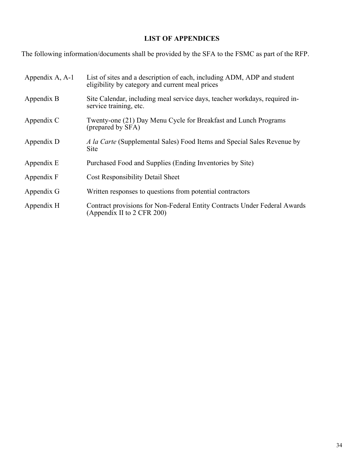### **LIST OF APPENDICES**

The following information/documents shall be provided by the SFA to the FSMC as part of the RFP.

| Appendix A, A-1 | List of sites and a description of each, including ADM, ADP and student<br>eligibility by category and current meal prices |
|-----------------|----------------------------------------------------------------------------------------------------------------------------|
| Appendix B      | Site Calendar, including meal service days, teacher workdays, required in-<br>service training, etc.                       |
| Appendix C      | Twenty-one (21) Day Menu Cycle for Breakfast and Lunch Programs<br>(prepared by SFA)                                       |
| Appendix D      | A la Carte (Supplemental Sales) Food Items and Special Sales Revenue by<br><b>Site</b>                                     |
| Appendix E      | Purchased Food and Supplies (Ending Inventories by Site)                                                                   |
| Appendix F      | <b>Cost Responsibility Detail Sheet</b>                                                                                    |
| Appendix G      | Written responses to questions from potential contractors                                                                  |
| Appendix H      | Contract provisions for Non-Federal Entity Contracts Under Federal Awards<br>(Appendix II to 2 CFR 200)                    |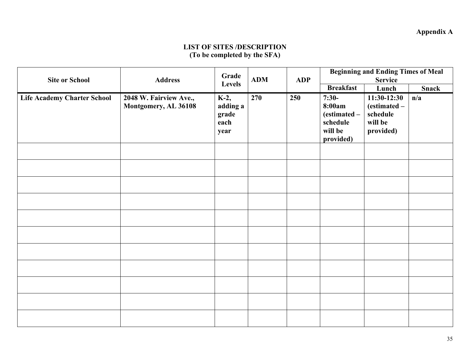### **Appendix A**

### **LIST OF SITES /DESCRIPTION (To be completed by the SFA)**

|                                    |                                                | Grade<br>Levels                           | <b>ADM</b> |            | <b>Beginning and Ending Times of Meal</b>                             |                                                                   |     |
|------------------------------------|------------------------------------------------|-------------------------------------------|------------|------------|-----------------------------------------------------------------------|-------------------------------------------------------------------|-----|
| <b>Site or School</b>              | <b>Address</b>                                 |                                           |            | <b>ADP</b> | <b>Service</b><br><b>Breakfast</b><br>Lunch<br><b>Snack</b>           |                                                                   |     |
| <b>Life Academy Charter School</b> | 2048 W. Fairview Ave.,<br>Montgomery, AL 36108 | K-2,<br>adding a<br>grade<br>each<br>year | 270        | 250        | $7:30-$<br>8:00am<br>(estimated -<br>schedule<br>will be<br>provided) | $11:30-12:30$<br>(estimated -<br>schedule<br>will be<br>provided) | n/a |
|                                    |                                                |                                           |            |            |                                                                       |                                                                   |     |
|                                    |                                                |                                           |            |            |                                                                       |                                                                   |     |
|                                    |                                                |                                           |            |            |                                                                       |                                                                   |     |
|                                    |                                                |                                           |            |            |                                                                       |                                                                   |     |
|                                    |                                                |                                           |            |            |                                                                       |                                                                   |     |
|                                    |                                                |                                           |            |            |                                                                       |                                                                   |     |
|                                    |                                                |                                           |            |            |                                                                       |                                                                   |     |
|                                    |                                                |                                           |            |            |                                                                       |                                                                   |     |
|                                    |                                                |                                           |            |            |                                                                       |                                                                   |     |
|                                    |                                                |                                           |            |            |                                                                       |                                                                   |     |
|                                    |                                                |                                           |            |            |                                                                       |                                                                   |     |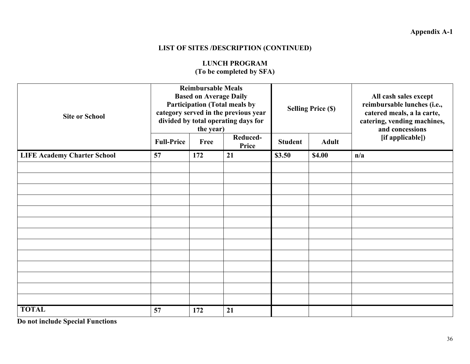### **LIST OF SITES /DESCRIPTION (CONTINUED)**

### **LUNCH PROGRAM (To be completed by SFA)**

| <b>Site or School</b>              |                   | <b>Reimbursable Meals</b><br><b>Based on Average Daily</b><br><b>Participation (Total meals by</b><br>category served in the previous year<br>divided by total operating days for<br>the year) |                   | <b>Selling Price (\$)</b> |              | All cash sales except<br>reimbursable lunches (i.e.,<br>catered meals, a la carte,<br>catering, vending machines,<br>and concessions |
|------------------------------------|-------------------|------------------------------------------------------------------------------------------------------------------------------------------------------------------------------------------------|-------------------|---------------------------|--------------|--------------------------------------------------------------------------------------------------------------------------------------|
|                                    | <b>Full-Price</b> | Free                                                                                                                                                                                           | Reduced-<br>Price | <b>Student</b>            | <b>Adult</b> | [if applicable])                                                                                                                     |
| <b>LIFE Academy Charter School</b> | 57                | 172                                                                                                                                                                                            | 21                | \$3.50                    | \$4.00       | n/a                                                                                                                                  |
|                                    |                   |                                                                                                                                                                                                |                   |                           |              |                                                                                                                                      |
|                                    |                   |                                                                                                                                                                                                |                   |                           |              |                                                                                                                                      |
|                                    |                   |                                                                                                                                                                                                |                   |                           |              |                                                                                                                                      |
|                                    |                   |                                                                                                                                                                                                |                   |                           |              |                                                                                                                                      |
|                                    |                   |                                                                                                                                                                                                |                   |                           |              |                                                                                                                                      |
|                                    |                   |                                                                                                                                                                                                |                   |                           |              |                                                                                                                                      |
|                                    |                   |                                                                                                                                                                                                |                   |                           |              |                                                                                                                                      |
|                                    |                   |                                                                                                                                                                                                |                   |                           |              |                                                                                                                                      |
|                                    |                   |                                                                                                                                                                                                |                   |                           |              |                                                                                                                                      |
|                                    |                   |                                                                                                                                                                                                |                   |                           |              |                                                                                                                                      |
|                                    |                   |                                                                                                                                                                                                |                   |                           |              |                                                                                                                                      |
|                                    |                   |                                                                                                                                                                                                |                   |                           |              |                                                                                                                                      |
|                                    |                   |                                                                                                                                                                                                |                   |                           |              |                                                                                                                                      |
| <b>TOTAL</b>                       | 57                | 172                                                                                                                                                                                            | 21                |                           |              |                                                                                                                                      |

**Do not include Special Functions**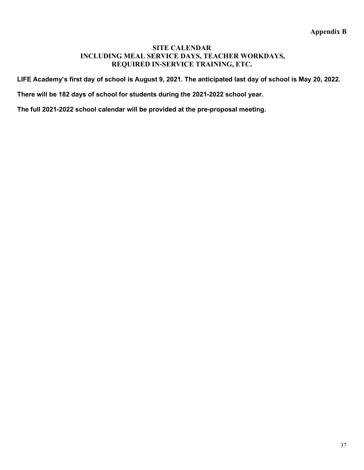#### **SITE CALENDAR INCLUDING MEAL SERVICE DAYS, TEACHER WORKDAYS, REQUIRED IN-SERVICE TRAINING, ETC.**

**LIFE Academy's first day of school is August 9, 2021. The anticipated last day of school is May 20, 2022.**

**There will be 182 days of school for students during the 2021-2022 school year.** 

**The full 2021-2022 school calendar will be provided at the pre-proposal meeting.**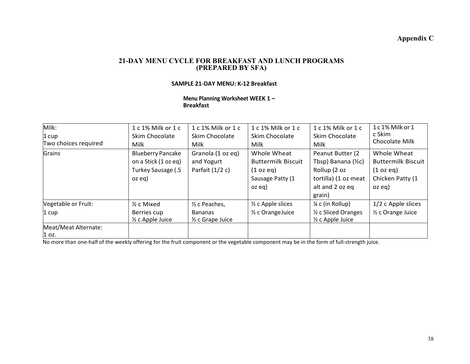#### **Appendix C**

#### **21-DAY MENU CYCLE FOR BREAKFAST AND LUNCH PROGRAMS (PREPARED BY SFA)**

#### **SAMPLE 21-DAY MENU: K-12 Breakfast**

**Menu Planning Worksheet WEEK 1 – Breakfast**

| Milk:<br>1 cup<br>Two choices required   | 1 c 1% Milk or 1 c<br>Skim Chocolate<br>Milk                                     | 1 c 1% Milk or 1 c<br>Skim Chocolate<br>Milk                                | 1 c 1% Milk or 1 c<br>Skim Chocolate<br>Milk                                        | 1 c 1% Milk or 1 c<br>Skim Chocolate<br>Milk                                                                            | 1c1% Milk or 1<br>c Skim<br>Chocolate Milk                                          |
|------------------------------------------|----------------------------------------------------------------------------------|-----------------------------------------------------------------------------|-------------------------------------------------------------------------------------|-------------------------------------------------------------------------------------------------------------------------|-------------------------------------------------------------------------------------|
| Grains                                   | <b>Blueberry Pancake</b><br>on a Stick (1 oz eq)<br>Turkey Sausage (.5<br>oz eg) | Granola (1 oz eq)<br>and Yogurt<br>Parfait $(1/2 c)$                        | Whole Wheat<br><b>Buttermilk Biscuit</b><br>(1 oz eq)<br>Sausage Patty (1<br>oz eg) | Peanut Butter (2)<br>Tbsp) Banana $(\frac{1}{2}c)$<br>Rollup (2 oz<br>tortilla) (1 oz meat<br>alt and 2 oz eq<br>grain) | Whole Wheat<br><b>Buttermilk Biscuit</b><br>(1 oz eq)<br>Chicken Patty (1<br>oz eg) |
| Vegetable or Fruit:<br>$1 \, \text{cup}$ | $\frac{1}{2}$ c Mixed<br>Berries cup<br>$\frac{1}{2}$ c Apple Juice              | 1/ <sub>2</sub> c Peaches,<br><b>Bananas</b><br>$\frac{1}{2}$ c Grape Juice | $\frac{1}{2}$ c Apple slices<br>1/ <sub>2</sub> c Orange Juice                      | $\frac{1}{4}$ c (in Rollup)<br>1/2 c Sliced Oranges<br>$\frac{1}{2}$ c Apple Juice                                      | $1/2$ c Apple slices<br>1/ <sub>2</sub> c Orange Juice                              |
| Meat/Meat Alternate:<br>$1$ oz.          |                                                                                  |                                                                             |                                                                                     |                                                                                                                         |                                                                                     |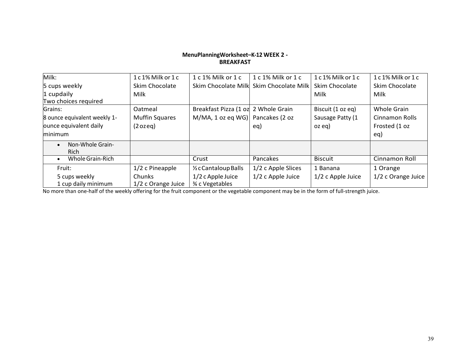#### **MenuPlanningWorksheet–K-12 WEEK 2 - BREAKFAST**

| Milk:                                | 1c1% Milk or 1c                     | 1 c 1% Milk or 1 c                      | $1c1\%$ Milk or $1c$ | $1c1\%$ Milk or $1c$ | $1c1\%$ Milk or $1c$ |
|--------------------------------------|-------------------------------------|-----------------------------------------|----------------------|----------------------|----------------------|
| 5 cups weekly                        | Skim Chocolate                      | Skim Chocolate Milk                     | Skim Chocolate Milk  | Skim Chocolate       | Skim Chocolate       |
| 1 cupdaily<br>Two choices required   | <b>Milk</b>                         |                                         |                      | Milk                 | Milk                 |
| Grains:                              | Oatmeal                             | Breakfast Pizza (1 oz 2 Whole Grain     |                      | Biscuit (1 oz eq)    | Whole Grain          |
| 8 ounce equivalent weekly 1-         | <b>Muffin Squares</b>               | $M/MA$ , 1 oz eq WG)                    | Pancakes (2 oz       | Sausage Patty (1     | Cinnamon Rolls       |
| ounce equivalent daily               | $(2 \text{ ozeq})$                  |                                         | eq)                  | $oz$ eq)             | Frosted (1 oz        |
| minimum                              |                                     |                                         |                      |                      | eq)                  |
| Non-Whole Grain-<br><b>Rich</b>      |                                     |                                         |                      |                      |                      |
| Whole Grain-Rich<br>$\bullet$        |                                     | Crust                                   | Pancakes             | <b>Biscuit</b>       | Cinnamon Roll        |
| Fruit:                               | 1/2 c Pineapple                     | 1/2 c Cantaloup Balls                   | 1/2 c Apple Slices   | 1 Banana             | 1 Orange             |
| 5 cups weekly<br>1 cup daily minimum | <b>Chunks</b><br>1/2 c Orange Juice | $1/2$ c Apple Juice<br>3⁄4 c Vegetables | 1/2 c Apple Juice    | 1/2 c Apple Juice    | 1/2 c Orange Juice   |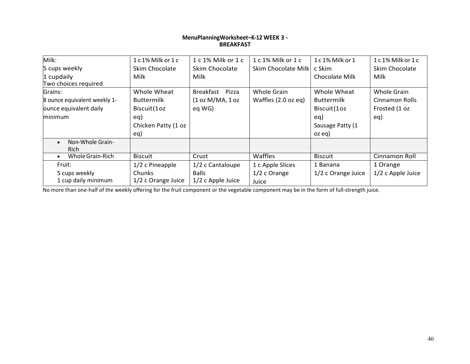#### **MenuPlanningWorksheet–K-12 WEEK 3 - BREAKFAST**

| Milk:                                        | 1c1% Milk or 1c     | 1 c 1% Milk or 1 c  | $1c1\%$ Milk or $1c$ | 1 c 1% Milk or 1   | 1c1% Milk or 1c   |
|----------------------------------------------|---------------------|---------------------|----------------------|--------------------|-------------------|
| 5 cups weekly                                | Skim Chocolate      | Skim Chocolate      | Skim Chocolate Milk  | c Skim             | Skim Chocolate    |
| 1 cupdaily                                   | Milk                | Milk                |                      | Chocolate Milk     | Milk              |
| Two choices required                         |                     |                     |                      |                    |                   |
| Grains:                                      | Whole Wheat         | Breakfast Pizza     | Whole Grain          | Whole Wheat        | Whole Grain       |
| 8 ounce equivalent weekly 1-                 | <b>Buttermilk</b>   | (1 oz M/MA, 1 oz)   | Waffles (2.0 oz eq)  | <b>Buttermilk</b>  | Cinnamon Rolls    |
| ounce equivalent daily                       | Biscuit (10z        | eg WG)              |                      | Biscuit(1oz        | Frosted (1 oz     |
| minimum                                      | eq)                 |                     |                      | eq)                | eq)               |
|                                              | Chicken Patty (1 oz |                     |                      | Sausage Patty (1   |                   |
|                                              | eq)                 |                     |                      | $oz$ eq)           |                   |
| Non-Whole Grain-<br>$\bullet$<br><b>Rich</b> |                     |                     |                      |                    |                   |
| Whole Grain-Rich<br>$\bullet$                | <b>Biscuit</b>      | Crust               | <b>Waffles</b>       | <b>Biscuit</b>     | Cinnamon Roll     |
| Fruit:                                       | 1/2 c Pineapple     | 1/2 c Cantaloupe    | 1 c Apple Slices     | 1 Banana           | 1 Orange          |
| 5 cups weekly                                | <b>Chunks</b>       | <b>Balls</b>        | 1/2 c Orange         | 1/2 c Orange Juice | 1/2 c Apple Juice |
| 1 cup daily minimum                          | 1/2 c Orange Juice  | $1/2$ c Apple Juice | Juice                |                    |                   |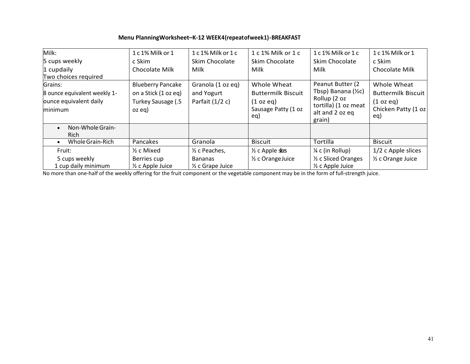#### **Menu PlanningWorksheet–K-12 WEEK4(repeatofweek1)-BREAKFAST**

| Milk:<br>5 cups weekly<br>1 cupdaily<br>Two choices required                 | 1 c 1% Milk or 1<br>c Skim<br>Chocolate Milk                                     | 1 c 1% Milk or 1 c<br>Skim Chocolate<br>Milk         | 1 c 1% Milk or 1 c<br>Skim Chocolate<br>Milk                                        | $1c1\%$ Milk or $1c$<br>Skim Chocolate<br>Milk                                                                         | 1c1% Milk or 1<br>c Skim<br>Chocolate Milk                                          |
|------------------------------------------------------------------------------|----------------------------------------------------------------------------------|------------------------------------------------------|-------------------------------------------------------------------------------------|------------------------------------------------------------------------------------------------------------------------|-------------------------------------------------------------------------------------|
| Grains:<br>8 ounce equivalent weekly 1-<br>ounce equivalent daily<br>minimum | <b>Blueberry Pancake</b><br>on a Stick (1 oz eq)<br>Turkey Sausage (.5<br>oz eg) | Granola (1 oz eq)<br>and Yogurt<br>Parfait $(1/2 c)$ | Whole Wheat<br><b>Buttermilk Biscuit</b><br>(1 oz eq)<br>Sausage Patty (1 oz<br>eq) | Peanut Butter (2<br>Tbsp) Banana $(\frac{1}{2}c)$<br>Rollup (2 oz<br>tortilla) (1 oz meat<br>alt and 2 oz eq<br>grain) | Whole Wheat<br><b>Buttermilk Biscuit</b><br>(1 oz eq)<br>Chicken Patty (1 oz<br>eq) |
| Non-Whole Grain-<br>$\bullet$<br><b>Rich</b>                                 |                                                                                  |                                                      |                                                                                     |                                                                                                                        |                                                                                     |
| Whole Grain-Rich<br>$\bullet$                                                | Pancakes                                                                         | Granola                                              | <b>Biscuit</b>                                                                      | Tortilla                                                                                                               | <b>Biscuit</b>                                                                      |
| Fruit:                                                                       | $\frac{1}{2}$ c Mixed                                                            | 1/ <sub>2</sub> c Peaches,                           | $\frac{1}{2}$ c Apple sites                                                         | 1/4 c (in Rollup)                                                                                                      | $1/2$ c Apple slices                                                                |
| 5 cups weekly<br>1 cup daily minimum                                         | Berries cup<br>1/ <sub>2</sub> c Apple Juice                                     | <b>Bananas</b><br>$\frac{1}{2}$ c Grape Juice        | 1/ <sub>2</sub> c Orange Juice                                                      | 1/2 c Sliced Oranges<br>$\frac{1}{2}$ c Apple Juice                                                                    | 1/ <sub>2</sub> c Orange Juice                                                      |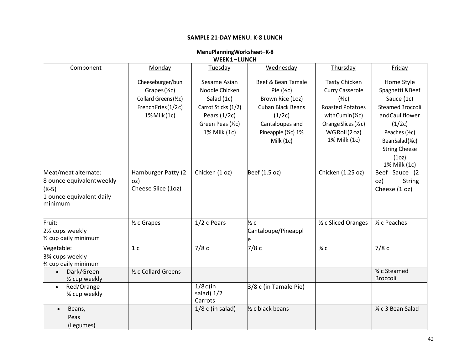#### **SAMPLE 21-DAY MENU: K-8 LUNCH**

| WEEK1-LUNCH                                                                 |                                                                      |                                                     |                                                                |                                                                    |                                                                            |  |
|-----------------------------------------------------------------------------|----------------------------------------------------------------------|-----------------------------------------------------|----------------------------------------------------------------|--------------------------------------------------------------------|----------------------------------------------------------------------------|--|
| Component                                                                   | Monday                                                               | Tuesday                                             | Wednesday                                                      | Thursday                                                           | Friday                                                                     |  |
|                                                                             | Cheeseburger/bun<br>Grapes $(\frac{1}{2}c)$<br>Collard Greens (1/2C) | Sesame Asian<br>Noodle Chicken<br>Salad (1c)        | Beef & Bean Tamale<br>Pie $(\frac{1}{2}c)$<br>Brown Rice (1oz) | <b>Tasty Chicken</b><br><b>Curry Casserole</b><br>$(\frac{3}{4}C)$ | Home Style<br>Spaghetti & Beef<br>Sauce (1c)                               |  |
|                                                                             | French Fries (1/2c)                                                  | Carrot Sticks (1/2)                                 | <b>Cuban Black Beans</b>                                       | <b>Roasted Potatoes</b>                                            | <b>Steamed Broccoli</b>                                                    |  |
|                                                                             | 1% Milk (1c)                                                         | Pears $(1/2c)$<br>Green Peas (1/2C)<br>1% Milk (1c) | (1/2c)<br>Cantaloupes and<br>Pineapple (1/2C) 1%               | withCumin(½c)<br>Orange Slices (1/2 c)<br>WGRoll(2oz)              | andCauliflower<br>(1/2c)<br>Peaches (1/2c)                                 |  |
|                                                                             |                                                                      |                                                     | Milk (1c)                                                      | 1% Milk (1c)                                                       | BeanSalad(¼c)<br><b>String Cheese</b><br>(1 <sub>O</sub> )<br>1% Milk (1c) |  |
| Meat/meat alternate:                                                        | Hamburger Patty (2                                                   | Chicken (1 oz)                                      | Beef (1.5 oz)                                                  | Chicken (1.25 oz)                                                  | Beef Sauce (2                                                              |  |
| 8 ounce equivalent weekly<br>$(K-5)$<br>1 ounce equivalent daily<br>minimum | OZ)<br>Cheese Slice (1oz)                                            |                                                     |                                                                |                                                                    | OZ)<br><b>String</b><br>Cheese (1 oz)                                      |  |
| Fruit:<br>21/ <sub>2</sub> cups weekly<br>1/2 cup daily minimum             | $\frac{1}{2}$ c Grapes                                               | 1/2 c Pears                                         | $\frac{1}{2}c$<br>Cantaloupe/Pineappl<br>e                     | 1/2 c Sliced Oranges                                               | 1/ <sub>2</sub> c Peaches                                                  |  |
| Vegetable:<br>3% cups weekly<br>% cup daily minimum                         | 1 <sub>c</sub>                                                       | 7/8c                                                | 7/8c                                                           | $\frac{3}{4}$ C                                                    | 7/8c                                                                       |  |
| Dark/Green<br>$\bullet$<br>1/2 cup weekly                                   | 1/2 c Collard Greens                                                 |                                                     |                                                                |                                                                    | 1⁄4 c Steamed<br>Broccoli                                                  |  |
| Red/Orange<br>$\bullet$<br>3⁄4 cup weekly                                   |                                                                      | $1/8c$ (in<br>salad) 1/2<br>Carrots                 | 3/8 c (in Tamale Pie)                                          |                                                                    |                                                                            |  |
| Beans,<br>$\bullet$<br>Peas<br>(Legumes)                                    |                                                                      | $1/8$ c (in salad)                                  | 1/ <sub>2</sub> c black beans                                  |                                                                    | 1⁄4 c 3 Bean Salad                                                         |  |

# **MenuPlanningWorksheet–K-8**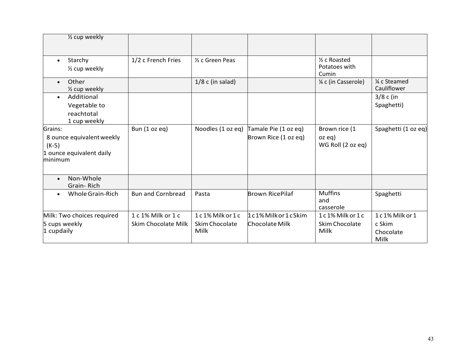| 1/2 cup weekly                                                                         |                                           |                                                  |                                              |                                                     |                                               |
|----------------------------------------------------------------------------------------|-------------------------------------------|--------------------------------------------------|----------------------------------------------|-----------------------------------------------------|-----------------------------------------------|
| Starchy<br>$\bullet$<br>1/2 cup weekly                                                 | 1/2 c French Fries                        | 1/ <sub>2</sub> c Green Peas                     |                                              | 1/ <sub>2</sub> c Roasted<br>Potatoes with<br>Cumin |                                               |
| Other<br>$\bullet$<br>1/ <sub>2</sub> cup weekly                                       |                                           | $1/8$ c (in salad)                               |                                              | 1/4 c (in Casserole)                                | 1⁄4 c Steamed<br>Cauliflower                  |
| Additional<br>$\bullet$<br>Vegetable to<br>reachtotal<br>1 cup weekly                  |                                           |                                                  |                                              |                                                     | $3/8$ c (in<br>Spaghetti)                     |
| Grains:<br>8 ounce equivalent weekly<br>$(K-5)$<br>1 ounce equivalent daily<br>minimum | Bun (1 oz eq)                             | Noodles (1 oz eq)                                | Tamale Pie (1 oz eq)<br>Brown Rice (1 oz eq) | Brown rice (1<br>$oz$ eq $)$<br>WG Roll (2 oz eq)   | Spaghetti (1 oz eq)                           |
| Non-Whole<br>$\bullet$<br>Grain-Rich                                                   |                                           |                                                  |                                              |                                                     |                                               |
| Whole Grain-Rich<br>$\bullet$                                                          | <b>Bun and Cornbread</b>                  | Pasta                                            | <b>Brown RicePilaf</b>                       | <b>Muffins</b><br>and<br>casserole                  | Spaghetti                                     |
| Milk: Two choices required<br>5 cups weekly<br>1 cupdaily                              | 1 c 1% Milk or 1 c<br>Skim Chocolate Milk | 1c1% Milk or 1c<br><b>Skim Chocolate</b><br>Milk | 1c1% Milk or 1cSkim<br>Chocolate Milk        | 1c1% Milk or 1c<br><b>Skim Chocolate</b><br>Milk    | 1c1% Milk or 1<br>c Skim<br>Chocolate<br>Milk |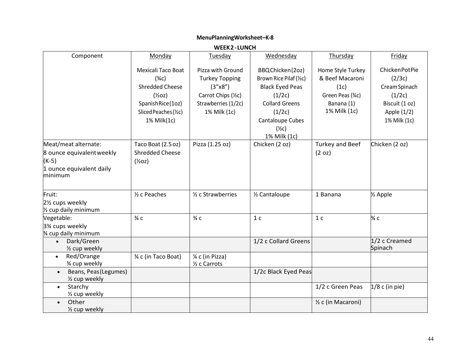#### **WEEK2-LUNCH** Component | <u>Monday</u> | Tuesday | Wednesday | Thursday | Friday Mexicali Taco Boat  $(3/4C)$ Shredded Cheese  $(\frac{1}{2}$ oz) SpanishRice(1oz) SlicedPeaches(½c) 1% Milk(1c) Pizza with Ground Turkey Topping (3"x8") Carrot Chips (½c) Strawberries (1/2c) 1% Milk (1c) BBQChicken(2oz) Brown Rice Pilaf(½c) Black Eyed Peas  $(1/2c)$ Collard Greens  $(1/2c)$ Cantaloupe Cubes  $(\frac{1}{2}c)$ 1% Milk (1c) Home Style Turkey & Beef Macaroni  $(1c)$ Green Peas (¾c) Banana (1) 1% Milk (1c) ChickenPotPie  $(2/3c)$ CreamSpinach  $(1/2c)$ Biscuit (1 oz) Apple (1/2) 1% Milk (1c) Meat/meat alternate: 8 ounce equivalentweekly (K-5) 1 ounce equivalent daily minimum Taco Boat (2.5oz) Shredded Cheese  $(\frac{1}{2}$ oz $)$ Pizza (1.25 oz) | Chicken (2 oz) | Turkey and Beef (2 oz) Chicken (2 oz) Fruit: 2½ cups weekly ½ cup daily minimum  $\frac{1}{2}$  c Peaches  $\frac{1}{2}$  c Strawberries  $\frac{1}{2}$  Cantaloupe 1 Banana  $\frac{1}{2}$  Apple Vegetable: 3¾ cups weekly ¾ cup daily minimum  $\frac{3}{4}$  c  $\frac{3}{4}$  c  $\frac{1}{4}$  c  $\frac{1}{4}$  c  $\frac{3}{4}$  c  $\frac{3}{4}$  c • Dark/Green ½ cup weekly 1/2 c Collard Greens 1/2 c Creamed Spinach • Red/Orange ¾ cup weekly  $\frac{3}{4}$  c (in Taco Boat)  $\frac{1}{4}$  c (in Pizza) ½ c Carrots • Beans, Peas(Legumes) ½ cup weekly 1/2c Black Eyed Peas • Starchy ½ cup weekly 1/2 c Green Peas  $\vert 1/8$  c (in pie) • Other ½ cup weekly ½ c (in Macaroni)

#### **MenuPlanningWorksheet–K-8**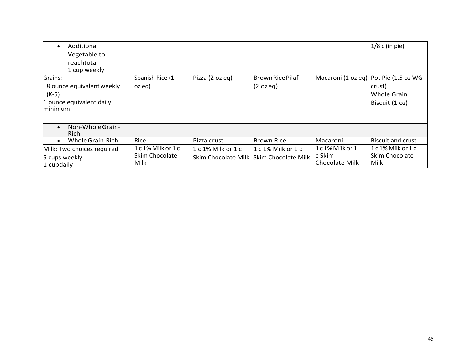| Additional<br>Vegetable to<br>reachtotal<br>1 cup weekly                               |                                              |                                           |                                                  |                                            | $1/8$ c (in pie)                                      |
|----------------------------------------------------------------------------------------|----------------------------------------------|-------------------------------------------|--------------------------------------------------|--------------------------------------------|-------------------------------------------------------|
| Grains:<br>8 ounce equivalent weekly<br>$(K-5)$<br>1 ounce equivalent daily<br>minimum | Spanish Rice (1<br>$oz$ eq)                  | Pizza (2 oz eq)                           | Brown Rice Pilaf<br>$(2 \text{ ozeq})$           | Macaroni (1 oz eq) Pot Pie (1.5 oz WG      | crust)<br>Whole Grain<br>Biscuit (1 oz)               |
| Non-Whole Grain-<br><b>Rich</b>                                                        |                                              |                                           |                                                  |                                            |                                                       |
| Whole Grain-Rich                                                                       | Rice                                         | Pizza crust                               | <b>Brown Rice</b>                                | Macaroni                                   | <b>Biscuit and crust</b>                              |
| Milk: Two choices required<br>5 cups weekly<br>1 cupdaily                              | 1 c 1% Milk or 1 c<br>Skim Chocolate<br>Milk | 1 c 1% Milk or 1 c<br>Skim Chocolate Milk | 1 c 1% Milk or 1 c<br><b>Skim Chocolate Milk</b> | 1c1% Milk or 1<br>c Skim<br>Chocolate Milk | $1c1\%$ Milk or $1c$<br><b>Skim Chocolate</b><br>Milk |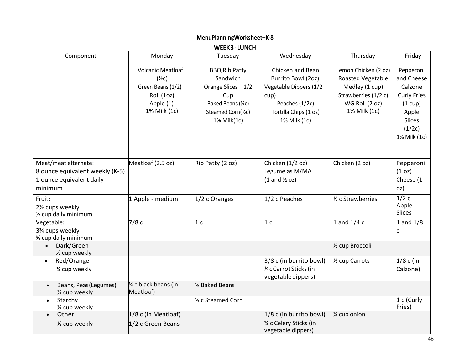|                                                                        |                                                                                                              | <b>WEEK3-LUNCH</b>                                                                                                        |                                                                                                                                     |                                                                                                                              |                                                                                                                         |
|------------------------------------------------------------------------|--------------------------------------------------------------------------------------------------------------|---------------------------------------------------------------------------------------------------------------------------|-------------------------------------------------------------------------------------------------------------------------------------|------------------------------------------------------------------------------------------------------------------------------|-------------------------------------------------------------------------------------------------------------------------|
| Component                                                              | Monday                                                                                                       | Tuesday                                                                                                                   | Wednesday                                                                                                                           | Thursday                                                                                                                     | Friday                                                                                                                  |
|                                                                        | <b>Volcanic Meatloaf</b><br>$(\frac{1}{2}c)$<br>Green Beans (1/2)<br>Roll (1oz)<br>Apple (1)<br>1% Milk (1c) | <b>BBQ Rib Patty</b><br>Sandwich<br>Orange Slices - 1/2<br>Cup<br>Baked Beans (1/2C)<br>Steamed Corn(1/2C)<br>1% Milk(1c) | Chicken and Bean<br>Burrito Bowl (2oz)<br>Vegetable Dippers (1/2<br>cup)<br>Peaches (1/2c)<br>Tortilla Chips (1 oz)<br>1% Milk (1c) | Lemon Chicken (2 oz)<br><b>Roasted Vegetable</b><br>Medley (1 cup)<br>Strawberries (1/2 c)<br>WG Roll (2 oz)<br>1% Milk (1c) | Pepperoni<br>and Cheese<br>Calzone<br><b>Curly Fries</b><br>(1 cup)<br>Apple<br><b>Slices</b><br>(1/2c)<br>1% Milk (1c) |
| Meat/meat alternate:                                                   | Meatloaf (2.5 oz)                                                                                            | Rib Patty (2 oz)                                                                                                          | Chicken (1/2 oz)                                                                                                                    | Chicken (2 oz)                                                                                                               | Pepperoni                                                                                                               |
| 8 ounce equivalent weekly (K-5)<br>1 ounce equivalent daily<br>minimum |                                                                                                              |                                                                                                                           | Legume as M/MA<br>$(1$ and $\frac{1}{2}$ oz)                                                                                        |                                                                                                                              | (1 <sub>oz</sub> )<br>Cheese (1<br>oz)                                                                                  |
| Fruit:<br>21/ <sub>2</sub> cups weekly<br>1/2 cup daily minimum        | 1 Apple - medium                                                                                             | $1/2$ c Oranges                                                                                                           | 1/2 c Peaches                                                                                                                       | 1/ <sub>2</sub> c Strawberries                                                                                               | 1/2c<br>Apple<br><b>Slices</b>                                                                                          |
| Vegetable:<br>3% cups weekly<br>3⁄4 cup daily minimum                  | 7/8c                                                                                                         | 1 <sub>c</sub>                                                                                                            | 1 <sub>c</sub>                                                                                                                      | 1 and $1/4c$                                                                                                                 | $1$ and $1/8$                                                                                                           |
| Dark/Green<br>$\bullet$<br>1/ <sub>2</sub> cup weekly                  |                                                                                                              |                                                                                                                           |                                                                                                                                     | 1/2 cup Broccoli                                                                                                             |                                                                                                                         |
| Red/Orange<br>$\bullet$<br>3⁄4 cup weekly                              |                                                                                                              |                                                                                                                           | 3/8 c (in burrito bowl)<br>1⁄4 c Carrot Sticks (in<br>vegetable dippers)                                                            | 1/2 cup Carrots                                                                                                              | $1/8$ c (in<br>Calzone)                                                                                                 |
| Beans, Peas (Legumes)<br>$\bullet$<br>1/2 cup weekly                   | % c black beans (in<br>Meatloaf)                                                                             | 1/ <sub>2</sub> Baked Beans                                                                                               |                                                                                                                                     |                                                                                                                              |                                                                                                                         |
| Starchy<br>$\bullet$<br>1/2 cup weekly                                 |                                                                                                              | 1/ <sub>2</sub> c Steamed Corn                                                                                            |                                                                                                                                     |                                                                                                                              | 1 c (Curly<br>Fries)                                                                                                    |
| Other<br>$\bullet$                                                     | 1/8 c (in Meatloaf)                                                                                          |                                                                                                                           | 1/8 c (in burrito bowl)                                                                                                             | 1⁄4 cup onion                                                                                                                |                                                                                                                         |
| 1/2 cup weekly                                                         | $1/2$ c Green Beans                                                                                          |                                                                                                                           | 1/4 c Celery Sticks (in<br>vegetable dippers)                                                                                       |                                                                                                                              |                                                                                                                         |

## **MenuPlanningWorksheet–K-8**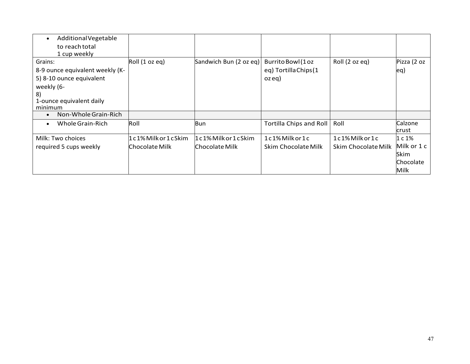| AdditionalVegetable<br>to reach total                                                                                                             |                                       |                                       |                                                      |                                             |                                    |
|---------------------------------------------------------------------------------------------------------------------------------------------------|---------------------------------------|---------------------------------------|------------------------------------------------------|---------------------------------------------|------------------------------------|
| 1 cup weekly<br>Grains:<br>8-9 ounce equivalent weekly (K-<br>5) 8-10 ounce equivalent<br>weekly (6-<br>8)<br>1-ounce equivalent daily<br>minimum | Roll (1 oz eq)                        | Sandwich Bun (2 oz eq)                | Burrito Bowl (1 oz<br>eq) Tortilla Chips (1<br>ozeq) | Roll (2 oz eq)                              | Pizza (2 oz<br>leq)                |
| Non-Whole Grain-Rich                                                                                                                              |                                       |                                       |                                                      |                                             |                                    |
| Whole Grain-Rich                                                                                                                                  | Roll                                  | Bun                                   | Tortilla Chips and Roll                              | Roll                                        | Calzone<br>crust                   |
| Milk: Two choices<br>required 5 cups weekly                                                                                                       | 1c1% Milk or 1cSkim<br>Chocolate Milk | 1c1% Milk or 1cSkim<br>Chocolate Milk | 1c1%Milkor1c<br>Skim Chocolate Milk                  | $1c1\%$ Milk or $1c$<br>Skim Chocolate Milk | 1c1%<br>Milk or 1 c<br><b>Skim</b> |
|                                                                                                                                                   |                                       |                                       |                                                      |                                             | <b>Chocolate</b><br>Milk           |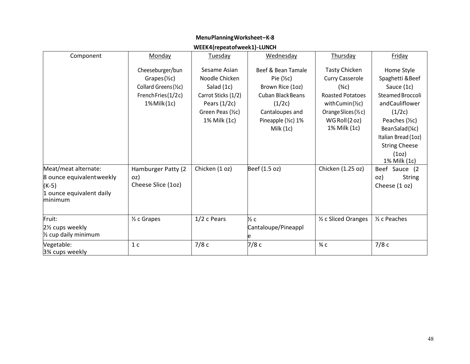## **MenuPlanningWorksheet–K-8**

## **WEEK4(repeatofweek1)-LUNCH**

| Component                                                                                           | Monday                                                                                                          | Tuesday                                                                                                                    | Wednesday                                                                                                                                                     | Thursday                                                                                                                                                     | Friday                                                                                                                                                                                              |
|-----------------------------------------------------------------------------------------------------|-----------------------------------------------------------------------------------------------------------------|----------------------------------------------------------------------------------------------------------------------------|---------------------------------------------------------------------------------------------------------------------------------------------------------------|--------------------------------------------------------------------------------------------------------------------------------------------------------------|-----------------------------------------------------------------------------------------------------------------------------------------------------------------------------------------------------|
|                                                                                                     | Cheeseburger/bun<br>$Grapes(\frac{1}{2}c)$<br>Collard Greens (1/2C)<br>French Fries (1/2c)<br>$1\%$ Milk $(1c)$ | Sesame Asian<br>Noodle Chicken<br>Salad (1c)<br>Carrot Sticks (1/2)<br>Pears $(1/2c)$<br>Green Peas (1/2C)<br>1% Milk (1c) | Beef & Bean Tamale<br>Pie $(\frac{1}{2}c)$<br>Brown Rice (1oz)<br><b>Cuban Black Beans</b><br>(1/2c)<br>Cantaloupes and<br>Pineapple (1/2C) 1%<br>Milk $(1c)$ | <b>Tasty Chicken</b><br><b>Curry Casserole</b><br>$(*c)$<br><b>Roasted Potatoes</b><br>withCumin(½c)<br>Orange Slices (1/2 c)<br>WGRoll(2oz)<br>1% Milk (1c) | Home Style<br>Spaghetti & Beef<br>Sauce (1c)<br>Steamed Broccoli<br>andCauliflower<br>(1/2c)<br>Peaches (1/2C)<br>BeanSalad(¼c)<br>Italian Bread (10z)<br><b>String Cheese</b><br>(1 <sub>O</sub> ) |
| Meat/meat alternate:<br>8 ounce equivalent weekly<br>$(K-5)$<br>1 ounce equivalent daily<br>minimum | Hamburger Patty (2<br>oz)<br>Cheese Slice (1oz)                                                                 | Chicken (1 oz)                                                                                                             | Beef (1.5 oz)                                                                                                                                                 | Chicken (1.25 oz)                                                                                                                                            | 1% Milk (1c)<br>Beef Sauce (2<br>oz)<br><b>String</b><br>Cheese (1 oz)                                                                                                                              |
| Fruit:<br>21/ <sub>2</sub> cups weekly<br>1/2 cup daily minimum                                     | $\frac{1}{2}$ c Grapes                                                                                          | 1/2 c Pears                                                                                                                | ½ c<br>Cantaloupe/Pineappl                                                                                                                                    | 1/2 c Sliced Oranges                                                                                                                                         | 1/ <sub>2</sub> c Peaches                                                                                                                                                                           |
| Vegetable:<br>3% cups weekly                                                                        | 1 <sub>c</sub>                                                                                                  | 7/8c                                                                                                                       | 7/8c                                                                                                                                                          | $\frac{3}{4}$ C                                                                                                                                              | 7/8c                                                                                                                                                                                                |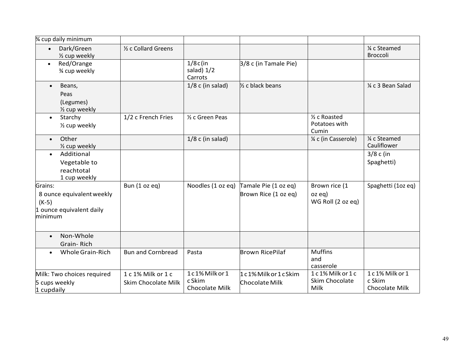| 3⁄4 cup daily minimum                                                       |                                           |                                            |                                       |                                           |                                            |
|-----------------------------------------------------------------------------|-------------------------------------------|--------------------------------------------|---------------------------------------|-------------------------------------------|--------------------------------------------|
| Dark/Green<br>$\bullet$<br>1/2 cup weekly                                   | 1/ <sub>2</sub> c Collard Greens          |                                            |                                       |                                           | 1⁄4 c Steamed<br><b>Broccoli</b>           |
| Red/Orange<br>$\bullet$<br>3⁄4 cup weekly                                   |                                           | $1/8c$ (in<br>salad) 1/2<br>Carrots        | 3/8 c (in Tamale Pie)                 |                                           |                                            |
| Beans,<br>$\bullet$<br>Peas<br>(Legumes)<br>1/2 cup weekly                  |                                           | $1/8$ c (in salad)                         | 1/ <sub>2</sub> c black beans         |                                           | 1⁄4 c 3 Bean Salad                         |
| Starchy<br>$\bullet$<br>1/2 cup weekly                                      | 1/2 c French Fries                        | 1/ <sub>2</sub> c Green Peas               |                                       | 1/2 c Roasted<br>Potatoes with<br>Cumin   |                                            |
| Other<br>$\bullet$<br>1/2 cup weekly                                        |                                           | $1/8$ c (in salad)                         |                                       | 1/4 c (in Casserole)                      | 1⁄4 c Steamed<br>Cauliflower               |
| Additional<br>$\bullet$<br>Vegetable to<br>reachtotal<br>1 cup weekly       |                                           |                                            |                                       |                                           | $3/8c$ (in<br>Spaghetti)                   |
| Grains:                                                                     | Bun (1 oz eq)                             | Noodles (1 oz eq)                          | Tamale Pie (1 oz eq)                  | Brown rice (1                             | Spaghetti (1oz eq)                         |
| 8 ounce equivalent weekly<br>$(K-5)$<br>1 ounce equivalent daily<br>minimum |                                           |                                            | Brown Rice (1 oz eq)                  | $oz$ eq)<br>WG Roll (2 oz eq)             |                                            |
| Non-Whole<br>$\bullet$<br>Grain-Rich                                        |                                           |                                            |                                       |                                           |                                            |
| Whole Grain-Rich                                                            | <b>Bun and Cornbread</b>                  | Pasta                                      | <b>Brown RicePilaf</b>                | <b>Muffins</b><br>and<br>casserole        |                                            |
| Milk: Two choices required<br>5 cups weekly<br>1 cupdaily                   | 1 c 1% Milk or 1 c<br>Skim Chocolate Milk | 1c1% Milk or 1<br>c Skim<br>Chocolate Milk | 1c1% Milk or 1cSkim<br>Chocolate Milk | 1c1% Milk or 1c<br>Skim Chocolate<br>Milk | 1c1% Milk or 1<br>c Skim<br>Chocolate Milk |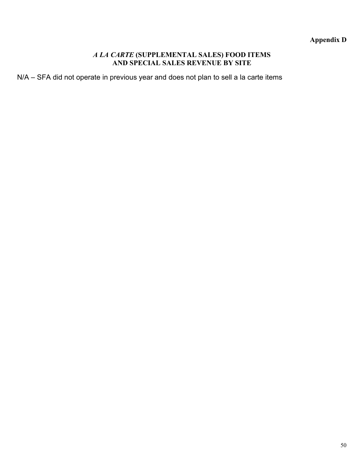## **Appendix D**

#### *A LA CARTE* **(SUPPLEMENTAL SALES) FOOD ITEMS AND SPECIAL SALES REVENUE BY SITE**

N/A – SFA did not operate in previous year and does not plan to sell a la carte items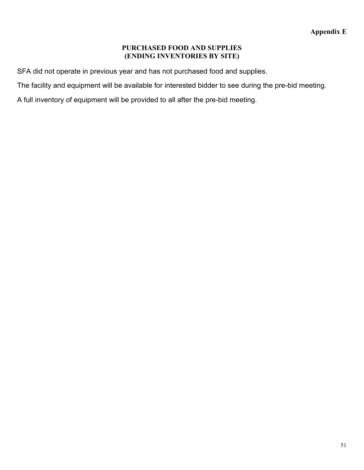#### **PURCHASED FOOD AND SUPPLIES (ENDING INVENTORIES BY SITE)**

SFA did not operate in previous year and has not purchased food and supplies.

The facility and equipment will be available for interested bidder to see during the pre-bid meeting.

A full inventory of equipment will be provided to all after the pre-bid meeting.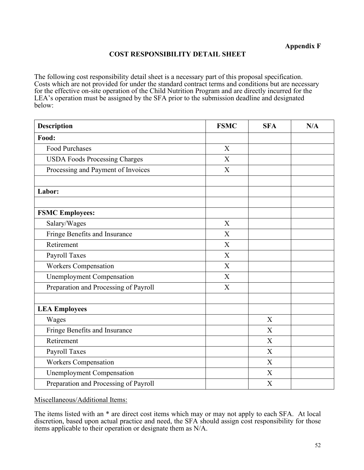#### **COST RESPONSIBILITY DETAIL SHEET**

The following cost responsibility detail sheet is a necessary part of this proposal specification. Costs which are not provided for under the standard contract terms and conditions but are necessary for the effective on-site operation of the Child Nutrition Program and are directly incurred for the LEA's operation must be assigned by the SFA prior to the submission deadline and designated below:

| <b>Description</b>                    | <b>FSMC</b>      | <b>SFA</b>       | N/A |
|---------------------------------------|------------------|------------------|-----|
| Food:                                 |                  |                  |     |
| <b>Food Purchases</b>                 | X                |                  |     |
| <b>USDA Foods Processing Charges</b>  | $\overline{X}$   |                  |     |
| Processing and Payment of Invoices    | X                |                  |     |
| Labor:                                |                  |                  |     |
| <b>FSMC Employees:</b>                |                  |                  |     |
| Salary/Wages                          | X                |                  |     |
| Fringe Benefits and Insurance         | X                |                  |     |
| Retirement                            | X                |                  |     |
| Payroll Taxes                         | X                |                  |     |
| <b>Workers Compensation</b>           | X                |                  |     |
| <b>Unemployment Compensation</b>      | $\boldsymbol{X}$ |                  |     |
| Preparation and Processing of Payroll | X                |                  |     |
| <b>LEA Employees</b>                  |                  |                  |     |
| Wages                                 |                  | X                |     |
| Fringe Benefits and Insurance         |                  | $\boldsymbol{X}$ |     |
| Retirement                            |                  | X                |     |
| Payroll Taxes                         |                  | X                |     |
| <b>Workers Compensation</b>           |                  | X                |     |
| <b>Unemployment Compensation</b>      |                  | X                |     |
| Preparation and Processing of Payroll |                  | X                |     |

Miscellaneous/Additional Items:

The items listed with an \* are direct cost items which may or may not apply to each SFA. At local discretion, based upon actual practice and need, the SFA should assign cost responsibility for those items applicable to their operation or designate them as N/A.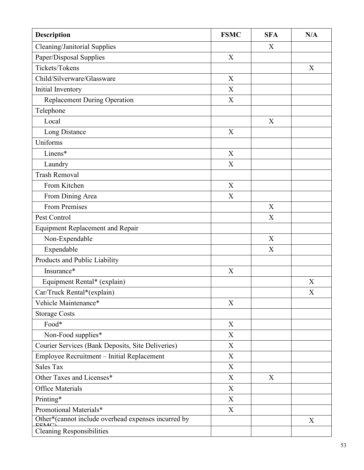| Description                                                 | <b>FSMC</b>               | <b>SFA</b>                | N/A |
|-------------------------------------------------------------|---------------------------|---------------------------|-----|
| Cleaning/Janitorial Supplies                                |                           | X                         |     |
| Paper/Disposal Supplies                                     | $\boldsymbol{\mathrm{X}}$ |                           |     |
| Tickets/Tokens                                              |                           |                           | X   |
| Child/Silverware/Glassware                                  | X                         |                           |     |
| Initial Inventory                                           | X                         |                           |     |
| <b>Replacement During Operation</b>                         | $\mathbf X$               |                           |     |
| Telephone                                                   |                           |                           |     |
| Local                                                       |                           | $\boldsymbol{\mathrm{X}}$ |     |
| Long Distance                                               | X                         |                           |     |
| Uniforms                                                    |                           |                           |     |
| Linens*                                                     | $\mathbf X$               |                           |     |
| Laundry                                                     | $\mathbf X$               |                           |     |
| <b>Trash Removal</b>                                        |                           |                           |     |
| From Kitchen                                                | $\mathbf X$               |                           |     |
| From Dining Area                                            | X                         |                           |     |
| <b>From Premises</b>                                        |                           | X                         |     |
| Pest Control                                                |                           | X                         |     |
| <b>Equipment Replacement and Repair</b>                     |                           |                           |     |
| Non-Expendable                                              |                           | $\boldsymbol{X}$          |     |
| Expendable                                                  |                           | $\mathbf X$               |     |
| Products and Public Liability                               |                           |                           |     |
| Insurance*                                                  | X                         |                           |     |
| Equipment Rental* (explain)                                 |                           |                           | X   |
| Car/Truck Rental*(explain)                                  |                           |                           | X   |
| Vehicle Maintenance*                                        | $\boldsymbol{\mathrm{X}}$ |                           |     |
| <b>Storage Costs</b>                                        |                           |                           |     |
| Food*                                                       | X                         |                           |     |
| Non-Food supplies*                                          | $\boldsymbol{\mathrm{X}}$ |                           |     |
| Courier Services (Bank Deposits, Site Deliveries)           | $\boldsymbol{\mathrm{X}}$ |                           |     |
| Employee Recruitment - Initial Replacement                  | X                         |                           |     |
| <b>Sales Tax</b>                                            | $\boldsymbol{\mathrm{X}}$ |                           |     |
| Other Taxes and Licenses*                                   | $\mathbf X$               | X                         |     |
| <b>Office Materials</b>                                     | $\boldsymbol{\mathrm{X}}$ |                           |     |
| Printing*                                                   | X                         |                           |     |
| Promotional Materials*                                      | $\mathbf X$               |                           |     |
| Other*(cannot include overhead expenses incurred by<br>ECMC |                           |                           | X   |
| <b>Cleaning Responsibilities</b>                            |                           |                           |     |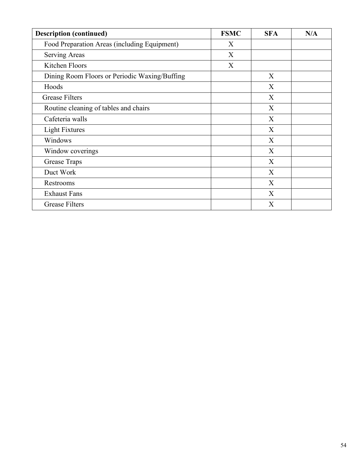| <b>Description (continued)</b>                | <b>FSMC</b> | <b>SFA</b> | N/A |
|-----------------------------------------------|-------------|------------|-----|
| Food Preparation Areas (including Equipment)  | X           |            |     |
| <b>Serving Areas</b>                          | X           |            |     |
| Kitchen Floors                                | X           |            |     |
| Dining Room Floors or Periodic Waxing/Buffing |             | X          |     |
| Hoods                                         |             | X          |     |
| <b>Grease Filters</b>                         |             | X          |     |
| Routine cleaning of tables and chairs         |             | X          |     |
| Cafeteria walls                               |             | X          |     |
| <b>Light Fixtures</b>                         |             | X          |     |
| Windows                                       |             | X          |     |
| Window coverings                              |             | X          |     |
| Grease Traps                                  |             | X          |     |
| Duct Work                                     |             | X          |     |
| Restrooms                                     |             | X          |     |
| <b>Exhaust Fans</b>                           |             | X          |     |
| <b>Grease Filters</b>                         |             | X          |     |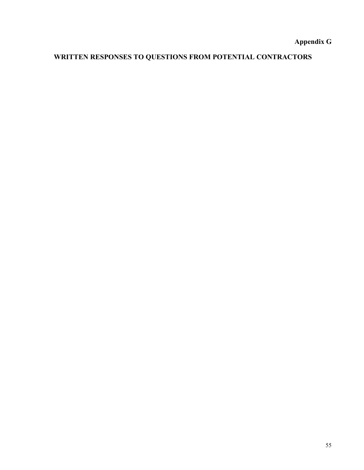**Appendix G**

# **WRITTEN RESPONSES TO QUESTIONS FROM POTENTIAL CONTRACTORS**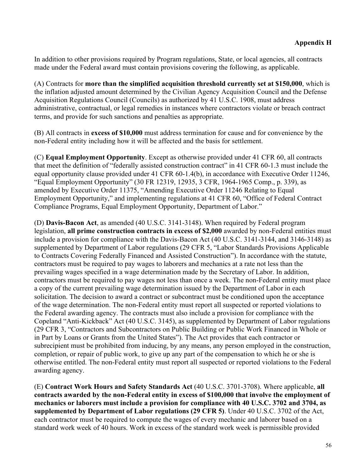In addition to other provisions required by Program regulations, State, or local agencies, all contracts made under the Federal award must contain provisions covering the following, as applicable.

(A) Contracts for **more than the simplified acquisition threshold currently set at \$150,000**, which is the inflation adjusted amount determined by the Civilian Agency Acquisition Council and the Defense Acquisition Regulations Council (Councils) as authorized by 41 U.S.C. 1908, must address administrative, contractual, or legal remedies in instances where contractors violate or breach contract terms, and provide for such sanctions and penalties as appropriate.

(B) All contracts in **excess of \$10,000** must address termination for cause and for convenience by the non-Federal entity including how it will be affected and the basis for settlement.

(C) **Equal Employment Opportunity**. Except as otherwise provided under 41 CFR 60, all contracts that meet the definition of "federally assisted construction contract" in 41 CFR 60-1.3 must include the equal opportunity clause provided under 41 CFR 60-1.4(b), in accordance with Executive Order 11246, "Equal Employment Opportunity" (30 FR 12319, 12935, 3 CFR, 1964-1965 Comp., p. 339), as amended by Executive Order 11375, "Amending Executive Order 11246 Relating to Equal Employment Opportunity," and implementing regulations at 41 CFR 60, "Office of Federal Contract Compliance Programs, Equal Employment Opportunity, Department of Labor."

(D) **Davis-Bacon Act**, as amended (40 U.S.C. 3141-3148). When required by Federal program legislation, **all prime construction contracts in excess of \$2,000** awarded by non-Federal entities must include a provision for compliance with the Davis-Bacon Act (40 U.S.C. 3141-3144, and 3146-3148) as supplemented by Department of Labor regulations (29 CFR 5, "Labor Standards Provisions Applicable to Contracts Covering Federally Financed and Assisted Construction"). In accordance with the statute, contractors must be required to pay wages to laborers and mechanics at a rate not less than the prevailing wages specified in a wage determination made by the Secretary of Labor. In addition, contractors must be required to pay wages not less than once a week. The non-Federal entity must place a copy of the current prevailing wage determination issued by the Department of Labor in each solicitation. The decision to award a contract or subcontract must be conditioned upon the acceptance of the wage determination. The non-Federal entity must report all suspected or reported violations to the Federal awarding agency. The contracts must also include a provision for compliance with the Copeland "Anti-Kickback" Act (40 U.S.C. 3145), as supplemented by Department of Labor regulations (29 CFR 3, "Contractors and Subcontractors on Public Building or Public Work Financed in Whole or in Part by Loans or Grants from the United States"). The Act provides that each contractor or subrecipient must be prohibited from inducing, by any means, any person employed in the construction, completion, or repair of public work, to give up any part of the compensation to which he or she is otherwise entitled. The non-Federal entity must report all suspected or reported violations to the Federal awarding agency.

(E) **Contract Work Hours and Safety Standards Act** (40 U.S.C. 3701-3708). Where applicable, **all contracts awarded by the non-Federal entity in excess of \$100,000 that involve the employment of mechanics or laborers must include a provision for compliance with 40 U.S.C. 3702 and 3704, as supplemented by Department of Labor regulations (29 CFR 5)**. Under 40 U.S.C. 3702 of the Act, each contractor must be required to compute the wages of every mechanic and laborer based on a standard work week of 40 hours. Work in excess of the standard work week is permissible provided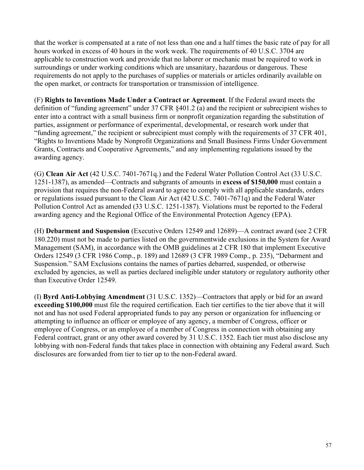that the worker is compensated at a rate of not less than one and a half times the basic rate of pay for all hours worked in excess of 40 hours in the work week. The requirements of 40 U.S.C. 3704 are applicable to construction work and provide that no laborer or mechanic must be required to work in surroundings or under working conditions which are unsanitary, hazardous or dangerous. These requirements do not apply to the purchases of supplies or materials or articles ordinarily available on the open market, or contracts for transportation or transmission of intelligence.

(F) **Rights to Inventions Made Under a Contract or Agreement**. If the Federal award meets the definition of "funding agreement" under 37 CFR §401.2 (a) and the recipient or subrecipient wishes to enter into a contract with a small business firm or nonprofit organization regarding the substitution of parties, assignment or performance of experimental, developmental, or research work under that "funding agreement," the recipient or subrecipient must comply with the requirements of 37 CFR 401, "Rights to Inventions Made by Nonprofit Organizations and Small Business Firms Under Government Grants, Contracts and Cooperative Agreements," and any implementing regulations issued by the awarding agency.

(G) **Clean Air Act** (42 U.S.C. 7401-7671q.) and the Federal Water Pollution Control Act (33 U.S.C. 1251-1387), as amended—Contracts and subgrants of amounts in **excess of \$150,000** must contain a provision that requires the non-Federal award to agree to comply with all applicable standards, orders or regulations issued pursuant to the Clean Air Act (42 U.S.C. 7401-7671q) and the Federal Water Pollution Control Act as amended (33 U.S.C. 1251-1387). Violations must be reported to the Federal awarding agency and the Regional Office of the Environmental Protection Agency (EPA).

(H) **Debarment and Suspension** (Executive Orders 12549 and 12689)—A contract award (see 2 CFR 180.220) must not be made to parties listed on the governmentwide exclusions in the System for Award Management (SAM), in accordance with the OMB guidelines at 2 CFR 180 that implement Executive Orders 12549 (3 CFR 1986 Comp., p. 189) and 12689 (3 CFR 1989 Comp., p. 235), "Debarment and Suspension." SAM Exclusions contains the names of parties debarred, suspended, or otherwise excluded by agencies, as well as parties declared ineligible under statutory or regulatory authority other than Executive Order 12549.

(I) **Byrd Anti-Lobbying Amendment** (31 U.S.C. 1352)—Contractors that apply or bid for an award **exceeding \$100,000** must file the required certification. Each tier certifies to the tier above that it will not and has not used Federal appropriated funds to pay any person or organization for influencing or attempting to influence an officer or employee of any agency, a member of Congress, officer or employee of Congress, or an employee of a member of Congress in connection with obtaining any Federal contract, grant or any other award covered by 31 U.S.C. 1352. Each tier must also disclose any lobbying with non-Federal funds that takes place in connection with obtaining any Federal award. Such disclosures are forwarded from tier to tier up to the non-Federal award.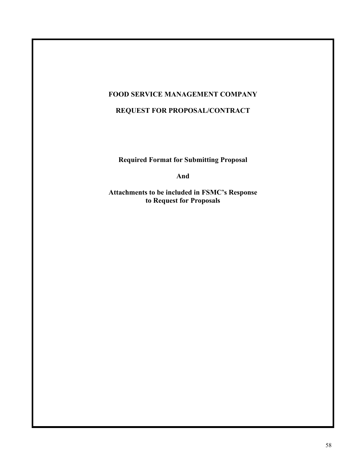## **FOOD SERVICE MANAGEMENT COMPANY**

## **REQUEST FOR PROPOSAL/CONTRACT**

**Required Format for Submitting Proposal**

**And**

**Attachments to be included in FSMC's Response to Request for Proposals**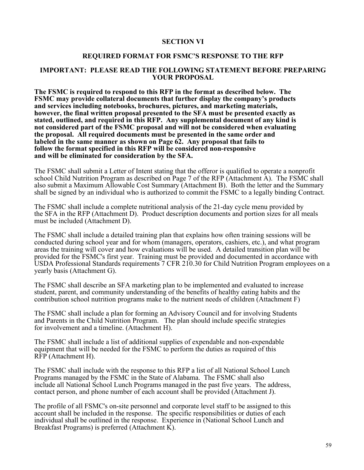#### **SECTION VI**

#### **REQUIRED FORMAT FOR FSMC'S RESPONSE TO THE RFP**

#### **IMPORTANT: PLEASE READ THE FOLLOWING STATEMENT BEFORE PREPARING YOUR PROPOSAL**

**The FSMC is required to respond to this RFP in the format as described below. The FSMC may provide collateral documents that further display the company's products and services including notebooks, brochures, pictures, and marketing materials, however, the final written proposal presented to the SFA must be presented exactly as stated, outlined, and required in this RFP. Any supplemental document of any kind is not considered part of the FSMC proposal and will not be considered when evaluating the proposal. All required documents must be presented in the same order and labeled in the same manner as shown on Page 62. Any proposal that fails to follow the format specified in this RFP will be considered non-responsive and will be eliminated for consideration by the SFA.**

The FSMC shall submit a Letter of Intent stating that the offeror is qualified to operate a nonprofit school Child Nutrition Program as described on Page 7 of the RFP (Attachment A). The FSMC shall also submit a Maximum Allowable Cost Summary (Attachment B). Both the letter and the Summary shall be signed by an individual who is authorized to commit the FSMC to a legally binding Contract.

The FSMC shall include a complete nutritional analysis of the 21-day cycle menu provided by the SFA in the RFP (Attachment D). Product description documents and portion sizes for all meals must be included (Attachment D).

The FSMC shall include a detailed training plan that explains how often training sessions will be conducted during school year and for whom (managers, operators, cashiers, etc.), and what program areas the training will cover and how evaluations will be used. A detailed transition plan will be provided for the FSMC's first year. Training must be provided and documented in accordance with USDA Professional Standards requirements 7 CFR 210.30 for Child Nutrition Program employees on a yearly basis (Attachment G).

The FSMC shall describe an SFA marketing plan to be implemented and evaluated to increase student, parent, and community understanding of the benefits of healthy eating habits and the contribution school nutrition programs make to the nutrient needs of children (Attachment F)

The FSMC shall include a plan for forming an Advisory Council and for involving Students and Parents in the Child Nutrition Program. The plan should include specific strategies for involvement and a timeline. (Attachment H).

The FSMC shall include a list of additional supplies of expendable and non-expendable equipment that will be needed for the FSMC to perform the duties as required of this RFP (Attachment H).

The FSMC shall include with the response to this RFP a list of all National School Lunch Programs managed by the FSMC in the State of Alabama. The FSMC shall also include all National School Lunch Programs managed in the past five years. The address, contact person, and phone number of each account shall be provided (Attachment J).

The profile of all FSMC's on-site personnel and corporate level staff to be assigned to this account shall be included in the response. The specific responsibilities or duties of each individual shall be outlined in the response. Experience in (National School Lunch and Breakfast Programs) is preferred (Attachment K).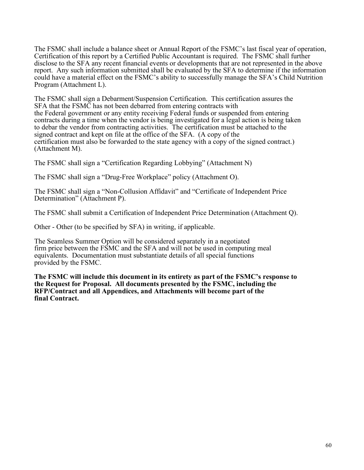The FSMC shall include a balance sheet or Annual Report of the FSMC's last fiscal year of operation, Certification of this report by a Certified Public Accountant is required. The FSMC shall further disclose to the SFA any recent financial events or developments that are not represented in the above report. Any such information submitted shall be evaluated by the SFA to determine if the information could have a material effect on the FSMC's ability to successfully manage the SFA's Child Nutrition Program (Attachment L).

The FSMC shall sign a Debarment/Suspension Certification. This certification assures the SFA that the FSMC has not been debarred from entering contracts with the Federal government or any entity receiving Federal funds or suspended from entering contracts during a time when the vendor is being investigated for a legal action is being taken to debar the vendor from contracting activities. The certification must be attached to the signed contract and kept on file at the office of the SFA. (A copy of the certification must also be forwarded to the state agency with a copy of the signed contract.) (Attachment M).

The FSMC shall sign a "Certification Regarding Lobbying" (Attachment N)

The FSMC shall sign a "Drug-Free Workplace" policy (Attachment O).

The FSMC shall sign a "Non-Collusion Affidavit" and "Certificate of Independent Price Determination" (Attachment P).

The FSMC shall submit a Certification of Independent Price Determination (Attachment Q).

Other - Other (to be specified by SFA) in writing, if applicable.

The Seamless Summer Option will be considered separately in a negotiated firm price between the FSMC and the SFA and will not be used in computing meal equivalents. Documentation must substantiate details of all special functions provided by the FSMC.

**The FSMC will include this document in its entirety as part of the FSMC's response to the Request for Proposal. All documents presented by the FSMC, including the RFP/Contract and all Appendices, and Attachments will become part of the final Contract.**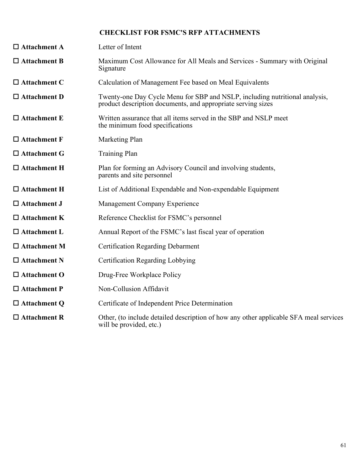## **CHECKLIST FOR FSMC'S RFP ATTACHMENTS**

| $\Box$ Attachment A    | Letter of Intent                                                                                                                            |
|------------------------|---------------------------------------------------------------------------------------------------------------------------------------------|
| $\Box$ Attachment B    | Maximum Cost Allowance for All Meals and Services - Summary with Original<br>Signature                                                      |
| $\Box$ Attachment C    | Calculation of Management Fee based on Meal Equivalents                                                                                     |
| $\square$ Attachment D | Twenty-one Day Cycle Menu for SBP and NSLP, including nutritional analysis,<br>product description documents, and appropriate serving sizes |
| $\Box$ Attachment E    | Written assurance that all items served in the SBP and NSLP meet<br>the minimum food specifications                                         |
| $\Box$ Attachment F    | Marketing Plan                                                                                                                              |
| $\Box$ Attachment G    | <b>Training Plan</b>                                                                                                                        |
| $\Box$ Attachment H    | Plan for forming an Advisory Council and involving students,<br>parents and site personnel                                                  |
| $\Box$ Attachment H    | List of Additional Expendable and Non-expendable Equipment                                                                                  |
| $\Box$ Attachment J    | Management Company Experience                                                                                                               |
| $\Box$ Attachment K    | Reference Checklist for FSMC's personnel                                                                                                    |
| $\Box$ Attachment L    | Annual Report of the FSMC's last fiscal year of operation                                                                                   |
| $\Box$ Attachment M    | <b>Certification Regarding Debarment</b>                                                                                                    |
| $\Box$ Attachment N    | Certification Regarding Lobbying                                                                                                            |
| $\Box$ Attachment O    | Drug-Free Workplace Policy                                                                                                                  |
| $\Box$ Attachment P    | Non-Collusion Affidavit                                                                                                                     |
| $\Box$ Attachment Q    | Certificate of Independent Price Determination                                                                                              |
| $\Box$ Attachment R    | Other, (to include detailed description of how any other applicable SFA meal services<br>will be provided, etc.)                            |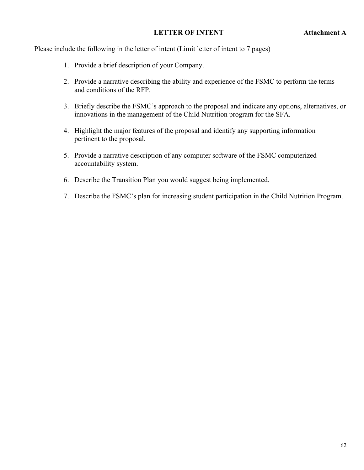#### **LETTER OF INTENT Attachment A**

Please include the following in the letter of intent (Limit letter of intent to 7 pages)

- 1. Provide a brief description of your Company.
- 2. Provide a narrative describing the ability and experience of the FSMC to perform the terms and conditions of the RFP.
- 3. Briefly describe the FSMC's approach to the proposal and indicate any options, alternatives, or innovations in the management of the Child Nutrition program for the SFA.
- 4. Highlight the major features of the proposal and identify any supporting information pertinent to the proposal.
- 5. Provide a narrative description of any computer software of the FSMC computerized accountability system.
- 6. Describe the Transition Plan you would suggest being implemented.
- 7. Describe the FSMC's plan for increasing student participation in the Child Nutrition Program.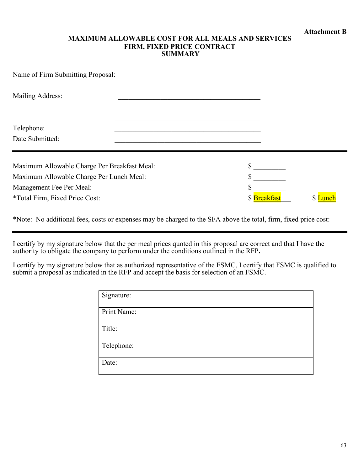#### **MAXIMUM ALLOWABLE COST FOR ALL MEALS AND SERVICES FIRM, FIXED PRICE CONTRACT SUMMARY**

| Name of Firm Submitting Proposal:                          |                   |        |
|------------------------------------------------------------|-------------------|--------|
| Mailing Address:                                           |                   |        |
| Telephone:<br>Date Submitted:                              |                   |        |
| Maximum Allowable Charge Per Breakfast Meal:               |                   |        |
| Maximum Allowable Charge Per Lunch Meal:                   |                   |        |
| Management Fee Per Meal:<br>*Total Firm, Fixed Price Cost: | \$<br>\$Breakfast | \$Lunc |

\*Note: No additional fees, costs or expenses may be charged to the SFA above the total, firm, fixed price cost:

I certify by my signature below that the per meal prices quoted in this proposal are correct and that I have the authority to obligate the company to perform under the conditions outlined in the RFP**.**

I certify by my signature below that as authorized representative of the FSMC, I certify that FSMC is qualified to submit a proposal as indicated in the RFP and accept the basis for selection of an FSMC.

| Signature:  |
|-------------|
| Print Name: |
| Title:      |
| Telephone:  |
| Date:       |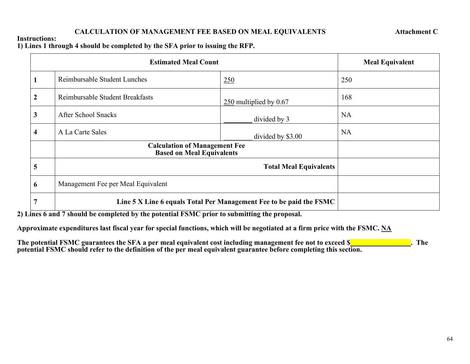## **CALCULATION OF MANAGEMENT FEE BASED ON MEAL EQUIVALENTS Attachment C**

#### **Instructions:**

**1) Lines 1 through 4 should be completed by the SFA prior to issuing the RFP.**

| <b>Estimated Meal Count</b> |                                                                          |                               | <b>Meal Equivalent</b> |
|-----------------------------|--------------------------------------------------------------------------|-------------------------------|------------------------|
| -1                          | Reimbursable Student Lunches<br>250                                      |                               | 250                    |
| $\boldsymbol{2}$            | Reimbursable Student Breakfasts                                          | 250 multiplied by 0.67        | 168                    |
| 3                           | <b>After School Snacks</b>                                               | divided by 3                  | <b>NA</b>              |
| $\overline{\mathbf{4}}$     | A La Carte Sales                                                         | divided by \$3.00             | <b>NA</b>              |
|                             | <b>Calculation of Management Fee</b><br><b>Based on Meal Equivalents</b> |                               |                        |
| 5                           |                                                                          | <b>Total Meal Equivalents</b> |                        |
| 6                           | Management Fee per Meal Equivalent                                       |                               |                        |
| 7                           | Line 5 X Line 6 equals Total Per Management Fee to be paid the FSMC      |                               |                        |

**2) Lines 6 and 7 should be completed by the potential FSMC prior to submitting the proposal.**

**Approximate expenditures last fiscal year for special functions, which will be negotiated at a firm price with the FSMC. NA**

| The potential FSMC guarantees the SFA a per meal equivalent cost including management fee not to exceed $\S$       | The |
|--------------------------------------------------------------------------------------------------------------------|-----|
| potential FSMC should refer to the definition of the per meal equivalent guarantee before completing this section. |     |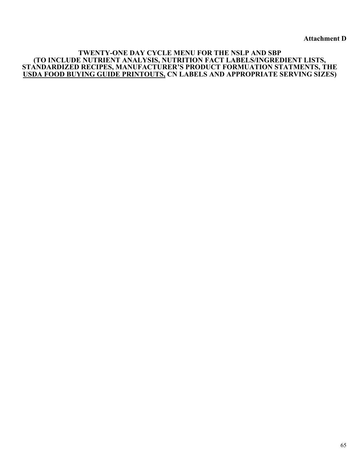**Attachment D**

#### **TWENTY-ONE DAY CYCLE MENU FOR THE NSLP AND SBP (TO INCLUDE NUTRIENT ANALYSIS, NUTRITION FACT LABELS/INGREDIENT LISTS, STANDARDIZED RECIPES, MANUFACTURER'S PRODUCT FORMUATION STATMENTS, THE USDA FOOD BUYING GUIDE PRINTOUTS, CN LABELS AND APPROPRIATE SERVING SIZES)**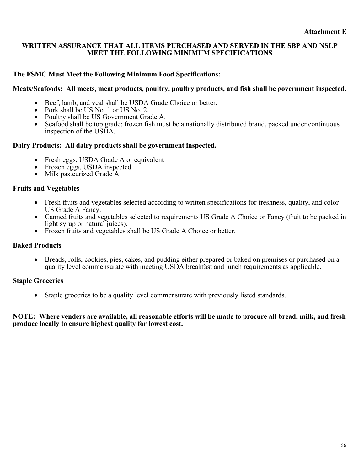#### **WRITTEN ASSURANCE THAT ALL ITEMS PURCHASED AND SERVED IN THE SBP AND NSLP MEET THE FOLLOWING MINIMUM SPECIFICATIONS**

### **The FSMC Must Meet the Following Minimum Food Specifications:**

#### **Meats/Seafoods: All meets, meat products, poultry, poultry products, and fish shall be government inspected.**

- Beef, lamb, and veal shall be USDA Grade Choice or better.
- Pork shall be US No. 1 or US No. 2.
- Poultry shall be US Government Grade A.
- Seafood shall be top grade; frozen fish must be a nationally distributed brand, packed under continuous inspection of the USDA.

#### **Dairy Products: All dairy products shall be government inspected.**

- Fresh eggs, USDA Grade A or equivalent
- Frozen eggs, USDA inspected
- Milk pasteurized Grade A

#### **Fruits and Vegetables**

- Fresh fruits and vegetables selected according to written specifications for freshness, quality, and color US Grade A Fancy.
- Canned fruits and vegetables selected to requirements US Grade A Choice or Fancy (fruit to be packed in light syrup or natural juices).
- Frozen fruits and vegetables shall be US Grade A Choice or better.

#### **Baked Products**

• Breads, rolls, cookies, pies, cakes, and pudding either prepared or baked on premises or purchased on a quality level commensurate with meeting USDA breakfast and lunch requirements as applicable.

#### **Staple Groceries**

• Staple groceries to be a quality level commensurate with previously listed standards.

#### **NOTE: Where venders are available, all reasonable efforts will be made to procure all bread, milk, and fresh produce locally to ensure highest quality for lowest cost.**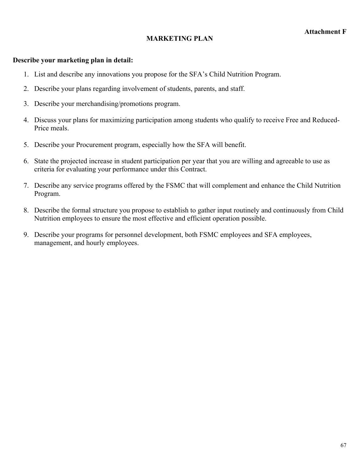## **MARKETING PLAN**

#### **Describe your marketing plan in detail:**

- 1. List and describe any innovations you propose for the SFA's Child Nutrition Program.
- 2. Describe your plans regarding involvement of students, parents, and staff.
- 3. Describe your merchandising/promotions program.
- 4. Discuss your plans for maximizing participation among students who qualify to receive Free and Reduced-Price meals.
- 5. Describe your Procurement program, especially how the SFA will benefit.
- 6. State the projected increase in student participation per year that you are willing and agreeable to use as criteria for evaluating your performance under this Contract.
- 7. Describe any service programs offered by the FSMC that will complement and enhance the Child Nutrition Program.
- 8. Describe the formal structure you propose to establish to gather input routinely and continuously from Child Nutrition employees to ensure the most effective and efficient operation possible.
- 9. Describe your programs for personnel development, both FSMC employees and SFA employees, management, and hourly employees.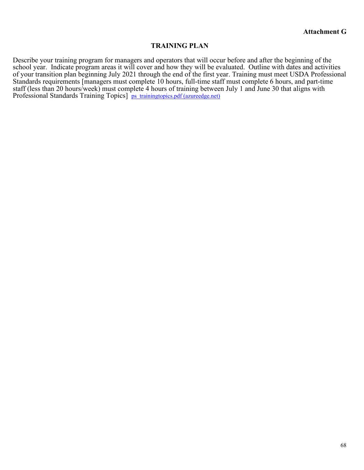#### **TRAINING PLAN**

Describe your training program for managers and operators that will occur before and after the beginning of the school year. Indicate program areas it will cover and how they will be evaluated. Outline with dates and activities of your transition plan beginning July 2021 through the end of the first year. Training must meet USDA Professional Standards requirements [managers must complete 10 hours, full-time staff must complete 6 hours, and part-time staff (less than 20 hours/week) must complete 4 hours of training between July 1 and June 30 that aligns with Professional Standards Training Topics] [ps\\_trainingtopics.pdf \(azureedge.net\)](https://fns-prod.azureedge.net/sites/default/files/cn/ps_trainingtopics.pdf)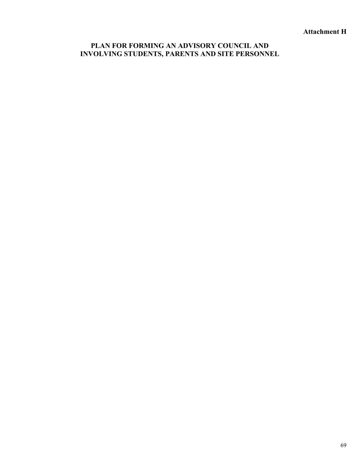**Attachment H**

## **PLAN FOR FORMING AN ADVISORY COUNCIL AND INVOLVING STUDENTS, PARENTS AND SITE PERSONNEL**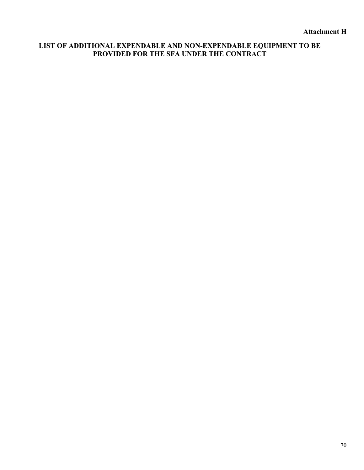## **LIST OF ADDITIONAL EXPENDABLE AND NON-EXPENDABLE EQUIPMENT TO BE PROVIDED FOR THE SFA UNDER THE CONTRACT**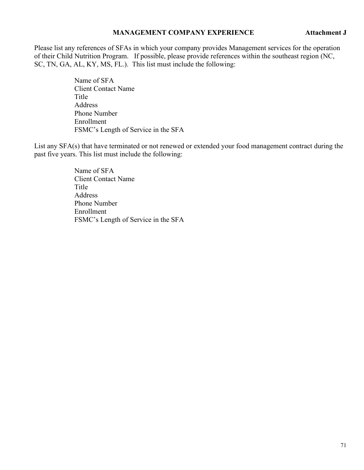#### **MANAGEMENT COMPANY EXPERIENCE Attachment J**

Please list any references of SFAs in which your company provides Management services for the operation of their Child Nutrition Program. If possible, please provide references within the southeast region (NC, SC, TN, GA, AL, KY, MS, FL.). This list must include the following:

> Name of SFA Client Contact Name Title Address Phone Number Enrollment FSMC's Length of Service in the SFA

List any SFA(s) that have terminated or not renewed or extended your food management contract during the past five years. This list must include the following:

> Name of SFA Client Contact Name **Title** Address Phone Number Enrollment FSMC's Length of Service in the SFA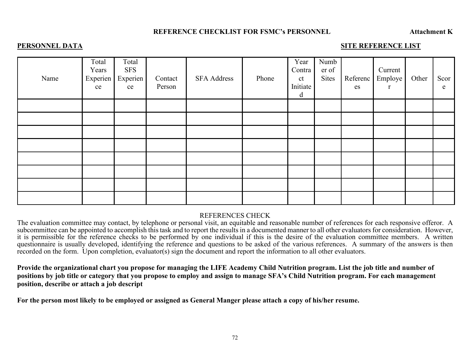#### **REFERENCE CHECKLIST FOR FSMC's PERSONNEL Attachment K**

#### **PERSONNEL DATA** SITE REFERENCE LIST

| Name | Total<br>Years<br>Experien<br>ce | Total<br><b>SFS</b><br>Experien<br>ce | Contact<br>Person | <b>SFA Address</b> | Phone | Year<br>Contra<br>ct<br>Initiate<br>d | Numb<br>er of<br>Sites | Referenc<br>es | Current<br>Employe<br>$\mathbf{r}$ | Other | Scor<br>e |
|------|----------------------------------|---------------------------------------|-------------------|--------------------|-------|---------------------------------------|------------------------|----------------|------------------------------------|-------|-----------|
|      |                                  |                                       |                   |                    |       |                                       |                        |                |                                    |       |           |
|      |                                  |                                       |                   |                    |       |                                       |                        |                |                                    |       |           |
|      |                                  |                                       |                   |                    |       |                                       |                        |                |                                    |       |           |
|      |                                  |                                       |                   |                    |       |                                       |                        |                |                                    |       |           |
|      |                                  |                                       |                   |                    |       |                                       |                        |                |                                    |       |           |
|      |                                  |                                       |                   |                    |       |                                       |                        |                |                                    |       |           |
|      |                                  |                                       |                   |                    |       |                                       |                        |                |                                    |       |           |
|      |                                  |                                       |                   |                    |       |                                       |                        |                |                                    |       |           |

#### REFERENCES CHECK

The evaluation committee may contact, by telephone or personal visit, an equitable and reasonable number of references for each responsive offeror. A subcommittee can be appointed to accomplish this task and to report the results in a documented manner to all other evaluators for consideration. However, it is permissible for the reference checks to be performed by one individual if this is the desire of the evaluation committee members. A written questionnaire is usually developed, identifying the reference and questions to be asked of the various references. A summary of the answers is then recorded on the form. Upon completion, evaluator(s) sign the document and report the information to all other evaluators.

**Provide the organizational chart you propose for managing the LIFE Academy Child Nutrition program. List the job title and number of positions by job title or category that you propose to employ and assign to manage SFA's Child Nutrition program. For each management position, describe or attach a job descript**

**For the person most likely to be employed or assigned as General Manger please attach a copy of his/her resume.**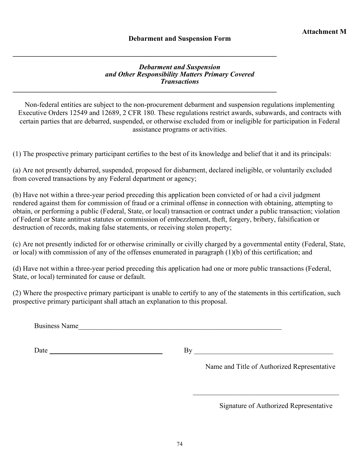**\_\_\_\_\_\_\_\_\_\_\_\_\_\_\_\_\_\_\_\_\_\_\_\_\_\_\_\_\_\_\_\_\_\_\_\_\_\_\_\_\_\_\_\_\_\_\_\_\_\_\_\_\_\_\_\_\_\_\_\_\_\_\_\_\_\_\_\_\_\_\_\_\_\_**

### *Debarment and Suspension and Other Responsibility Matters Primary Covered Transactions* **\_\_\_\_\_\_\_\_\_\_\_\_\_\_\_\_\_\_\_\_\_\_\_\_\_\_\_\_\_\_\_\_\_\_\_\_\_\_\_\_\_\_\_\_\_\_\_\_\_\_\_\_\_\_\_\_\_\_\_\_\_\_\_\_\_\_\_\_\_\_\_\_\_\_**

Non-federal entities are subject to the non-procurement debarment and suspension regulations implementing Executive Orders 12549 and 12689, 2 CFR 180. These regulations restrict awards, subawards, and contracts with certain parties that are debarred, suspended, or otherwise excluded from or ineligible for participation in Federal assistance programs or activities.

(1) The prospective primary participant certifies to the best of its knowledge and belief that it and its principals:

(a) Are not presently debarred, suspended, proposed for disbarment, declared ineligible, or voluntarily excluded from covered transactions by any Federal department or agency;

(b) Have not within a three-year period preceding this application been convicted of or had a civil judgment rendered against them for commission of fraud or a criminal offense in connection with obtaining, attempting to obtain, or performing a public (Federal, State, or local) transaction or contract under a public transaction; violation of Federal or State antitrust statutes or commission of embezzlement, theft, forgery, bribery, falsification or destruction of records, making false statements, or receiving stolen property;

(c) Are not presently indicted for or otherwise criminally or civilly charged by a governmental entity (Federal, State, or local) with commission of any of the offenses enumerated in paragraph (1)(b) of this certification; and

(d) Have not within a three-year period preceding this application had one or more public transactions (Federal, State, or local) terminated for cause or default.

(2) Where the prospective primary participant is unable to certify to any of the statements in this certification, such prospective primary participant shall attach an explanation to this proposal.

Business Name

Date By \_\_\_\_\_\_\_\_\_\_\_\_\_\_\_\_\_\_\_\_\_\_\_\_\_\_\_\_\_\_\_\_\_\_\_\_\_\_\_

Name and Title of Authorized Representative

 $\overline{\mathcal{L}}$  , which is a set of the set of the set of the set of the set of the set of the set of the set of the set of the set of the set of the set of the set of the set of the set of the set of the set of the set of th

Signature of Authorized Representative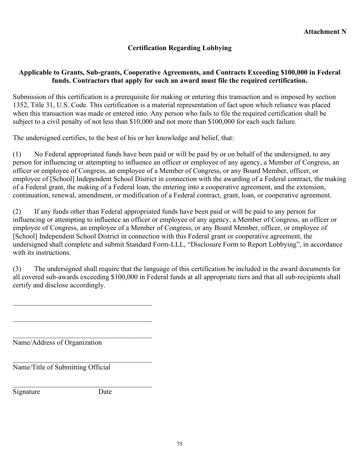# **Certification Regarding Lobbying**

## **Applicable to Grants, Sub-grants, Cooperative Agreements, and Contracts Exceeding \$100,000 in Federal funds. Contractors that apply for such an award must file the required certification.**

Submission of this certification is a prerequisite for making or entering this transaction and is imposed by section 1352, Title 31, U.S. Code. This certification is a material representation of fact upon which reliance was placed when this transaction was made or entered into. Any person who fails to file the required certification shall be subject to a civil penalty of not less than \$10,000 and not more than \$100,000 for each such failure.

The undersigned certifies, to the best of his or her knowledge and belief, that:

(1) No Federal appropriated funds have been paid or will be paid by or on behalf of the undersigned, to any person for influencing or attempting to influence an officer or employee of any agency, a Member of Congress, an officer or employee of Congress, an employee of a Member of Congress, or any Board Member, officer, or employee of [School] Independent School District in connection with the awarding of a Federal contract, the making of a Federal grant, the making of a Federal loan, the entering into a cooperative agreement, and the extension, continuation, renewal, amendment, or modification of a Federal contract, grant, loan, or cooperative agreement.

(2) If any funds other than Federal appropriated funds have been paid or will be paid to any person for influencing or attempting to influence an officer or employee of any agency, a Member of Congress, an officer or employee of Congress, an employee of a Member of Congress, or any Board Member, officer, or employee of [School] Independent School District in connection with this Federal grant or cooperative agreement, the undersigned shall complete and submit Standard Form-LLL, "Disclosure Form to Report Lobbying", in accordance with its instructions.

(3) The undersigned shall require that the language of this certification be included in the award documents for all covered sub-awards exceeding \$100,000 in Federal funds at all appropriate tiers and that all sub-recipients shall certify and disclose accordingly.

\_\_\_\_\_\_\_\_\_\_\_\_\_\_\_\_\_\_\_\_\_\_\_\_\_\_\_\_\_\_\_\_\_\_\_\_\_\_\_ Name/Address of Organization

\_\_\_\_\_\_\_\_\_\_\_\_\_\_\_\_\_\_\_\_\_\_\_\_\_\_\_\_\_\_\_\_\_\_\_\_\_\_\_

Name/Title of Submitting Official

Signature Date

\_\_\_\_\_\_\_\_\_\_\_\_\_\_\_\_\_\_\_\_\_\_\_\_\_\_\_\_\_\_\_\_\_\_\_\_\_\_\_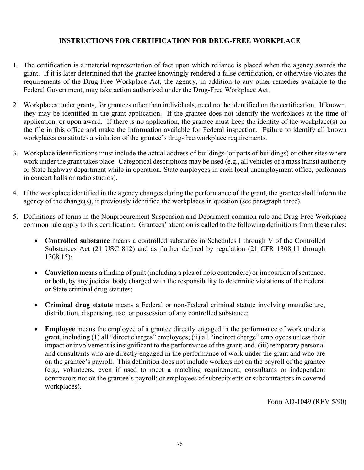## **INSTRUCTIONS FOR CERTIFICATION FOR DRUG-FREE WORKPLACE**

- 1. The certification is a material representation of fact upon which reliance is placed when the agency awards the grant. If it is later determined that the grantee knowingly rendered a false certification, or otherwise violates the requirements of the Drug-Free Workplace Act, the agency, in addition to any other remedies available to the Federal Government, may take action authorized under the Drug-Free Workplace Act.
- 2. Workplaces under grants, for grantees other than individuals, need not be identified on the certification. If known, they may be identified in the grant application. If the grantee does not identify the workplaces at the time of application, or upon award. If there is no application, the grantee must keep the identity of the workplace(s) on the file in this office and make the information available for Federal inspection. Failure to identify all known workplaces constitutes a violation of the grantee's drug-free workplace requirements.
- 3. Workplace identifications must include the actual address of buildings (or parts of buildings) or other sites where work under the grant takes place. Categorical descriptions may be used (e.g., all vehicles of a mass transit authority or State highway department while in operation, State employees in each local unemployment office, performers in concert halls or radio studios).
- 4. If the workplace identified in the agency changes during the performance of the grant, the grantee shall inform the agency of the change(s), it previously identified the workplaces in question (see paragraph three).
- 5. Definitions of terms in the Nonprocurement Suspension and Debarment common rule and Drug-Free Workplace common rule apply to this certification. Grantees' attention is called to the following definitions from these rules:
	- **Controlled substance** means a controlled substance in Schedules I through V of the Controlled Substances Act (21 USC 812) and as further defined by regulation (21 CFR 1308.11 through 1308.15);
	- **Conviction** means a finding of guilt (including a plea of nolo contendere) or imposition of sentence, or both, by any judicial body charged with the responsibility to determine violations of the Federal or State criminal drug statutes;
	- **Criminal drug statute** means a Federal or non-Federal criminal statute involving manufacture, distribution, dispensing, use, or possession of any controlled substance;
	- **Employee** means the employee of a grantee directly engaged in the performance of work under a grant, including (1) all "direct charges" employees; (ii) all "indirect charge" employees unless their impact or involvement is insignificant to the performance of the grant; and, (iii) temporary personal and consultants who are directly engaged in the performance of work under the grant and who are on the grantee's payroll. This definition does not include workers not on the payroll of the grantee (e.g., volunteers, even if used to meet a matching requirement; consultants or independent contractors not on the grantee's payroll; or employees of subrecipients or subcontractors in covered workplaces).

Form AD-1049 (REV 5/90)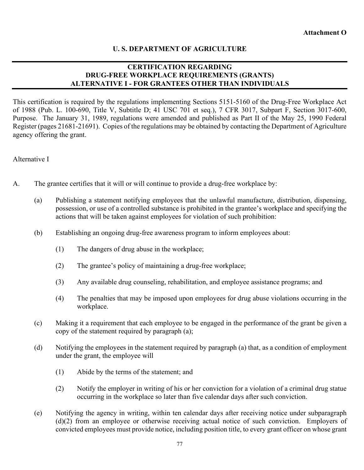# **U. S. DEPARTMENT OF AGRICULTURE**

## **CERTIFICATION REGARDING DRUG-FREE WORKPLACE REQUIREMENTS (GRANTS) ALTERNATIVE I - FOR GRANTEES OTHER THAN INDIVIDUALS**

This certification is required by the regulations implementing Sections 5151-5160 of the Drug-Free Workplace Act of 1988 (Pub. L. 100-690, Title V, Subtitle D; 41 USC 701 et seq.), 7 CFR 3017, Subpart F, Section 3017-600, Purpose. The January 31, 1989, regulations were amended and published as Part II of the May 25, 1990 Federal Register (pages 21681-21691). Copies of the regulations may be obtained by contacting the Department of Agriculture agency offering the grant.

Alternative I

- A. The grantee certifies that it will or will continue to provide a drug-free workplace by:
	- (a) Publishing a statement notifying employees that the unlawful manufacture, distribution, dispensing, possession, or use of a controlled substance is prohibited in the grantee's workplace and specifying the actions that will be taken against employees for violation of such prohibition:
	- (b) Establishing an ongoing drug-free awareness program to inform employees about:
		- (1) The dangers of drug abuse in the workplace;
		- (2) The grantee's policy of maintaining a drug-free workplace;
		- (3) Any available drug counseling, rehabilitation, and employee assistance programs; and
		- (4) The penalties that may be imposed upon employees for drug abuse violations occurring in the workplace.
	- (c) Making it a requirement that each employee to be engaged in the performance of the grant be given a copy of the statement required by paragraph (a);
	- (d) Notifying the employees in the statement required by paragraph (a) that, as a condition of employment under the grant, the employee will
		- (1) Abide by the terms of the statement; and
		- (2) Notify the employer in writing of his or her conviction for a violation of a criminal drug statue occurring in the workplace so later than five calendar days after such conviction.
	- (e) Notifying the agency in writing, within ten calendar days after receiving notice under subparagraph (d)(2) from an employee or otherwise receiving actual notice of such conviction. Employers of convicted employees must provide notice, including position title, to every grant officer on whose grant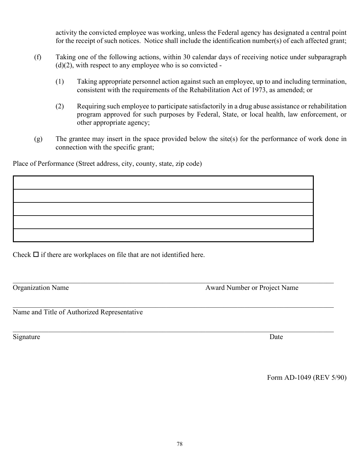activity the convicted employee was working, unless the Federal agency has designated a central point for the receipt of such notices. Notice shall include the identification number(s) of each affected grant;

- (f) Taking one of the following actions, within 30 calendar days of receiving notice under subparagraph  $(d)(2)$ , with respect to any employee who is so convicted -
	- (1) Taking appropriate personnel action against such an employee, up to and including termination, consistent with the requirements of the Rehabilitation Act of 1973, as amended; or
	- (2) Requiring such employee to participate satisfactorily in a drug abuse assistance or rehabilitation program approved for such purposes by Federal, State, or local health, law enforcement, or other appropriate agency;
- (g) The grantee may insert in the space provided below the site(s) for the performance of work done in connection with the specific grant;

Place of Performance (Street address, city, county, state, zip code)

Check  $\Box$  if there are workplaces on file that are not identified here.

 $\mathcal{L}_\mathcal{L}$  , and the set of the set of the set of the set of the set of the set of the set of the set of the set of the set of the set of the set of the set of the set of the set of the set of the set of the set of th Organization Name Award Number or Project Name

Name and Title of Authorized Representative

Signature Date

Form AD-1049 (REV 5/90)

 $\mathcal{L}_\mathcal{L}$  , and the set of the set of the set of the set of the set of the set of the set of the set of the set of the set of the set of the set of the set of the set of the set of the set of the set of the set of th

 $\mathcal{L}_\mathcal{L}$  , and the set of the set of the set of the set of the set of the set of the set of the set of the set of the set of the set of the set of the set of the set of the set of the set of the set of the set of th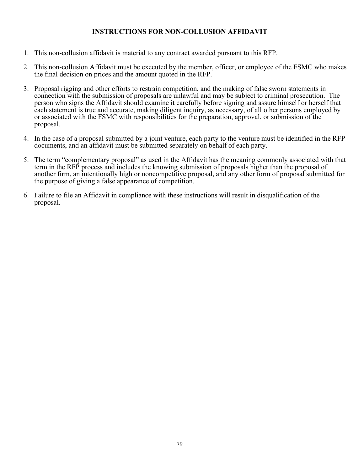## **INSTRUCTIONS FOR NON-COLLUSION AFFIDAVIT**

- 1. This non-collusion affidavit is material to any contract awarded pursuant to this RFP.
- 2. This non-collusion Affidavit must be executed by the member, officer, or employee of the FSMC who makes the final decision on prices and the amount quoted in the RFP.
- 3. Proposal rigging and other efforts to restrain competition, and the making of false sworn statements in connection with the submission of proposals are unlawful and may be subject to criminal prosecution. The person who signs the Affidavit should examine it carefully before signing and assure himself or herself that each statement is true and accurate, making diligent inquiry, as necessary, of all other persons employed by or associated with the FSMC with responsibilities for the preparation, approval, or submission of the proposal.
- 4. In the case of a proposal submitted by a joint venture, each party to the venture must be identified in the RFP documents, and an affidavit must be submitted separately on behalf of each party.
- 5. The term "complementary proposal" as used in the Affidavit has the meaning commonly associated with that term in the RFP process and includes the knowing submission of proposals higher than the proposal of another firm, an intentionally high or noncompetitive proposal, and any other form of proposal submitted for the purpose of giving a false appearance of competition.
- 6. Failure to file an Affidavit in compliance with these instructions will result in disqualification of the proposal.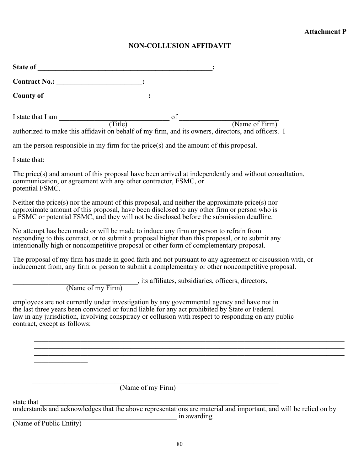# **NON-COLLUSION AFFIDAVIT**

| I state that I am $(Title)$<br>of<br>(Name of Firm)<br>authorized to make this affidavit on behalf of my firm, and its owners, directors, and officers. I                                                                                                                                                                           |
|-------------------------------------------------------------------------------------------------------------------------------------------------------------------------------------------------------------------------------------------------------------------------------------------------------------------------------------|
| am the person responsible in my firm for the price(s) and the amount of this proposal.                                                                                                                                                                                                                                              |
| I state that:                                                                                                                                                                                                                                                                                                                       |
| The price(s) and amount of this proposal have been arrived at independently and without consultation,<br>communication, or agreement with any other contractor, FSMC, or<br>potential FSMC.                                                                                                                                         |
| Neither the price(s) nor the amount of this proposal, and neither the approximate price(s) nor<br>approximate amount of this proposal, have been disclosed to any other firm or person who is<br>a FSMC or potential FSMC, and they will not be disclosed before the submission deadline.                                           |
| No attempt has been made or will be made to induce any firm or person to refrain from<br>responding to this contract, or to submit a proposal higher than this proposal, or to submit any<br>intentionally high or noncompetitive proposal or other form of complementary proposal.                                                 |
| The proposal of my firm has made in good faith and not pursuant to any agreement or discussion with, or<br>inducement from, any firm or person to submit a complementary or other noncompetitive proposal.                                                                                                                          |
| (Name of my Firm), its affiliates, subsidiaries, officers, directors,                                                                                                                                                                                                                                                               |
| employees are not currently under investigation by any governmental agency and have not in<br>the last three years been convicted or found liable for any act prohibited by State or Federal<br>law in any jurisdiction, involving conspiracy or collusion with respect to responding on any public<br>contract, except as follows: |
|                                                                                                                                                                                                                                                                                                                                     |
|                                                                                                                                                                                                                                                                                                                                     |
| (Name of my Firm)                                                                                                                                                                                                                                                                                                                   |
| state that                                                                                                                                                                                                                                                                                                                          |

understands and acknowledges that the above representations are material and important, and will be relied on by \_\_\_\_\_\_\_\_\_\_\_\_\_\_\_\_\_\_\_\_\_\_\_\_\_\_\_\_\_\_\_\_\_\_\_\_\_\_\_\_\_\_\_\_\_\_ in awarding (Name of Public Entity)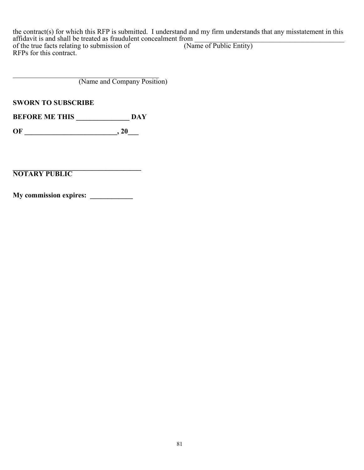the contract(s) for which this RFP is submitted. I understand and my firm understands that any misstatement in this affidavit is and shall be treated as fraudulent concealment from \_\_\_\_\_\_\_\_\_\_\_\_\_\_\_\_\_\_\_\_\_\_\_\_\_\_\_\_\_\_\_\_\_\_\_\_\_\_\_\_\_\_ of the true facts relating to submission of (Name of Public Entity) RFPs for this contract.

\_\_\_\_\_\_\_\_\_\_\_\_\_\_\_\_\_\_\_\_\_\_\_\_\_\_\_\_\_\_\_\_\_\_\_\_\_\_\_\_\_ (Name and Company Position)

**SWORN TO SUBSCRIBE**

**BEFORE ME THIS \_\_\_\_\_\_\_\_\_\_\_\_\_\_\_\_\_ DAY** 

**OF \_\_\_\_\_\_\_\_\_\_\_\_\_\_\_\_\_\_\_\_\_\_\_\_\_\_, 20\_\_\_**

**\_\_\_\_\_\_\_\_\_\_\_\_\_\_\_\_\_\_\_\_\_\_\_\_\_\_\_\_\_\_\_\_\_\_\_\_ NOTARY PUBLIC**

**My commission expires: \_\_\_\_\_\_\_\_\_\_\_\_**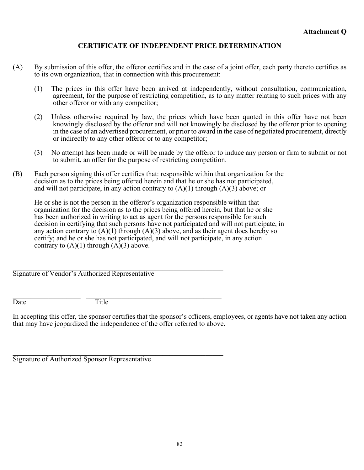# **CERTIFICATE OF INDEPENDENT PRICE DETERMINATION**

- (A) By submission of this offer, the offeror certifies and in the case of a joint offer, each party thereto certifies as to its own organization, that in connection with this procurement:
	- (1) The prices in this offer have been arrived at independently, without consultation, communication, agreement, for the purpose of restricting competition, as to any matter relating to such prices with any other offeror or with any competitor;
	- (2) Unless otherwise required by law, the prices which have been quoted in this offer have not been knowingly disclosed by the offeror and will not knowingly be disclosed by the offeror prior to opening in the case of an advertised procurement, or prior to award in the case of negotiated procurement, directly or indirectly to any other offeror or to any competitor;
	- (3) No attempt has been made or will be made by the offeror to induce any person or firm to submit or not to submit, an offer for the purpose of restricting competition.
- (B) Each person signing this offer certifies that: responsible within that organization for the decision as to the prices being offered herein and that he or she has not participated, and will not participate, in any action contrary to  $(A)(1)$  through  $(A)(3)$  above; or

He or she is not the person in the offeror's organization responsible within that organization for the decision as to the prices being offered herein, but that he or she has been authorized in writing to act as agent for the persons responsible for such decision in certifying that such persons have not participated and will not participate, in any action contrary to  $(A)(1)$  through  $(A)(3)$  above, and as their agent does hereby so certify; and he or she has not participated, and will not participate, in any action contrary to  $(A)(1)$  through  $(A)(3)$  above.

\_\_\_\_\_\_\_\_\_\_\_\_\_\_\_\_\_\_\_\_\_\_\_\_\_\_\_\_\_\_\_\_\_\_\_\_\_\_\_\_\_\_\_\_\_\_\_\_\_\_\_\_\_\_\_\_\_\_\_ Signature of Vendor's Authorized Representative

Date Title

In accepting this offer, the sponsor certifies that the sponsor's officers, employees, or agents have not taken any action that may have jeopardized the independence of the offer referred to above.

\_\_\_\_\_\_\_\_\_\_\_\_\_\_\_\_\_\_\_\_\_\_\_\_\_\_\_\_\_\_\_\_\_\_\_\_\_\_\_\_\_\_\_\_\_\_\_\_\_\_\_\_\_\_\_\_\_\_\_ Signature of Authorized Sponsor Representative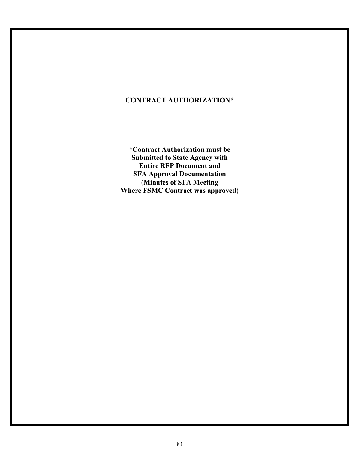# **CONTRACT AUTHORIZATION\***

**\*Contract Authorization must be Submitted to State Agency with Entire RFP Document and SFA Approval Documentation (Minutes of SFA Meeting Where FSMC Contract was approved)**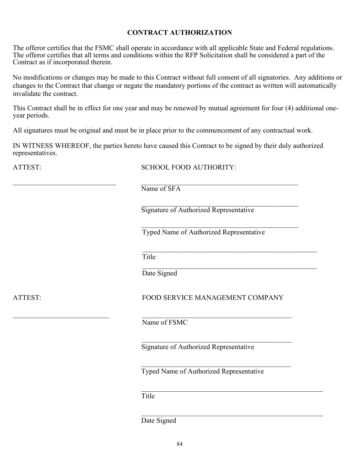## **CONTRACT AUTHORIZATION**

The offeror certifies that the FSMC shall operate in accordance with all applicable State and Federal regulations. The offeror certifies that all terms and conditions within the RFP Solicitation shall be considered a part of the Contract as if incorporated therein.

No modifications or changes may be made to this Contract without full consent of all signatories. Any additions or changes to the Contract that change or negate the mandatory portions of the contract as written will automatically invalidate the contract.

This Contract shall be in effect for one year and may be renewed by mutual agreement for four (4) additional oneyear periods.

All signatures must be original and must be in place prior to the commencement of any contractual work.

IN WITNESS WHEREOF, the parties hereto have caused this Contract to be signed by their duly authorized representatives.

ATTEST: SCHOOL FOOD AUTHORITY:

 $\_$  , and the set of the set of the set of the set of the set of the set of the set of the set of the set of the set of the set of the set of the set of the set of the set of the set of the set of the set of the set of th Name of SFA

> $\mathcal{L}_\mathcal{L}$ Signature of Authorized Representative

Typed Name of Authorized Representative

 $\mathcal{L}_\mathcal{L}$ 

Title

Date Signed

# ATTEST: FOOD SERVICE MANAGEMENT COMPANY

 $\mathcal{L}_\mathcal{L}$  , where  $\mathcal{L}_\mathcal{L}$  is the set of the set of the set of the set of the set of the set of the set of the set of the set of the set of the set of the set of the set of the set of the set of the set of the

 $\overline{\mathcal{L}}$ 

Name of FSMC

 $\_$ 

Signature of Authorized Representative

Typed Name of Authorized Representative

Title

Date Signed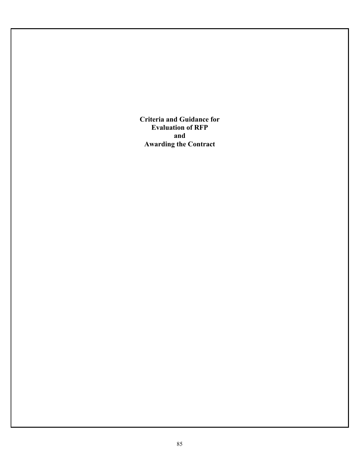**Criteria and Guidance for Evaluation of RFP and Awarding the Contract**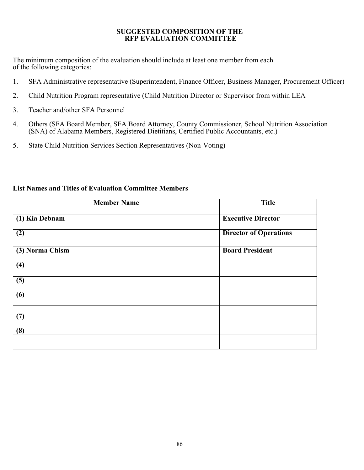### **SUGGESTED COMPOSITION OF THE RFP EVALUATION COMMITTEE**

The minimum composition of the evaluation should include at least one member from each of the following categories:

- 1. SFA Administrative representative (Superintendent, Finance Officer, Business Manager, Procurement Officer)
- 2. Child Nutrition Program representative (Child Nutrition Director or Supervisor from within LEA
- 3. Teacher and/other SFA Personnel
- 4. Others (SFA Board Member, SFA Board Attorney, County Commissioner, School Nutrition Association (SNA) of Alabama Members, Registered Dietitians, Certified Public Accountants, etc.)
- 5. State Child Nutrition Services Section Representatives (Non-Voting)

| <b>Member Name</b> | <b>Title</b>                  |
|--------------------|-------------------------------|
| (1) Kia Debnam     | <b>Executive Director</b>     |
| $\overline{(2)}$   | <b>Director of Operations</b> |
| (3) Norma Chism    | <b>Board President</b>        |
| $\overline{(4)}$   |                               |
| $\overline{(5)}$   |                               |
| $\overline{(6)}$   |                               |
| (7)                |                               |
| (8)                |                               |
|                    |                               |

## **List Names and Titles of Evaluation Committee Members**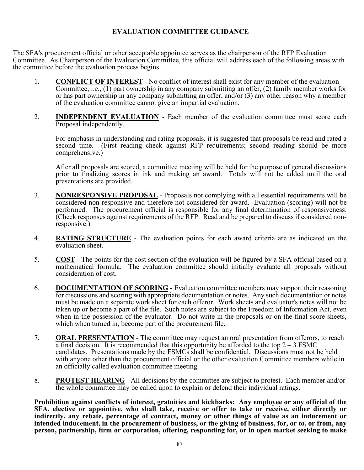## **EVALUATION COMMITTEE GUIDANCE**

The SFA's procurement official or other acceptable appointee serves as the chairperson of the RFP Evaluation Committee. As Chairperson of the Evaluation Committee, this official will address each of the following areas with the committee before the evaluation process begins.

- 1. **CONFLICT OF INTEREST** No conflict of interest shall exist for any member of the evaluation Committee, i.e., (1) part ownership in any company submitting an offer, (2) family member works for or has part ownership in any company submitting an offer, and/or (3) any other reason why a member of the evaluation committee cannot give an impartial evaluation.
- 2. **INDEPENDENT EVALUATION** Each member of the evaluation committee must score each Proposal independently.

For emphasis in understanding and rating proposals, it is suggested that proposals be read and rated a second time. (First reading check against RFP requirements; second reading should be more comprehensive.)

After all proposals are scored, a committee meeting will be held for the purpose of general discussions prior to finalizing scores in ink and making an award. Totals will not be added until the oral presentations are provided.

- 3. **NONRESPONSIVE PROPOSAL** Proposals not complying with all essential requirements will be considered non-responsive and therefore not considered for award. Evaluation (scoring) will not be performed. The procurement official is responsible for any final determination of responsiveness. (Check responses against requirements of the RFP. Read and be prepared to discuss if considered nonresponsive.)
- 4. **RATING STRUCTURE** The evaluation points for each award criteria are as indicated on the evaluation sheet.
- 5. **COST** The points for the cost section of the evaluation will be figured by a SFA official based on a mathematical formula. The evaluation committee should initially evaluate all proposals without consideration of cost.
- 6. **DOCUMENTATION OF SCORING** Evaluation committee members may support their reasoning for discussions and scoring with appropriate documentation or notes. Any such documentation or notes must be made on a separate work sheet for each offeror. Work sheets and evaluator's notes will not be taken up or become a part of the file. Such notes are subject to the Freedom of Information Act, even when in the possession of the evaluator. Do not write in the proposals or on the final score sheets, which when turned in, become part of the procurement file.
- 7. **ORAL PRESENTATION** The committee may request an oral presentation from offerors, to reach a final decision. It is recommended that this opportunity be afforded to the top  $2 - 3$  FSMC candidates. Presentations made by the FSMCs shall be confidential. Discussions must not be held with anyone other than the procurement official or the other evaluation Committee members while in an officially called evaluation committee meeting.
- 8. **PROTEST HEARING** All decisions by the committee are subject to protest. Each member and/or the whole committee may be called upon to explain or defend their individual ratings.

**Prohibition against conflicts of interest, gratuities and kickbacks: Any employee or any official of the SFA, elective or appointive, who shall take, receive or offer to take or receive, either directly or indirectly, any rebate, percentage of contract, money or other things of value as an inducement or intended inducement, in the procurement of business, or the giving of business, for, or to, or from, any person, partnership, firm or corporation, offering, responding for, or in open market seeking to make**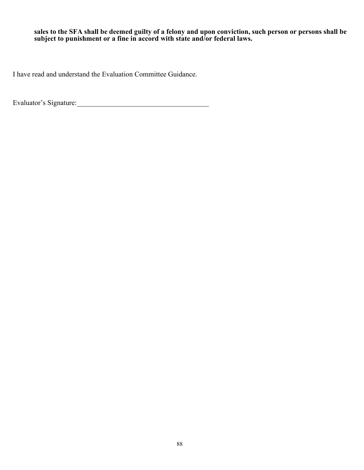### **sales to the SFA shall be deemed guilty of a felony and upon conviction, such person or persons shall be subject to punishment or a fine in accord with state and/or federal laws.**

I have read and understand the Evaluation Committee Guidance.

Evaluator's Signature:\_\_\_\_\_\_\_\_\_\_\_\_\_\_\_\_\_\_\_\_\_\_\_\_\_\_\_\_\_\_\_\_\_\_\_\_\_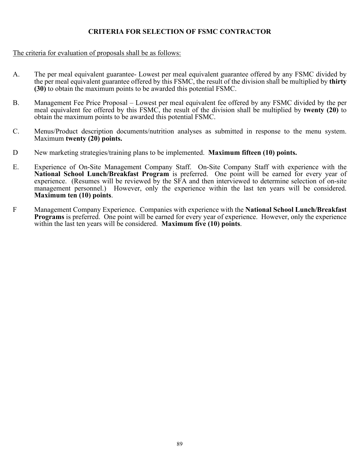## **CRITERIA FOR SELECTION OF FSMC CONTRACTOR**

### The criteria for evaluation of proposals shall be as follows:

- A. The per meal equivalent guarantee- Lowest per meal equivalent guarantee offered by any FSMC divided by the per meal equivalent guarantee offered by this FSMC, the result of the division shall be multiplied by **thirty (30)** to obtain the maximum points to be awarded this potential FSMC.
- B. Management Fee Price Proposal Lowest per meal equivalent fee offered by any FSMC divided by the per meal equivalent fee offered by this FSMC, the result of the division shall be multiplied by **twenty (20)** to obtain the maximum points to be awarded this potential FSMC.
- C. Menus/Product description documents/nutrition analyses as submitted in response to the menu system. Maximum **twenty (20) points.**
- D New marketing strategies/training plans to be implemented. **Maximum fifteen (10) points.**
- E. Experience of On-Site Management Company Staff. On-Site Company Staff with experience with the **National School Lunch/Breakfast Program** is preferred. One point will be earned for every year of experience. (Resumes will be reviewed by the SFA and then interviewed to determine selection of on-site management personnel.) However, only the experience within the last ten years will be considered. **Maximum ten (10) points**.
- F Management Company Experience. Companies with experience with the **National School Lunch/Breakfast Programs** is preferred. One point will be earned for every year of experience. However, only the experience within the last ten years will be considered. **Maximum five (10) points**.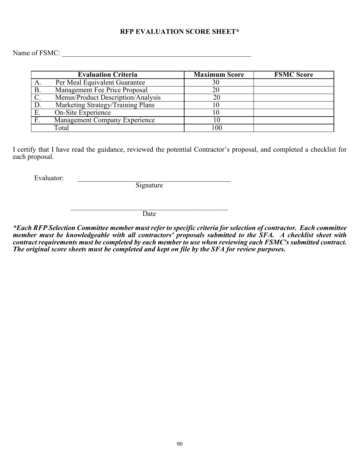### **RFP EVALUATION SCORE SHEET\***

Name of FSMC: \_\_\_\_\_\_\_\_\_\_\_\_\_\_\_\_\_\_\_\_\_\_\_\_\_\_\_\_\_\_\_\_\_\_\_\_\_\_\_\_\_\_\_\_\_\_\_\_\_\_\_\_\_

|               | <b>Evaluation Criteria</b>           | <b>Maximum Score</b> | <b>FSMC Score</b> |
|---------------|--------------------------------------|----------------------|-------------------|
| А.            | Per Meal Equivalent Guarantee        | 30                   |                   |
| Β.            | Management Fee Price Proposal        | 20                   |                   |
|               | Menus/Product Description/Analysis   | 20                   |                   |
| D.            | Marketing Strategy/Training Plans    |                      |                   |
| Ε.            | On-Site Experience                   |                      |                   |
| $\mathbf F$ . | <b>Management Company Experience</b> | 0                    |                   |
|               | Total                                | 100                  |                   |

I certify that I have read the guidance, reviewed the potential Contractor's proposal, and completed a checklist for each proposal.

Evaluator: \_\_\_\_\_\_\_\_\_\_\_\_\_\_\_\_\_\_\_\_\_\_\_\_\_\_\_\_\_\_\_\_\_\_\_\_\_\_\_\_\_\_\_

Signature

 $\mathcal{L}_\mathcal{L}$  , which is a set of the set of the set of the set of the set of the set of the set of the set of the set of the set of the set of the set of the set of the set of the set of the set of the set of the set of **Date** 

*\*Each RFP Selection Committee member must refer to specific criteria for selection of contractor. Each committee member must be knowledgeable with all contractors' proposals submitted to the SFA. A checklist sheet with contract requirements must be completed by each member to use when reviewing each FSMC's submitted contract. The original score sheets must be completed and kept on file by the SFA for review purposes.*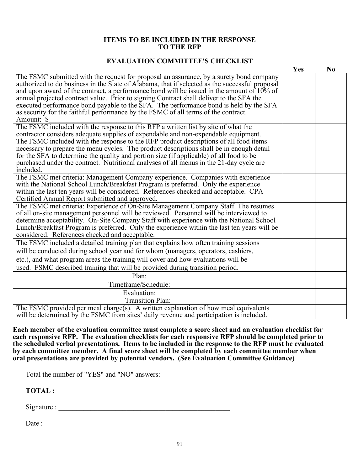### **ITEMS TO BE INCLUDED IN THE RESPONSE TO THE RFP**

### **EVALUATION COMMITTEE'S CHECKLIST**

|                                                                                                | Yes | N <sub>0</sub> |
|------------------------------------------------------------------------------------------------|-----|----------------|
| The FSMC submitted with the request for proposal an assurance, by a surety bond company        |     |                |
| authorized to do business in the State of Alabama, that if selected as the successful proposal |     |                |
| and upon award of the contract, a performance bond will be issued in the amount of $10\%$ of   |     |                |
| annual projected contract value. Prior to signing Contract shall deliver to the SFA the        |     |                |
| executed performance bond payable to the SFA. The performance bond is held by the SFA          |     |                |
| as security for the faithful performance by the FSMC of all terms of the contract.             |     |                |
| Amount: \$                                                                                     |     |                |
| The FSMC included with the response to this RFP a written list by site of what the             |     |                |
| contractor considers adequate supplies of expendable and non-expendable equipment.             |     |                |
| The FSMC included with the response to the RFP product descriptions of all food items          |     |                |
| necessary to prepare the menu cycles. The product descriptions shall be in enough detail       |     |                |
| for the SFA to determine the quality and portion size (if applicable) of all food to be        |     |                |
| purchased under the contract. Nutritional analyses of all menus in the 21-day cycle are        |     |                |
| included.                                                                                      |     |                |
| The FSMC met criteria: Management Company experience. Companies with experience                |     |                |
| with the National School Lunch/Breakfast Program is preferred. Only the experience             |     |                |
| within the last ten years will be considered. References checked and acceptable. CPA           |     |                |
| Certified Annual Report submitted and approved.                                                |     |                |
| The FSMC met criteria: Experience of On-Site Management Company Staff. The resumes             |     |                |
| of all on-site management personnel will be reviewed. Personnel will be interviewed to         |     |                |
| determine acceptability. On-Site Company Staff with experience with the National School        |     |                |
| Lunch/Breakfast Program is preferred. Only the experience within the last ten years will be    |     |                |
| considered. References checked and acceptable.                                                 |     |                |
| The FSMC included a detailed training plan that explains how often training sessions           |     |                |
| will be conducted during school year and for whom (managers, operators, cashiers,              |     |                |
| etc.), and what program areas the training will cover and how evaluations will be              |     |                |
| used. FSMC described training that will be provided during transition period.                  |     |                |
| Plan:                                                                                          |     |                |
| Timeframe/Schedule:                                                                            |     |                |
| Evaluation:                                                                                    |     |                |
| <b>Transition Plan:</b>                                                                        |     |                |
| The FSMC provided per meal charge(s). A written explanation of how meal equivalents            |     |                |
| will be determined by the FSMC from sites' daily revenue and participation is included.        |     |                |

**Each member of the evaluation committee must complete a score sheet and an evaluation checklist for each responsive RFP. The evaluation checklists for each responsive RFP should be completed prior to the scheduled verbal presentations. Items to be included in the response to the RFP must be evaluated by each committee member. A final score sheet will be completed by each committee member when oral presentations are provided by potential vendors. (See Evaluation Committee Guidance)**

Total the number of "YES" and "NO" answers:

**TOTAL :**

 $Signature:$ 

Date : \_\_\_\_\_\_\_\_\_\_\_\_\_\_\_\_\_\_\_\_\_\_\_\_\_\_\_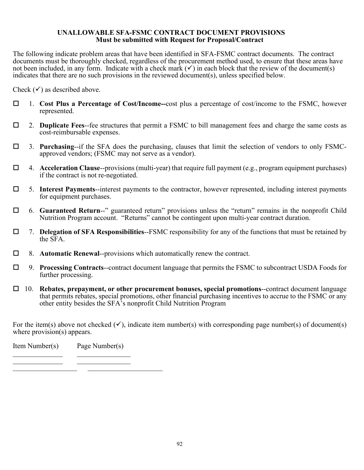### **UNALLOWABLE SFA-FSMC CONTRACT DOCUMENT PROVISIONS Must be submitted with Request for Proposal/Contract**

The following indicate problem areas that have been identified in SFA-FSMC contract documents. The contract documents must be thoroughly checked, regardless of the procurement method used, to ensure that these areas have not been included, in any form. Indicate with a check mark  $(v)$  in each block that the review of the document(s) indicates that there are no such provisions in the reviewed document(s), unless specified below.

Check  $(\checkmark)$  as described above.

- 1. **Cost Plus a Percentage of Cost/Income--**cost plus a percentage of cost/income to the FSMC, however represented.
- 2. **Duplicate Fees**--fee structures that permit a FSMC to bill management fees and charge the same costs as cost-reimbursable expenses.
- 3. **Purchasing**--if the SFA does the purchasing, clauses that limit the selection of vendors to only FSMC- approved vendors; (FSMC may not serve as a vendor).
- 4. **Acceleration Clause**--provisions (multi-year) that require full payment (e.g., program equipment purchases) if the contract is not re-negotiated.
- 5. **Interest Payments**--interest payments to the contractor, however represented, including interest payments for equipment purchases.
- 6. **Guaranteed Return**--" guaranteed return" provisions unless the "return" remains in the nonprofit Child Nutrition Program account. "Returns" cannot be contingent upon multi-year contract duration.
- 7. **Delegation of SFA Responsibilities**--FSMC responsibility for any of the functions that must be retained by the SFA.
- 8. **Automatic Renewal**--provisions which automatically renew the contract.
- 9. **Processing Contracts**--contract document language that permits the FSMC to subcontract USDA Foods for further processing.
- 10. **Rebates, prepayment, or other procurement bonuses, special promotions**--contract document language that permits rebates, special promotions, other financial purchasing incentives to accrue to the FSMC or any other entity besides the SFA's nonprofit Child Nutrition Program

For the item(s) above not checked  $(\checkmark)$ , indicate item number(s) with corresponding page number(s) of document(s) where provision(s) appears.

Item Number(s) Page Number(s)  $\mathcal{L}_\text{max}$  , where  $\mathcal{L}_\text{max}$  and  $\mathcal{L}_\text{max}$  and  $\mathcal{L}_\text{max}$ 

\_\_\_\_\_\_\_\_\_\_\_\_\_\_ \_\_\_\_\_\_\_\_\_\_\_\_\_\_\_ \_\_\_\_\_\_\_\_\_\_\_\_\_\_\_\_\_\_ \_\_\_\_\_\_\_\_\_\_\_\_\_\_\_\_\_\_\_\_\_

92